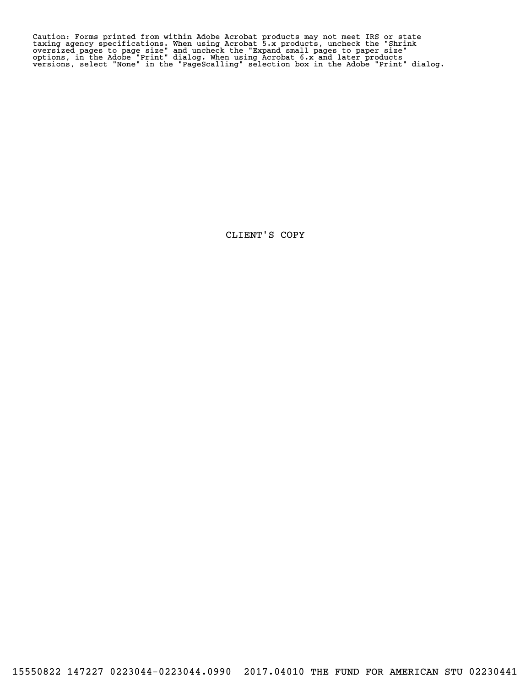Caution: Forms printed from within Adobe Acrobat products may not meet IRS or state<br>taxing agency specifications. When using Acrobat 5.x products, uncheck the "Shrink<br>oversized pages to page size" and uncheck the "Expand s Caution: Forms printed from within Adobe Acrobat products may not meet IRS or state<br>taxing agency specifications. When using Acrobat 5.x products, uncheck the "Shrink<br>oversized pages to page size" and uncheck the "Expand s

CLIENT'S COPY CLIENT'S COPY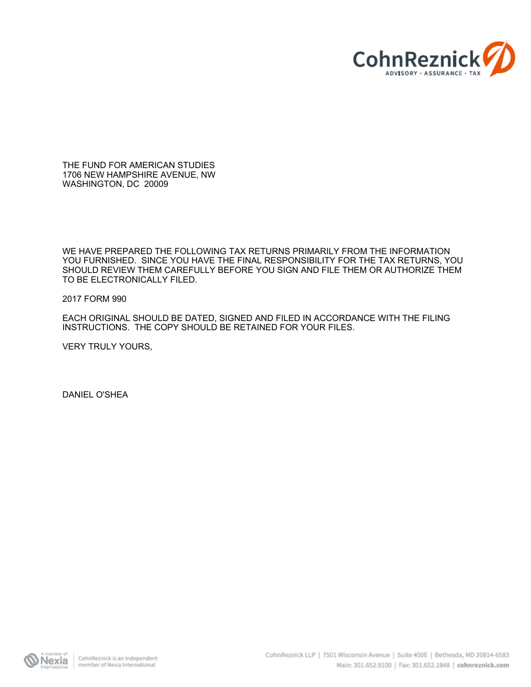

THE FUND FOR AMERICAN STUDIES 1706 NEW HAMPSHIRE AVENUE, NW WASHINGTON, DC 20009

WE HAVE PREPARED THE FOLLOWING TAX RETURNS PRIMARILY FROM THE INFORMATION YOU FURNISHED. SINCE YOU HAVE THE FINAL RESPONSIBILITY FOR THE TAX RETURNS, YOU SHOULD REVIEW THEM CAREFULLY BEFORE YOU SIGN AND FILE THEM OR AUTHORIZE THEM TO BE ELECTRONICALLY FILED.

#### 2017 FORM 990

EACH ORIGINAL SHOULD BE DATED, SIGNED AND FILED IN ACCORDANCE WITH THE FILING INSTRUCTIONS. THE COPY SHOULD BE RETAINED FOR YOUR FILES.

VERY TRULY YOURS,

DANIEL O'SHEA

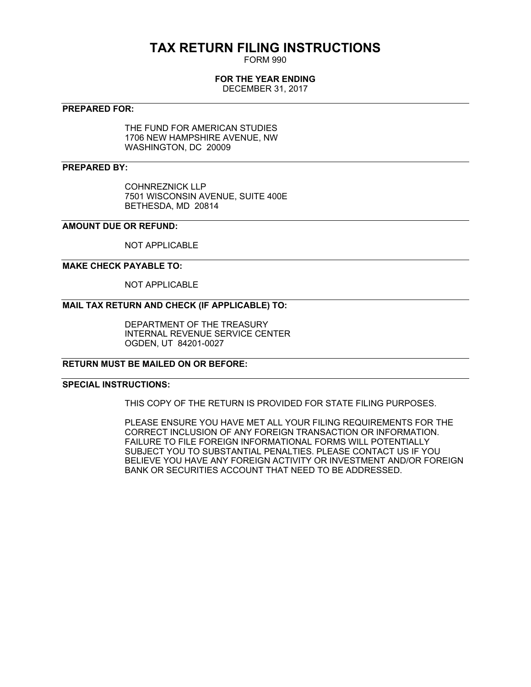## **TAX RETURN FILING INSTRUCTIONS**

FORM 990

#### **FOR THE YEAR ENDING**

DECEMBER 31, 2017

#### **PREPARED FOR:**

THE FUND FOR AMERICAN STUDIES 1706 NEW HAMPSHIRE AVENUE, NW WASHINGTON, DC 20009

#### **PREPARED BY:**

COHNREZNICK LLP 7501 WISCONSIN AVENUE, SUITE 400E BETHESDA, MD 20814

#### **AMOUNT DUE OR REFUND:**

NOT APPLICABLE

#### **MAKE CHECK PAYABLE TO:**

NOT APPLICABLE

#### **MAIL TAX RETURN AND CHECK (IF APPLICABLE) TO:**

DEPARTMENT OF THE TREASURY INTERNAL REVENUE SERVICE CENTER OGDEN, UT 84201-0027

#### **RETURN MUST BE MAILED ON OR BEFORE:**

#### **SPECIAL INSTRUCTIONS:**

THIS COPY OF THE RETURN IS PROVIDED FOR STATE FILING PURPOSES.

PLEASE ENSURE YOU HAVE MET ALL YOUR FILING REQUIREMENTS FOR THE CORRECT INCLUSION OF ANY FOREIGN TRANSACTION OR INFORMATION. FAILURE TO FILE FOREIGN INFORMATIONAL FORMS WILL POTENTIALLY SUBJECT YOU TO SUBSTANTIAL PENALTIES. PLEASE CONTACT US IF YOU BELIEVE YOU HAVE ANY FOREIGN ACTIVITY OR INVESTMENT AND/OR FOREIGN BANK OR SECURITIES ACCOUNT THAT NEED TO BE ADDRESSED.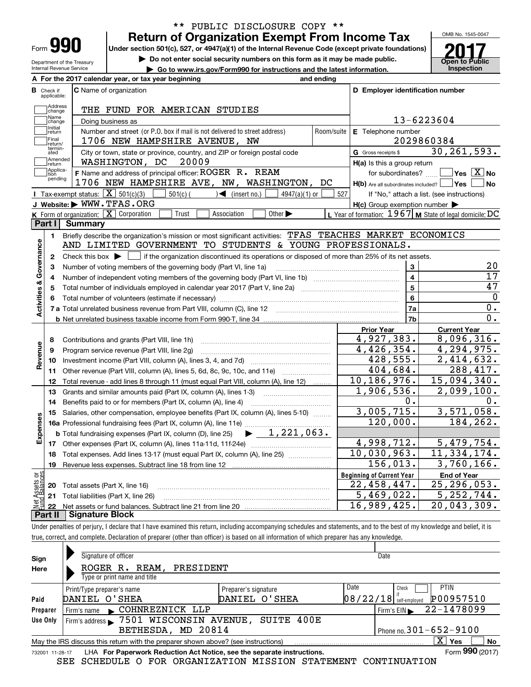| Form |  |  |
|------|--|--|
|------|--|--|

## \*\* PUBLIC DISCLOSURE COPY \*\* \*\* PUBLIC DISCLOSURE COPY \*\* **Return of Organization Exempt From Income Tax**

Form  $\mathbf{990}$  Peturn of Organization Exempt From Income Tax

 $D_{\text{Department of the Treasury}}$  Under section 50 I(C), 527, or 4947(a)(1) or the Internal Revenue Code (except private foundations)<br>Department of the Treasury Do not enter social security numbers on this form as it may be made public. Department of the Treasury Internal Revenue Service

Internal Revenue Service **Commercies** Co to www.irs.gov/Form990 for instructions and the latest information.



|                             | A For the 2017 calendar year, or tax year beginning<br>and ending                                                                         |                                                     |                |                                                                                                       |
|-----------------------------|-------------------------------------------------------------------------------------------------------------------------------------------|-----------------------------------------------------|----------------|-------------------------------------------------------------------------------------------------------|
| Check if<br>applicable:     | <b>C</b> Name of organization                                                                                                             | D Employer identification number                    |                |                                                                                                       |
| Address<br>change           | THE FUND FOR AMERICAN STUDIES                                                                                                             |                                                     |                |                                                                                                       |
| Name<br>change              | Doing business as                                                                                                                         |                                                     |                | 13-6223604                                                                                            |
| Initial<br> return          | Number and street (or P.O. box if mail is not delivered to street address)                                                                | E Telephone number<br>Room/suite                    |                |                                                                                                       |
| Final<br>Ireturn/           | 1706 NEW HAMPSHIRE AVENUE, NW                                                                                                             |                                                     |                | 2029860384                                                                                            |
| termin-<br>ated             | City or town, state or province, country, and ZIP or foreign postal code                                                                  | G Gross receipts \$                                 |                | 30, 261, 593.                                                                                         |
| Amended<br>return           | WASHINGTON, DC<br>20009                                                                                                                   | H(a) Is this a group return                         |                |                                                                                                       |
| Applica-<br>tion<br>pending | F Name and address of principal officer: ROGER R. REAM<br>1706 NEW HAMPSHIRE AVE, NW, WASHINGTON, DC                                      | for subordinates?                                   |                | $\overline{\ }$ Yes $\overline{\ \ X}$ No<br>$H(b)$ Are all subordinates included? $\Box$ Yes<br>  No |
|                             | Tax-exempt status: $X \overline{X}$ 501(c)(3) [<br>$\sqrt{\phantom{a}}$ (insert no.)<br>$501(c)$ (<br>$4947(a)(1)$ or                     | 527                                                 |                | If "No," attach a list. (see instructions)                                                            |
|                             | J Website: WWW.TFAS.ORG                                                                                                                   | $H(c)$ Group exemption number $\blacktriangleright$ |                |                                                                                                       |
|                             | K Form of organization: X Corporation<br>Trust<br>Association<br>Other $\blacktriangleright$                                              |                                                     |                | L Year of formation: $1967$ M State of legal domicile: DC                                             |
| Part II                     | Summary                                                                                                                                   |                                                     |                |                                                                                                       |
| 1                           | Briefly describe the organization's mission or most significant activities: TFAS TEACHES MARKET ECONOMICS                                 |                                                     |                |                                                                                                       |
|                             | AND LIMITED GOVERNMENT TO STUDENTS & YOUNG PROFESSIONALS.                                                                                 |                                                     |                |                                                                                                       |
| $\mathbf{2}$                | Check this box $\blacktriangleright \Box$ if the organization discontinued its operations or disposed of more than 25% of its net assets. |                                                     |                |                                                                                                       |
| 3                           | Number of voting members of the governing body (Part VI, line 1a)                                                                         |                                                     | $\mathbf{3}$   | 20                                                                                                    |
| 4                           |                                                                                                                                           |                                                     | $\overline{4}$ | $\overline{17}$                                                                                       |
| 5                           |                                                                                                                                           |                                                     | $\overline{5}$ | 47                                                                                                    |
| 6                           |                                                                                                                                           |                                                     | 6              | 0                                                                                                     |
| Activities & Governance     |                                                                                                                                           |                                                     | 7a             | 0.                                                                                                    |
|                             |                                                                                                                                           |                                                     | 7 <sub>b</sub> | 0.                                                                                                    |
|                             |                                                                                                                                           | <b>Prior Year</b>                                   |                | <b>Current Year</b>                                                                                   |
| 8                           | Contributions and grants (Part VIII, line 1h)                                                                                             | 4,927,383.                                          |                | 8,096,316.                                                                                            |
| Revenue<br>9                | Program service revenue (Part VIII, line 2g)                                                                                              | $\overline{4}$ , 426, 354.                          |                | 4,294,975.                                                                                            |
| 10                          |                                                                                                                                           | 428,555.                                            |                | 2,414,632.                                                                                            |
| 11                          | Other revenue (Part VIII, column (A), lines 5, 6d, 8c, 9c, 10c, and 11e)                                                                  | 404,684.                                            |                | 288,417.                                                                                              |
| 12                          | Total revenue - add lines 8 through 11 (must equal Part VIII, column (A), line 12)                                                        | 10,186,976.                                         |                | 15,094,340.                                                                                           |
| 13                          | Grants and similar amounts paid (Part IX, column (A), lines 1-3)                                                                          | 1,906,536.                                          |                | $\overline{2}$ , 099, 100.                                                                            |
| 14                          |                                                                                                                                           |                                                     | 0.             | 0.                                                                                                    |
| 15                          | Salaries, other compensation, employee benefits (Part IX, column (A), lines 5-10)                                                         | 3,005,715.                                          |                | 3,571,058.                                                                                            |
|                             |                                                                                                                                           | 120,000.                                            |                | 184, 262.                                                                                             |
|                             | $\blacktriangleright$ $1,221,063$ .<br><b>b</b> Total fundraising expenses (Part IX, column (D), line 25)                                 |                                                     |                |                                                                                                       |
|                             |                                                                                                                                           | 4,998,712.                                          |                | 5,479,754.                                                                                            |
|                             |                                                                                                                                           |                                                     |                |                                                                                                       |
| 18                          | Total expenses. Add lines 13-17 (must equal Part IX, column (A), line 25) [11, 13, 13, 13]                                                | 10,030,963.                                         |                |                                                                                                       |
| 19                          |                                                                                                                                           | 156,013.                                            |                |                                                                                                       |
| Expenses<br>äğ              |                                                                                                                                           | <b>Beginning of Current Year</b>                    |                | <b>End of Year</b>                                                                                    |
|                             | 20 Total assets (Part X, line 16)                                                                                                         | 22, 458, 447.                                       |                |                                                                                                       |
|                             | 21 Total liabilities (Part X, line 26)                                                                                                    | 5,469,022.<br>16,989,425.                           |                | 11,334,174.<br>3,760,166.<br>25, 296, 053.<br>5, 252, 744.<br>20,043,309.                             |

Under penalties of perjury, I declare that I have examined this return, including accompanying schedules and statements, and to the best of my knowledge and belief, it is true, correct, and complete. Declaration of preparer (other than officer) is based on all information of which preparer has any knowledge.

| Sign            | Signature of officer                                                              |                      | Date                                  |
|-----------------|-----------------------------------------------------------------------------------|----------------------|---------------------------------------|
| Here            | REAM, PRESIDENT<br>ROGER R.                                                       |                      |                                       |
|                 | Type or print name and title                                                      |                      |                                       |
|                 | Print/Type preparer's name                                                        | Preparer's signature | Date<br><b>PTIN</b><br>Check          |
| Paid            | DANIEL O'SHEA                                                                     | DANIEL O'SHEA        | P00957510<br>$08/22/18$ self-employed |
| Preparer        | Firm's name COHNREZNICK LLP                                                       |                      | 22-1478099<br>Firm's $EIN$            |
| Use Only        | Firm's address > 7501 WISCONSIN AVENUE, SUITE 400E                                |                      |                                       |
|                 | BETHESDA, MD 20814                                                                |                      | Phone no. $301 - 652 - 9100$          |
|                 | May the IRS discuss this return with the preparer shown above? (see instructions) |                      | x<br>Yes<br><b>No</b>                 |
| 732001 11-28-17 | LHA For Paperwork Reduction Act Notice, see the separate instructions.            |                      | Form 990 (2017)                       |

SEE SCHEDULE O FOR ORGANIZATION MISSION STATEMENT CONTINUATION SEE SCHEDULE O FOR ORGANIZATION MISSION STATEMENT CONTINUATION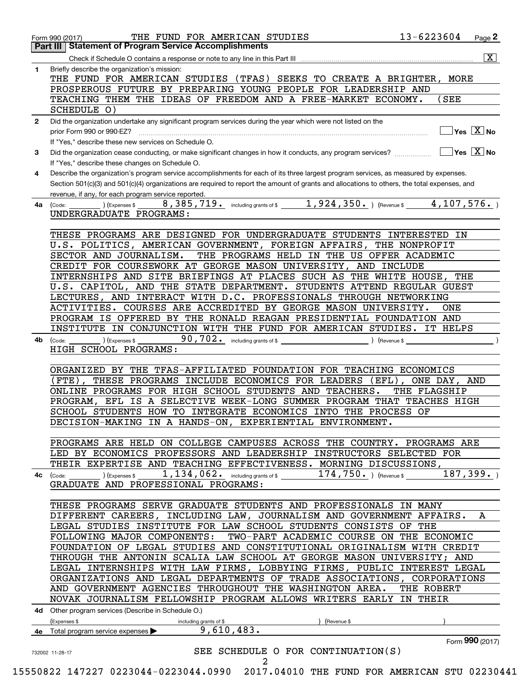|              | 13-6223604<br>THE FUND FOR AMERICAN STUDIES<br>Page 2<br>Form 990 (2017)                                                                     |
|--------------|----------------------------------------------------------------------------------------------------------------------------------------------|
|              | <b>Part III   Statement of Program Service Accomplishments</b>                                                                               |
|              | $\vert$ X $\vert$                                                                                                                            |
| 1            | Briefly describe the organization's mission:                                                                                                 |
|              | THE FUND FOR AMERICAN STUDIES (TFAS) SEEKS TO CREATE A BRIGHTER, MORE                                                                        |
|              | PROSPEROUS FUTURE BY PREPARING YOUNG PEOPLE FOR LEADERSHIP AND                                                                               |
|              | TEACHING THEM THE IDEAS OF FREEDOM AND A FREE-MARKET ECONOMY.<br>(SEE                                                                        |
|              | SCHEDULE 0)                                                                                                                                  |
| $\mathbf{2}$ | Did the organization undertake any significant program services during the year which were not listed on the                                 |
|              | $\sqrt{}$ Yes $\sqrt{X}$ No<br>prior Form 990 or 990-EZ?                                                                                     |
|              | If "Yes," describe these new services on Schedule O.                                                                                         |
| 3            | $\exists$ Yes $\boxed{\text{X}}$ No                                                                                                          |
|              | If "Yes," describe these changes on Schedule O.                                                                                              |
| 4            | Describe the organization's program service accomplishments for each of its three largest program services, as measured by expenses.         |
|              | Section 501(c)(3) and 501(c)(4) organizations are required to report the amount of grants and allocations to others, the total expenses, and |
|              | revenue, if any, for each program service reported.<br>8,385,719. including grants of \$1,924,350. ) (Revenue \$4,107,576. )                 |
| 4a           | ) (Expenses \$<br>(Code:                                                                                                                     |
|              | UNDERGRADUATE PROGRAMS:                                                                                                                      |
|              |                                                                                                                                              |
|              | THESE PROGRAMS ARE DESIGNED FOR UNDERGRADUATE STUDENTS INTERESTED IN<br>U.S. POLITICS, AMERICAN GOVERNMENT, FOREIGN AFFAIRS, THE NONPROFIT   |
|              | THE PROGRAMS HELD IN THE US OFFER ACADEMIC<br>SECTOR AND JOURNALISM.                                                                         |
|              | CREDIT FOR COURSEWORK AT GEORGE MASON UNIVERSITY, AND INCLUDE                                                                                |
|              | INTERNSHIPS AND SITE BRIEFINGS AT PLACES SUCH AS THE WHITE HOUSE,<br>THE                                                                     |
|              | U.S. CAPITOL, AND THE STATE DEPARTMENT. STUDENTS ATTEND REGULAR GUEST                                                                        |
|              | LECTURES, AND INTERACT WITH D.C. PROFESSIONALS THROUGH NETWORKING                                                                            |
|              | ACTIVITIES. COURSES ARE ACCREDITED BY GEORGE MASON UNIVERSITY.<br>ONE                                                                        |
|              | PROGRAM IS OFFERED BY THE RONALD REAGAN PRESIDENTIAL FOUNDATION AND                                                                          |
|              | INSTITUTE IN CONJUNCTION WITH THE FUND FOR AMERICAN STUDIES. IT HELPS                                                                        |
|              | 90,702. including grants of \$<br>) (Expenses \$                                                                                             |
| 4b           | (Code:<br>Revenue \$<br>HIGH SCHOOL PROGRAMS:                                                                                                |
|              |                                                                                                                                              |
|              | ORGANIZED BY<br>THE TFAS-AFFILIATED FOUNDATION FOR TEACHING ECONOMICS                                                                        |
|              | THESE PROGRAMS INCLUDE ECONOMICS FOR LEADERS<br>(FTE)<br>$(EFL)$ ,<br>ONE DAY, AND                                                           |
|              | ONLINE PROGRAMS FOR HIGH SCHOOL STUDENTS AND TEACHERS.<br>THE FLAGSHIP                                                                       |
|              | PROGRAM, EFL IS A SELECTIVE WEEK-LONG SUMMER PROGRAM THAT TEACHES HIGH                                                                       |
|              | SCHOOL STUDENTS HOW TO INTEGRATE ECONOMICS INTO THE PROCESS OF                                                                               |
|              | DECISION-MAKING IN A HANDS-ON, EXPERIENTIAL ENVIRONMENT.                                                                                     |
|              |                                                                                                                                              |
|              | PROGRAMS ARE HELD ON COLLEGE CAMPUSES ACROSS THE COUNTRY. PROGRAMS ARE                                                                       |
|              | LED BY ECONOMICS PROFESSORS AND LEADERSHIP INSTRUCTORS SELECTED FOR                                                                          |
|              | THEIR EXPERTISE AND TEACHING EFFECTIVENESS. MORNING DISCUSSIONS,                                                                             |
|              | 187, 399.<br>$174,750.$ ) (Revenue \$<br>$1,134,062$ and including grants of \$<br>(Express \$<br>4c (Code:                                  |
|              | GRADUATE AND PROFESSIONAL PROGRAMS:                                                                                                          |
|              |                                                                                                                                              |
|              | THESE PROGRAMS SERVE GRADUATE STUDENTS AND PROFESSIONALS IN MANY                                                                             |
|              | DIFFERENT CAREERS, INCLUDING LAW, JOURNALISM AND GOVERNMENT AFFAIRS.<br>A                                                                    |
|              | LEGAL STUDIES INSTITUTE FOR LAW SCHOOL STUDENTS CONSISTS OF THE                                                                              |
|              | FOLLOWING MAJOR COMPONENTS:<br>TWO-PART ACADEMIC COURSE ON THE ECONOMIC                                                                      |
|              | FOUNDATION OF LEGAL STUDIES AND CONSTITUTIONAL ORIGINALISM WITH CREDIT                                                                       |
|              | THROUGH THE ANTONIN SCALIA LAW SCHOOL AT GEORGE MASON UNIVERSITY; AND                                                                        |
|              | LEGAL INTERNSHIPS WITH LAW FIRMS, LOBBYING FIRMS, PUBLIC INTEREST LEGAL                                                                      |
|              | ORGANIZATIONS AND LEGAL DEPARTMENTS OF TRADE ASSOCIATIONS, CORPORATIONS                                                                      |
|              | AND GOVERNMENT AGENCIES THROUGHOUT THE WASHINGTON AREA.<br>THE ROBERT                                                                        |
|              | NOVAK JOURNALISM FELLOWSHIP PROGRAM ALLOWS WRITERS EARLY IN THEIR                                                                            |
|              | 4d Other program services (Describe in Schedule O.)                                                                                          |
|              | (Expenses \$<br>(Revenue \$<br>including grants of \$                                                                                        |
|              |                                                                                                                                              |
|              | 9,610,483.<br>4e Total program service expenses >                                                                                            |
|              | Form 990 (2017)                                                                                                                              |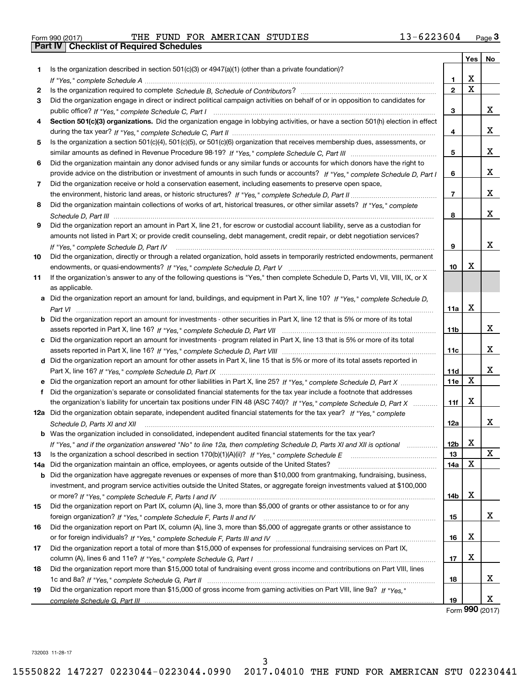|  | Form 990 (2017) |  |
|--|-----------------|--|

Form 990 (2017) **THE FUND FOR AMERICAN STUDIES** 13-6223604 Page 3 Form 990 (2017) THE FUND FOR AMERICAN STUDIES 13-6223604 Page 3<br>Part IV | Checklist of Required Schedules

|     |                                                                                                                                      |              | Yes | No |
|-----|--------------------------------------------------------------------------------------------------------------------------------------|--------------|-----|----|
| 1.  | Is the organization described in section $501(c)(3)$ or $4947(a)(1)$ (other than a private foundation)?                              |              |     |    |
|     |                                                                                                                                      | 1            | X   |    |
| 2   |                                                                                                                                      | $\mathbf{2}$ | X   |    |
| 3   | Did the organization engage in direct or indirect political campaign activities on behalf of or in opposition to candidates for      |              |     |    |
|     |                                                                                                                                      | 3            |     | x  |
| 4   | Section 501(c)(3) organizations. Did the organization engage in lobbying activities, or have a section 501(h) election in effect     |              |     |    |
|     |                                                                                                                                      | 4            |     | х  |
| 5   | Is the organization a section 501(c)(4), 501(c)(5), or 501(c)(6) organization that receives membership dues, assessments, or         |              |     |    |
|     |                                                                                                                                      | 5            |     | х  |
| 6   | Did the organization maintain any donor advised funds or any similar funds or accounts for which donors have the right to            |              |     |    |
|     | provide advice on the distribution or investment of amounts in such funds or accounts? If "Yes," complete Schedule D, Part I         | 6            |     | x  |
| 7   | Did the organization receive or hold a conservation easement, including easements to preserve open space,                            |              |     |    |
|     |                                                                                                                                      | 7            |     | х  |
| 8   | Did the organization maintain collections of works of art, historical treasures, or other similar assets? If "Yes," complete         |              |     |    |
|     |                                                                                                                                      | 8            |     | x  |
| 9   | Did the organization report an amount in Part X, line 21, for escrow or custodial account liability, serve as a custodian for        |              |     |    |
|     | amounts not listed in Part X; or provide credit counseling, debt management, credit repair, or debt negotiation services?            |              |     |    |
|     | If "Yes." complete Schedule D. Part IV                                                                                               | 9            |     | x  |
| 10  | Did the organization, directly or through a related organization, hold assets in temporarily restricted endowments, permanent        |              |     |    |
|     |                                                                                                                                      | 10           | х   |    |
| 11  | If the organization's answer to any of the following questions is "Yes," then complete Schedule D, Parts VI, VIII, VIII, IX, or X    |              |     |    |
|     | as applicable.                                                                                                                       |              |     |    |
|     | a Did the organization report an amount for land, buildings, and equipment in Part X, line 10? If "Yes," complete Schedule D,        |              |     |    |
|     |                                                                                                                                      | 11a          | X   |    |
|     | <b>b</b> Did the organization report an amount for investments - other securities in Part X, line 12 that is 5% or more of its total |              |     |    |
|     |                                                                                                                                      | 11b          |     | х  |
|     | c Did the organization report an amount for investments - program related in Part X, line 13 that is 5% or more of its total         |              |     |    |
|     |                                                                                                                                      | 11c          |     | x  |
|     | d Did the organization report an amount for other assets in Part X, line 15 that is 5% or more of its total assets reported in       |              |     |    |
|     |                                                                                                                                      | 11d          | X   | x  |
|     |                                                                                                                                      | 11e          |     |    |
| f   | Did the organization's separate or consolidated financial statements for the tax year include a footnote that addresses              |              | х   |    |
|     | the organization's liability for uncertain tax positions under FIN 48 (ASC 740)? If "Yes," complete Schedule D, Part X               | 11f          |     |    |
|     | 12a Did the organization obtain separate, independent audited financial statements for the tax year? If "Yes," complete              |              |     | х  |
|     | Schedule D, Parts XI and XII                                                                                                         | 12a          |     |    |
|     | <b>b</b> Was the organization included in consolidated, independent audited financial statements for the tax year?                   | 12b          | x   |    |
| 13  | If "Yes," and if the organization answered "No" to line 12a, then completing Schedule D, Parts XI and XII is optional manum          | 13           |     | x  |
| 14a | Did the organization maintain an office, employees, or agents outside of the United States?                                          | 14a          | х   |    |
|     | <b>b</b> Did the organization have aggregate revenues or expenses of more than \$10,000 from grantmaking, fundraising, business,     |              |     |    |
|     | investment, and program service activities outside the United States, or aggregate foreign investments valued at \$100,000           |              |     |    |
|     |                                                                                                                                      | 14b          | X   |    |
| 15  | Did the organization report on Part IX, column (A), line 3, more than \$5,000 of grants or other assistance to or for any            |              |     |    |
|     |                                                                                                                                      | 15           |     | x  |
| 16  | Did the organization report on Part IX, column (A), line 3, more than \$5,000 of aggregate grants or other assistance to             |              |     |    |
|     |                                                                                                                                      | 16           | х   |    |
| 17  | Did the organization report a total of more than \$15,000 of expenses for professional fundraising services on Part IX,              |              |     |    |
|     |                                                                                                                                      | 17           | х   |    |
| 18  | Did the organization report more than \$15,000 total of fundraising event gross income and contributions on Part VIII, lines         |              |     |    |
|     |                                                                                                                                      | 18           |     | х  |
| 19  | Did the organization report more than \$15,000 of gross income from gaming activities on Part VIII, line 9a? If "Yes."               |              |     |    |
|     |                                                                                                                                      | 19           |     | х  |

Form **990** (2017) Form (2017) **990**

732003 11-28-17 732003 11-28-17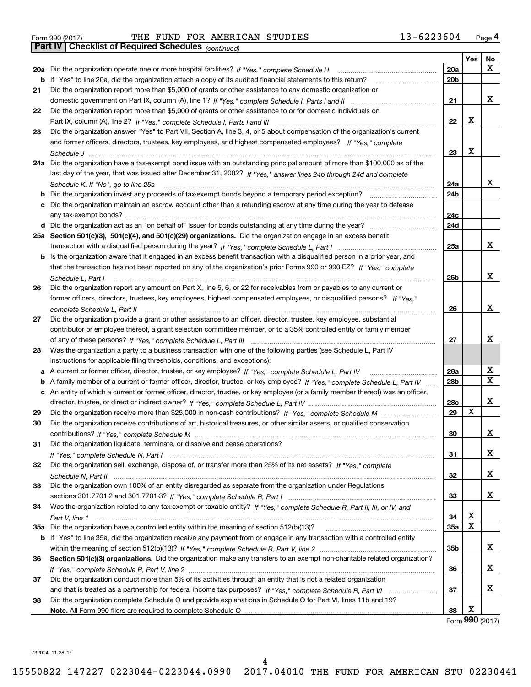|  | Form 990 (2017) |  |
|--|-----------------|--|
|  |                 |  |

Form 990 (2017) THE FUND FOR AMERICAN STUDIES 13-6223604 Page 4 Form 990 (2017) THE FUND FOR AMERICAN STUDIES 13-6223604 <sub>Page</sub> 4<br>**Part IV | Checklist of Required Schedules** <sub>(continued)</sub>

*(continued)*

|    |                                                                                                                                                      |     | Yes         | No |
|----|------------------------------------------------------------------------------------------------------------------------------------------------------|-----|-------------|----|
|    | 20a Did the organization operate one or more hospital facilities? If "Yes," complete Schedule H                                                      | 20a |             | X  |
|    | b If "Yes" to line 20a, did the organization attach a copy of its audited financial statements to this return?                                       | 20b |             |    |
| 21 | Did the organization report more than \$5,000 of grants or other assistance to any domestic organization or                                          |     |             |    |
|    |                                                                                                                                                      | 21  |             | х  |
| 22 | Did the organization report more than \$5,000 of grants or other assistance to or for domestic individuals on                                        |     |             |    |
|    |                                                                                                                                                      | 22  | х           |    |
| 23 | Did the organization answer "Yes" to Part VII, Section A, line 3, 4, or 5 about compensation of the organization's current                           |     |             |    |
|    | and former officers, directors, trustees, key employees, and highest compensated employees? If "Yes." complete                                       |     |             |    |
|    |                                                                                                                                                      | 23  | X           |    |
|    | 24a Did the organization have a tax-exempt bond issue with an outstanding principal amount of more than \$100,000 as of the                          |     |             |    |
|    | last day of the year, that was issued after December 31, 2002? If "Yes," answer lines 24b through 24d and complete                                   |     |             |    |
|    | Schedule K. If "No", go to line 25a                                                                                                                  | 24a |             | x  |
| b  | Did the organization invest any proceeds of tax-exempt bonds beyond a temporary period exception?                                                    | 24b |             |    |
| с  | Did the organization maintain an escrow account other than a refunding escrow at any time during the year to defease                                 |     |             |    |
|    | any tax-exempt bonds?                                                                                                                                | 24c |             |    |
|    |                                                                                                                                                      | 24d |             |    |
|    | 25a Section 501(c)(3), 501(c)(4), and 501(c)(29) organizations. Did the organization engage in an excess benefit                                     |     |             |    |
|    |                                                                                                                                                      | 25a |             | x  |
| b  | Is the organization aware that it engaged in an excess benefit transaction with a disqualified person in a prior year, and                           |     |             |    |
|    | that the transaction has not been reported on any of the organization's prior Forms 990 or 990-EZ? If "Yes," complete                                |     |             | X  |
|    | Schedule L, Part I                                                                                                                                   | 25b |             |    |
| 26 | Did the organization report any amount on Part X, line 5, 6, or 22 for receivables from or payables to any current or                                |     |             |    |
|    | former officers, directors, trustees, key employees, highest compensated employees, or disqualified persons? If "Yes."                               |     |             | X  |
| 27 | complete Schedule L, Part II<br>Did the organization provide a grant or other assistance to an officer, director, trustee, key employee, substantial | 26  |             |    |
|    | contributor or employee thereof, a grant selection committee member, or to a 35% controlled entity or family member                                  |     |             |    |
|    |                                                                                                                                                      | 27  |             | x  |
| 28 | Was the organization a party to a business transaction with one of the following parties (see Schedule L, Part IV                                    |     |             |    |
|    | instructions for applicable filing thresholds, conditions, and exceptions):                                                                          |     |             |    |
| а  | A current or former officer, director, trustee, or key employee? If "Yes," complete Schedule L, Part IV                                              | 28a |             | X  |
| b  | A family member of a current or former officer, director, trustee, or key employee? If "Yes," complete Schedule L, Part IV                           | 28b |             | X  |
|    | c An entity of which a current or former officer, director, trustee, or key employee (or a family member thereof) was an officer,                    |     |             |    |
|    |                                                                                                                                                      | 28c |             | X  |
| 29 |                                                                                                                                                      | 29  | X           |    |
| 30 | Did the organization receive contributions of art, historical treasures, or other similar assets, or qualified conservation                          |     |             |    |
|    |                                                                                                                                                      | 30  |             | х  |
| 31 | Did the organization liquidate, terminate, or dissolve and cease operations?                                                                         |     |             |    |
|    |                                                                                                                                                      | 31  |             | х  |
| 32 | Did the organization sell, exchange, dispose of, or transfer more than 25% of its net assets? If "Yes," complete                                     |     |             |    |
|    |                                                                                                                                                      | 32  |             | х  |
| 33 | Did the organization own 100% of an entity disregarded as separate from the organization under Regulations                                           |     |             |    |
|    |                                                                                                                                                      | 33  |             | х  |
| 34 | Was the organization related to any tax-exempt or taxable entity? If "Yes," complete Schedule R, Part II, III, or IV, and                            |     |             |    |
|    |                                                                                                                                                      | 34  | х           |    |
|    |                                                                                                                                                      | 35a | $\mathbf X$ |    |
|    | b If "Yes" to line 35a, did the organization receive any payment from or engage in any transaction with a controlled entity                          |     |             |    |
|    |                                                                                                                                                      | 35b |             | x  |
| 36 | Section 501(c)(3) organizations. Did the organization make any transfers to an exempt non-charitable related organization?                           |     |             |    |
|    |                                                                                                                                                      | 36  |             | х  |
| 37 | Did the organization conduct more than 5% of its activities through an entity that is not a related organization                                     |     |             |    |
|    |                                                                                                                                                      | 37  |             | х  |
| 38 | Did the organization complete Schedule O and provide explanations in Schedule O for Part VI, lines 11b and 19?                                       |     |             |    |
|    |                                                                                                                                                      | 38  | X           |    |

Form **990** (2017)

<sup>732004</sup>11-28-17 732004 11-28-17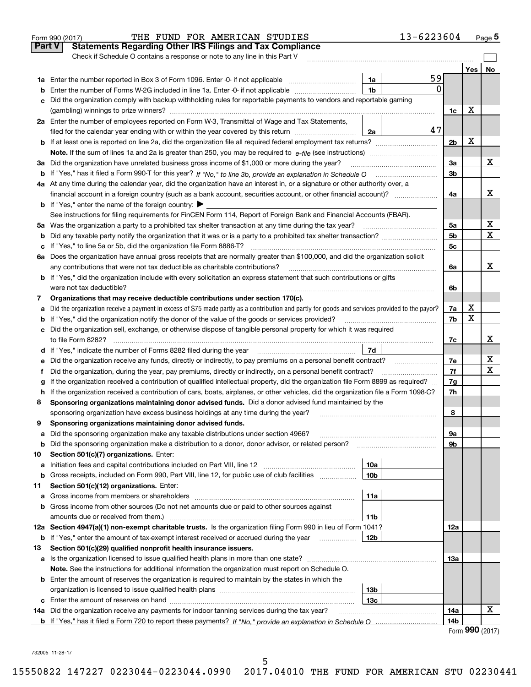|               | 13-6223604<br>THE FUND FOR AMERICAN STUDIES<br>Form 990 (2017)                                                                                  |                        |     | Page 5                      |
|---------------|-------------------------------------------------------------------------------------------------------------------------------------------------|------------------------|-----|-----------------------------|
| <b>Part V</b> | <b>Statements Regarding Other IRS Filings and Tax Compliance</b>                                                                                |                        |     |                             |
|               | Check if Schedule O contains a response or note to any line in this Part V                                                                      |                        |     |                             |
|               |                                                                                                                                                 |                        | Yes | No                          |
|               | 59<br>1a                                                                                                                                        |                        |     |                             |
| b             | 0<br>1 <sub>b</sub><br>Enter the number of Forms W-2G included in line 1a. Enter -0- if not applicable                                          |                        |     |                             |
|               | Did the organization comply with backup withholding rules for reportable payments to vendors and reportable gaming                              |                        |     |                             |
|               |                                                                                                                                                 | 1c                     | X   |                             |
|               | 2a Enter the number of employees reported on Form W-3, Transmittal of Wage and Tax Statements,                                                  |                        |     |                             |
|               | 47<br>filed for the calendar year ending with or within the year covered by this return<br>2a                                                   |                        |     |                             |
|               |                                                                                                                                                 | 2 <sub>b</sub>         | X   |                             |
|               |                                                                                                                                                 |                        |     |                             |
|               | 3a Did the organization have unrelated business gross income of \$1,000 or more during the year?                                                | За                     |     | х                           |
|               |                                                                                                                                                 | 3 <sub>b</sub>         |     |                             |
|               | 4a At any time during the calendar year, did the organization have an interest in, or a signature or other authority over, a                    |                        |     |                             |
|               | financial account in a foreign country (such as a bank account, securities account, or other financial account)?                                | 4a                     |     | х                           |
|               | <b>b</b> If "Yes," enter the name of the foreign country: $\blacktriangleright$                                                                 |                        |     |                             |
|               | See instructions for filing requirements for FinCEN Form 114, Report of Foreign Bank and Financial Accounts (FBAR).                             |                        |     |                             |
| 5a            |                                                                                                                                                 | 5a                     |     | х                           |
| b             |                                                                                                                                                 | 5 <sub>b</sub>         |     | $\mathbf X$                 |
| с             |                                                                                                                                                 | 5c                     |     |                             |
|               | 6a Does the organization have annual gross receipts that are normally greater than \$100,000, and did the organization solicit                  |                        |     |                             |
|               | any contributions that were not tax deductible as charitable contributions?                                                                     | 6a                     |     | x                           |
|               | <b>b</b> If "Yes," did the organization include with every solicitation an express statement that such contributions or gifts                   |                        |     |                             |
|               |                                                                                                                                                 | 6b                     |     |                             |
| 7             | Organizations that may receive deductible contributions under section 170(c).                                                                   |                        |     |                             |
| а             | Did the organization receive a payment in excess of \$75 made partly as a contribution and partly for goods and services provided to the payor? | 7a                     | х   |                             |
|               | If "Yes," did the organization notify the donor of the value of the goods or services provided?                                                 | 7b                     | X   |                             |
|               | c Did the organization sell, exchange, or otherwise dispose of tangible personal property for which it was required                             |                        |     |                             |
|               |                                                                                                                                                 | 7c                     |     | х                           |
|               | 7d                                                                                                                                              |                        |     |                             |
| е             | Did the organization receive any funds, directly or indirectly, to pay premiums on a personal benefit contract?                                 | 7e                     |     | x                           |
| f.            | Did the organization, during the year, pay premiums, directly or indirectly, on a personal benefit contract?                                    | 7f                     |     | $\mathbf X$                 |
|               | If the organization received a contribution of qualified intellectual property, did the organization file Form 8899 as required?                | 7g                     |     |                             |
|               | h If the organization received a contribution of cars, boats, airplanes, or other vehicles, did the organization file a Form 1098-C?            | 7h                     |     |                             |
| 8             | Sponsoring organizations maintaining donor advised funds. Did a donor advised fund maintained by the                                            |                        |     |                             |
|               | sponsoring organization have excess business holdings at any time during the year?                                                              | 8                      |     |                             |
|               | Sponsoring organizations maintaining donor advised funds.                                                                                       |                        |     |                             |
| а             | Did the sponsoring organization make any taxable distributions under section 4966?                                                              | 9а                     |     |                             |
| b             | Did the sponsoring organization make a distribution to a donor, donor advisor, or related person?                                               | 9b                     |     |                             |
| 10            | Section 501(c)(7) organizations. Enter:                                                                                                         |                        |     |                             |
| а             | 10a                                                                                                                                             |                        |     |                             |
| b             | 10 <sub>b</sub><br>Gross receipts, included on Form 990, Part VIII, line 12, for public use of club facilities                                  |                        |     |                             |
| 11            | Section 501(c)(12) organizations. Enter:                                                                                                        |                        |     |                             |
| а             | 11a<br>Gross income from members or shareholders                                                                                                |                        |     |                             |
| b             | Gross income from other sources (Do not net amounts due or paid to other sources against                                                        |                        |     |                             |
|               | amounts due or received from them.)<br>11b                                                                                                      |                        |     |                             |
|               | 12a Section 4947(a)(1) non-exempt charitable trusts. Is the organization filing Form 990 in lieu of Form 1041?                                  | 12a                    |     |                             |
| b             | 12b<br>If "Yes," enter the amount of tax-exempt interest received or accrued during the year manu-                                              |                        |     |                             |
| 13            | Section 501(c)(29) qualified nonprofit health insurance issuers.                                                                                |                        |     |                             |
|               | a Is the organization licensed to issue qualified health plans in more than one state?                                                          | 13а                    |     |                             |
|               | Note. See the instructions for additional information the organization must report on Schedule O.                                               |                        |     |                             |
|               | <b>b</b> Enter the amount of reserves the organization is required to maintain by the states in which the                                       |                        |     |                             |
|               | 13 <sub>b</sub>                                                                                                                                 |                        |     |                             |
| с             | 13 <sub>c</sub><br>14a Did the organization receive any payments for indoor tanning services during the tax year?                               |                        |     | х                           |
|               |                                                                                                                                                 | 14a<br>14 <sub>b</sub> |     |                             |
|               |                                                                                                                                                 |                        |     | $F_{\text{Orm}}$ 990 (2017) |

| Form 990 (2017) |  |
|-----------------|--|
|-----------------|--|

<sup>732005</sup>11-28-17 732005 11-28-17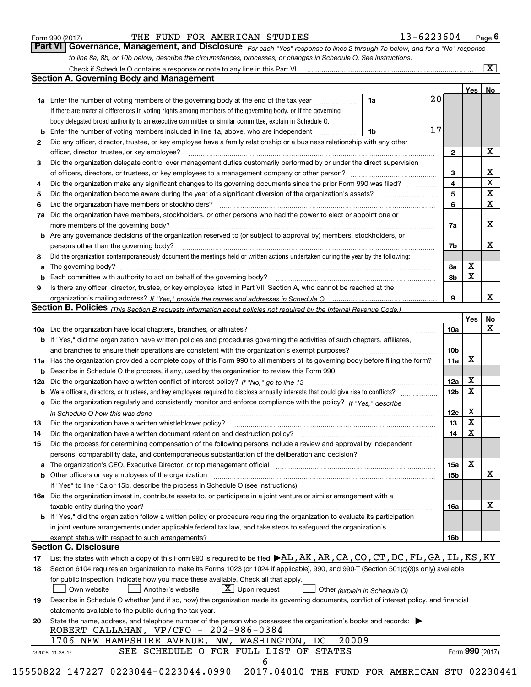|  | Form 990 (2017) |
|--|-----------------|
|  |                 |

Form990(2017) THE FUND FOR AMERICAN STUDIES 13-6223604 Page **6**  THE FUND FOR AMERICAN STUDIES 13-6223604

**Part VI Governance, Management, and Disclosure** For each "Yes" response to lines 2 through 7b below, and for a "No" response to line 8a, 8b, or 10b below, describe the circumstances, processes, or changes in Schedule O. See instructions. Form 990 (2017) **THE FUND FOR AMERICAN STUDIES** 13-6223604 Page 6<br>**Part VI Governance, Management, and Disclosure** For each "Yes" response to lines 2 through 7b below, and for a "No" response

|     | Check if Schedule O contains a response or note to any line in this Part VI                                                                                                                                                    |    |                 |                 | X  |
|-----|--------------------------------------------------------------------------------------------------------------------------------------------------------------------------------------------------------------------------------|----|-----------------|-----------------|----|
|     | <b>Section A. Governing Body and Management</b>                                                                                                                                                                                |    |                 |                 |    |
|     |                                                                                                                                                                                                                                |    |                 | Yes             | No |
|     | <b>1a</b> Enter the number of voting members of the governing body at the end of the tax year                                                                                                                                  | 1a | 20              |                 |    |
|     | If there are material differences in voting rights among members of the governing body, or if the governing                                                                                                                    |    |                 |                 |    |
|     | body delegated broad authority to an executive committee or similar committee, explain in Schedule O.                                                                                                                          |    |                 |                 |    |
| b   | Enter the number of voting members included in line 1a, above, who are independent                                                                                                                                             | 1b | 17              |                 |    |
| 2   | Did any officer, director, trustee, or key employee have a family relationship or a business relationship with any other                                                                                                       |    |                 |                 |    |
|     | officer, director, trustee, or key employee?                                                                                                                                                                                   |    | 2               |                 | X  |
| 3   | Did the organization delegate control over management duties customarily performed by or under the direct supervision                                                                                                          |    |                 |                 |    |
|     |                                                                                                                                                                                                                                |    | 3               |                 | x  |
| 4   | Did the organization make any significant changes to its governing documents since the prior Form 990 was filed?                                                                                                               |    | 4               |                 | X  |
| 5   | Did the organization become aware during the year of a significant diversion of the organization's assets? <i>manageranian</i> entity                                                                                          |    | 5               |                 | X  |
| 6   | Did the organization have members or stockholders?                                                                                                                                                                             |    | 6               |                 | X  |
|     | Did the organization have members, stockholders, or other persons who had the power to elect or appoint one or                                                                                                                 |    |                 |                 |    |
| 7a  |                                                                                                                                                                                                                                |    |                 |                 | X  |
|     | more members of the governing body?                                                                                                                                                                                            |    | 7a              |                 |    |
|     | <b>b</b> Are any governance decisions of the organization reserved to (or subject to approval by) members, stockholders, or                                                                                                    |    |                 |                 |    |
|     | persons other than the governing body?                                                                                                                                                                                         |    | 7b              |                 | х  |
| 8   | Did the organization contemporaneously document the meetings held or written actions undertaken during the year by the following:                                                                                              |    |                 |                 |    |
| a   |                                                                                                                                                                                                                                |    | 8а              | X               |    |
| b   |                                                                                                                                                                                                                                |    | 8b              | Χ               |    |
| 9   | Is there any officer, director, trustee, or key employee listed in Part VII, Section A, who cannot be reached at the                                                                                                           |    |                 |                 |    |
|     |                                                                                                                                                                                                                                |    | 9               |                 | x  |
|     | Section B. Policies <sub>(This</sub> Section B requests information about policies not required by the Internal Revenue Code.)                                                                                                 |    |                 |                 |    |
|     |                                                                                                                                                                                                                                |    |                 | Yes             | No |
|     |                                                                                                                                                                                                                                |    | 10a             |                 | X  |
|     | <b>b</b> If "Yes," did the organization have written policies and procedures governing the activities of such chapters, affiliates,                                                                                            |    |                 |                 |    |
|     | and branches to ensure their operations are consistent with the organization's exempt purposes?                                                                                                                                |    | 10 <sub>b</sub> |                 |    |
|     | 11a Has the organization provided a complete copy of this Form 990 to all members of its governing body before filing the form?                                                                                                |    | 11a             | X               |    |
| b   | Describe in Schedule O the process, if any, used by the organization to review this Form 990.                                                                                                                                  |    |                 |                 |    |
| 12a | Did the organization have a written conflict of interest policy? If "No," go to line 13                                                                                                                                        |    | 12a             | X               |    |
| b   |                                                                                                                                                                                                                                |    | 12 <sub>b</sub> | х               |    |
| с   | Did the organization regularly and consistently monitor and enforce compliance with the policy? If "Yes." describe                                                                                                             |    |                 |                 |    |
|     | in Schedule O how this was done measured and the control of the control of the state of the control of the control of the control of the control of the control of the control of the control of the control of the control of |    | 12c             | х               |    |
| 13  | Did the organization have a written whistleblower policy?                                                                                                                                                                      |    | 13              | X               |    |
| 14  | Did the organization have a written document retention and destruction policy?                                                                                                                                                 |    | 14              | X               |    |
| 15  | Did the process for determining compensation of the following persons include a review and approval by independent                                                                                                             |    |                 |                 |    |
|     | persons, comparability data, and contemporaneous substantiation of the deliberation and decision?                                                                                                                              |    |                 |                 |    |
| а   | The organization's CEO, Executive Director, or top management official manufactured content of the organization's CEO, Executive Director, or top management official                                                          |    | 15a             | X               |    |
|     | <b>b</b> Other officers or key employees of the organization                                                                                                                                                                   |    | 15b             |                 | X  |
|     | If "Yes" to line 15a or 15b, describe the process in Schedule O (see instructions).                                                                                                                                            |    |                 |                 |    |
|     | 16a Did the organization invest in, contribute assets to, or participate in a joint venture or similar arrangement with a                                                                                                      |    |                 |                 |    |
|     | taxable entity during the year?                                                                                                                                                                                                |    | 16a             |                 | х  |
|     | b If "Yes," did the organization follow a written policy or procedure requiring the organization to evaluate its participation                                                                                                 |    |                 |                 |    |
|     | in joint venture arrangements under applicable federal tax law, and take steps to safequard the organization's                                                                                                                 |    |                 |                 |    |
|     | exempt status with respect to such arrangements?                                                                                                                                                                               |    | 16b             |                 |    |
|     | <b>Section C. Disclosure</b>                                                                                                                                                                                                   |    |                 |                 |    |
| 17  | List the states with which a copy of this Form 990 is required to be filed $\blacktriangleright$ AL, AK, AR, CA, CO, CT, DC, FL, GA, IL, KS, KY                                                                                |    |                 |                 |    |
| 18  | Section 6104 requires an organization to make its Forms 1023 (or 1024 if applicable), 990, and 990-T (Section 501(c)(3)s only) available                                                                                       |    |                 |                 |    |
|     | for public inspection. Indicate how you made these available. Check all that apply.                                                                                                                                            |    |                 |                 |    |
|     | $X$ Upon request<br>Another's website<br>Own website<br>Other (explain in Schedule O)                                                                                                                                          |    |                 |                 |    |
| 19  | Describe in Schedule O whether (and if so, how) the organization made its governing documents, conflict of interest policy, and financial                                                                                      |    |                 |                 |    |
|     | statements available to the public during the tax year.                                                                                                                                                                        |    |                 |                 |    |
| 20  | State the name, address, and telephone number of the person who possesses the organization's books and records:                                                                                                                |    |                 |                 |    |
|     | ROBERT CALLAHAN, VP/CFO - 202-986-0384                                                                                                                                                                                         |    |                 |                 |    |
|     | 20009<br>1706 NEW HAMPSHIRE AVENUE, NW, WASHINGTON, DC                                                                                                                                                                         |    |                 |                 |    |
|     | SEE SCHEDULE O FOR FULL LIST OF STATES<br>732006 11-28-17                                                                                                                                                                      |    |                 | Form 990 (2017) |    |
|     | 6<br>022011/17207 האדם המאדם המווים המווים החומר מחמר מחמר ממחמר ממחמר המחמר המחמר המחמר                                                                                                                                       |    |                 |                 |    |
|     |                                                                                                                                                                                                                                |    |                 |                 |    |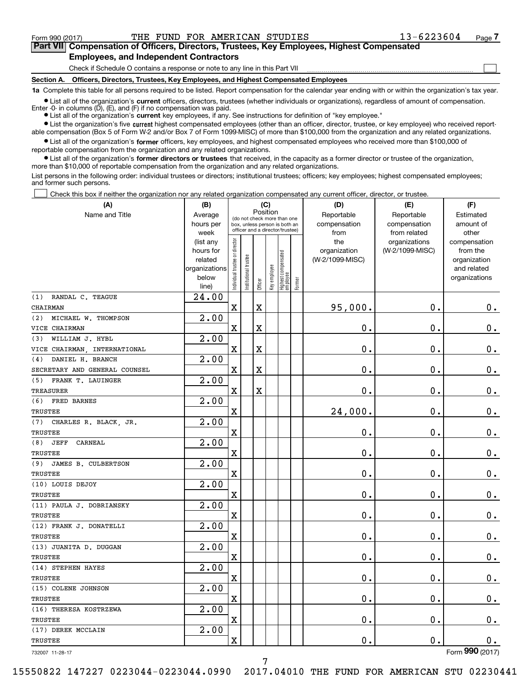$\mathcal{L}^{\text{max}}$ 

**Part VII Compensation of Officers, Directors, Trustees, Key Employees, Highest Compensated 7Part VII Compensation of Officers, Directors, Trustees, Key Employees, Highest Compensated Employees, and Independent Contractors Employees, and Independent Contractors**

Check if Schedule O contains a response or note to any line in this Part VII <u>mand all communication communication</u>

**Section A. Officers, Directors, Trustees, Key Employees, and Highest Compensated Employees Section A. Officers, Directors, Trustees, Key Employees, and Highest Compensated Employees**

1a Complete this table for all persons required to be listed. Report compensation for the calendar year ending with or within the organization's tax year.

List all of the organization's current officers, directors, trustees (whether individuals or organizations), regardless of amount of compensation. Enter -0- in columns (D), (E), and (F) if no compensation was paid.

● List all of the organization's current key employees, if any. See instructions for definition of "key employee."

• List the organization's five current highest compensated employees (other than an officer, director, trustee, or key employee) who received reportable compensation (Box 5 of Form W-2 and/or Box 7 of Form 1099-MISC) of more than \$100,000 from the organization and any related organizations.

List all of the organization's former officers, key employees, and highest compensated employees who received more than \$100,000 of reportable compensation from the organization and any related organizations. reportable compensation from the organization and any related organizations.

List all of the organization's former directors or trustees that received, in the capacity as a former director or trustee of the organization, more than \$10 , <sup>000</sup>of reportable compensation from the organization and any related organizations. more than \$10,000 of reportable compensation from the organization and any related organizations.

List persons in the following order: individual trustees or directors; institutional trustees; officers; key employees; highest compensated employees; and former such persons. and former such persons.

Check this box if neither the organization nor any related organization compensated any current officer, director, or trustee.  $\mathcal{L}^{\text{max}}$ 

| (A)<br>Name and Title         | (B)<br>Average<br>hours per<br>week                                  |                                | (do not check more than one<br>box, unless person is both an<br>officer and a director/trustee) | Position    | (C)          |                                   |        | (D)<br>Reportable<br>compensation<br>from | (E)<br>Reportable<br>compensation<br>from related | (F)<br>Estimated<br>amount of<br>other                                   |
|-------------------------------|----------------------------------------------------------------------|--------------------------------|-------------------------------------------------------------------------------------------------|-------------|--------------|-----------------------------------|--------|-------------------------------------------|---------------------------------------------------|--------------------------------------------------------------------------|
|                               | (list any<br>hours for<br>related<br>organizations<br>below<br>line) | Individual trustee or director | In stitutional trustee                                                                          | Officer     | Key employee | Highest compensated<br>  employee | Former | the<br>organization<br>(W-2/1099-MISC)    | organizations<br>(W-2/1099-MISC)                  | compensation<br>from the<br>organization<br>and related<br>organizations |
| RANDAL C. TEAGUE<br>(1)       | 24.00                                                                |                                |                                                                                                 |             |              |                                   |        |                                           |                                                   |                                                                          |
| CHAIRMAN                      |                                                                      | $\mathbf X$                    |                                                                                                 | $\mathbf X$ |              |                                   |        | 95,000.                                   | 0.                                                | 0.                                                                       |
| MICHAEL W. THOMPSON<br>(2)    | 2.00                                                                 |                                |                                                                                                 |             |              |                                   |        |                                           |                                                   |                                                                          |
| VICE CHAIRMAN                 |                                                                      | $\mathbf x$                    |                                                                                                 | X           |              |                                   |        | $\mathbf 0$ .                             | $0$ .                                             | 0.                                                                       |
| WILLIAM J. HYBL<br>(3)        | 2.00                                                                 |                                |                                                                                                 |             |              |                                   |        |                                           |                                                   |                                                                          |
| VICE CHAIRMAN, INTERNATIONAL  |                                                                      | $\mathbf x$                    |                                                                                                 | X           |              |                                   |        | $\mathbf 0$ .                             | $0$ .                                             | 0.                                                                       |
| DANIEL H. BRANCH<br>(4)       | 2.00                                                                 |                                |                                                                                                 |             |              |                                   |        |                                           |                                                   |                                                                          |
| SECRETARY AND GENERAL COUNSEL |                                                                      | $\mathbf x$                    |                                                                                                 | X           |              |                                   |        | $\mathbf 0$ .                             | $0$ .                                             | 0.                                                                       |
| (5)<br>FRANK T. LAUINGER      | 2.00                                                                 |                                |                                                                                                 |             |              |                                   |        |                                           |                                                   |                                                                          |
| <b>TREASURER</b>              |                                                                      | $\mathbf x$                    |                                                                                                 | X           |              |                                   |        | $\mathbf 0$ .                             | $0$ .                                             | 0.                                                                       |
| FRED BARNES<br>(6)            | 2.00                                                                 |                                |                                                                                                 |             |              |                                   |        |                                           |                                                   |                                                                          |
| TRUSTEE                       |                                                                      | $\mathbf x$                    |                                                                                                 |             |              |                                   |        | 24,000.                                   | $0$ .                                             | 0.                                                                       |
| CHARLES R. BLACK, JR.<br>(7)  | 2.00                                                                 |                                |                                                                                                 |             |              |                                   |        |                                           |                                                   |                                                                          |
| TRUSTEE                       |                                                                      | $\overline{\mathbf{X}}$        |                                                                                                 |             |              |                                   |        | $\mathbf 0$ .                             | $0$ .                                             | 0.                                                                       |
| (8)<br><b>JEFF</b><br>CARNEAL | 2.00                                                                 |                                |                                                                                                 |             |              |                                   |        |                                           |                                                   |                                                                          |
| TRUSTEE                       |                                                                      | $\mathbf x$                    |                                                                                                 |             |              |                                   |        | 0.                                        | $0$ .                                             | 0.                                                                       |
| (9)<br>JAMES B. CULBERTSON    | 2.00                                                                 |                                |                                                                                                 |             |              |                                   |        |                                           |                                                   |                                                                          |
| TRUSTEE                       |                                                                      | $\mathbf x$                    |                                                                                                 |             |              |                                   |        | $\mathbf 0$ .                             | $0$ .                                             | 0.                                                                       |
| (10) LOUIS DEJOY              | 2.00                                                                 |                                |                                                                                                 |             |              |                                   |        |                                           |                                                   |                                                                          |
| TRUSTEE                       |                                                                      | $\overline{\mathbf{X}}$        |                                                                                                 |             |              |                                   |        | $\mathbf 0$ .                             | $0$ .                                             | 0.                                                                       |
| (11) PAULA J. DOBRIANSKY      | 2.00                                                                 |                                |                                                                                                 |             |              |                                   |        |                                           |                                                   |                                                                          |
| TRUSTEE                       |                                                                      | $\overline{\mathbf{X}}$        |                                                                                                 |             |              |                                   |        | $\mathbf 0$ .                             | $0$ .                                             | 0.                                                                       |
| (12) FRANK J. DONATELLI       | 2.00                                                                 |                                |                                                                                                 |             |              |                                   |        |                                           |                                                   |                                                                          |
| TRUSTEE                       |                                                                      | $\mathbf x$                    |                                                                                                 |             |              |                                   |        | $\mathbf 0$ .                             | $0$ .                                             | 0.                                                                       |
| (13) JUANITA D. DUGGAN        | 2.00                                                                 |                                |                                                                                                 |             |              |                                   |        |                                           |                                                   |                                                                          |
| TRUSTEE                       |                                                                      | $\mathbf x$                    |                                                                                                 |             |              |                                   |        | 0.                                        | $0$ .                                             | 0.                                                                       |
| (14) STEPHEN HAYES            | 2.00                                                                 |                                |                                                                                                 |             |              |                                   |        |                                           |                                                   |                                                                          |
| TRUSTEE                       |                                                                      | $\mathbf x$                    |                                                                                                 |             |              |                                   |        | 0.                                        | $0$ .                                             | 0.                                                                       |
| (15) COLENE JOHNSON           | 2.00                                                                 |                                |                                                                                                 |             |              |                                   |        |                                           |                                                   |                                                                          |
| <b>TRUSTEE</b>                |                                                                      | $\mathbf x$                    |                                                                                                 |             |              |                                   |        | 0.                                        | 0.                                                | 0.                                                                       |
| (16) THERESA KOSTRZEWA        | 2.00                                                                 |                                |                                                                                                 |             |              |                                   |        |                                           |                                                   |                                                                          |
| TRUSTEE                       |                                                                      | $\mathbf X$                    |                                                                                                 |             |              |                                   |        | 0.                                        | 0.                                                | $0$ .                                                                    |
| (17) DEREK MCCLAIN            | 2.00                                                                 |                                |                                                                                                 |             |              |                                   |        |                                           |                                                   |                                                                          |
| <b>TRUSTEE</b>                |                                                                      | $\mathbf x$                    |                                                                                                 |             |              |                                   |        | 0.                                        | $0$ .                                             | 0.                                                                       |
| 732007 11-28-17               |                                                                      |                                |                                                                                                 |             |              |                                   |        |                                           |                                                   | Form 990 (2017)                                                          |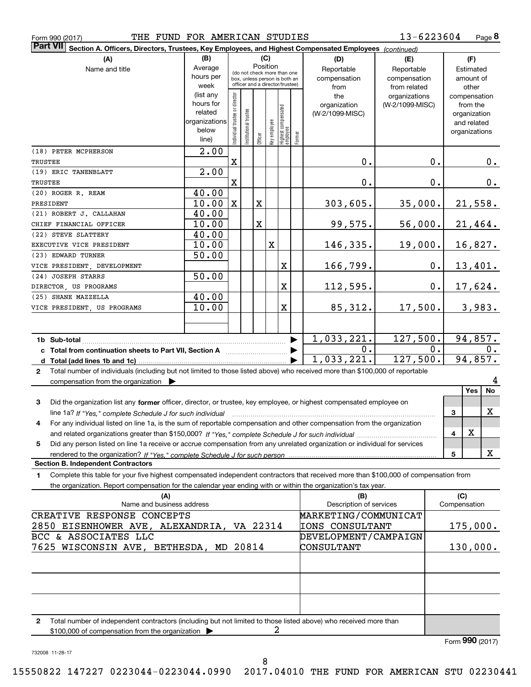|  | Form 990 (2017) |
|--|-----------------|
|  |                 |

**8** 13-6223604

|                                                                                                                                                                                        | (B)                      |                                |                       |         | (C)<br>Position |                                                              |        | Part VII Section A. Officers, Directors, Trustees, Key Employees, and Highest Compensated Employees (continued)<br>(D) | (E)                        |    | (F)                         |
|----------------------------------------------------------------------------------------------------------------------------------------------------------------------------------------|--------------------------|--------------------------------|-----------------------|---------|-----------------|--------------------------------------------------------------|--------|------------------------------------------------------------------------------------------------------------------------|----------------------------|----|-----------------------------|
| Name and title                                                                                                                                                                         | Average<br>hours per     |                                |                       |         |                 | (do not check more than one<br>box, unless person is both an |        | Reportable<br>compensation                                                                                             | Reportable<br>compensation |    | Estimated<br>amount of      |
|                                                                                                                                                                                        | week                     |                                |                       |         |                 | officer and a director/trustee)                              |        | from                                                                                                                   | from related               |    | other                       |
|                                                                                                                                                                                        | (list any                |                                |                       |         |                 |                                                              |        | the                                                                                                                    | organizations              |    | compensation                |
|                                                                                                                                                                                        | hours for                |                                |                       |         |                 |                                                              |        | organization                                                                                                           | (W-2/1099-MISC)            |    | from the                    |
|                                                                                                                                                                                        | related<br>organizations |                                |                       |         |                 |                                                              |        | (W-2/1099-MISC)                                                                                                        |                            |    | organization<br>and related |
|                                                                                                                                                                                        | below                    | Individual trustee or director | Institutional trustee |         | Key employee    | Highest compensated<br>  employee                            |        |                                                                                                                        |                            |    | organizations               |
|                                                                                                                                                                                        | line)                    |                                |                       | Officer |                 |                                                              | Former |                                                                                                                        |                            |    |                             |
| (18) PETER MCPHERSON                                                                                                                                                                   | 2.00                     |                                |                       |         |                 |                                                              |        |                                                                                                                        |                            |    |                             |
| TRUSTEE                                                                                                                                                                                |                          | $\mathbf X$                    |                       |         |                 |                                                              |        | 0.                                                                                                                     |                            | 0. | 0.                          |
| (19) ERIC TANENBLATT<br>TRUSTEE                                                                                                                                                        | 2.00                     | $\mathbf X$                    |                       |         |                 |                                                              |        | 0.                                                                                                                     |                            | 0. | 0.                          |
| (20) ROGER R. REAM                                                                                                                                                                     | 40.00                    |                                |                       |         |                 |                                                              |        |                                                                                                                        |                            |    |                             |
| PRESIDENT                                                                                                                                                                              | 10.00                    | $\mathbf{X}$                   |                       | X       |                 |                                                              |        | 303,605.                                                                                                               | 35,000.                    |    | 21,558.                     |
| (21) ROBERT J. CALLAHAN                                                                                                                                                                | 40.00                    |                                |                       |         |                 |                                                              |        |                                                                                                                        |                            |    |                             |
| CHIEF FINANCIAL OFFICER                                                                                                                                                                | 10.00                    |                                |                       | X       |                 |                                                              |        | 99,575.                                                                                                                | 56,000.                    |    | 21,464.                     |
| (22) STEVE SLATTERY                                                                                                                                                                    | 40.00                    |                                |                       |         |                 |                                                              |        |                                                                                                                        |                            |    |                             |
| EXECUTIVE VICE PRESIDENT                                                                                                                                                               | 10.00                    |                                |                       |         | $\mathbf X$     |                                                              |        | 146,335.                                                                                                               | 19,000.                    |    | 16,827.                     |
| (23) EDWARD TURNER                                                                                                                                                                     | 50.00                    |                                |                       |         |                 |                                                              |        |                                                                                                                        |                            |    |                             |
| VICE PRESIDENT, DEVELOPMENT<br>(24) JOSEPH STARRS                                                                                                                                      |                          |                                |                       |         |                 | X                                                            |        | 166,799.                                                                                                               |                            | 0. | 13,401.                     |
| DIRECTOR, US PROGRAMS                                                                                                                                                                  | 50.00                    |                                |                       |         |                 | X                                                            |        | 112,595.                                                                                                               |                            | 0. | 17,624.                     |
| (25) SHANE MAZZELLA                                                                                                                                                                    | 40.00                    |                                |                       |         |                 |                                                              |        |                                                                                                                        |                            |    |                             |
| VICE PRESIDENT, US PROGRAMS                                                                                                                                                            | 10.00                    |                                |                       |         |                 | X                                                            |        | 85,312.                                                                                                                | 17,500.                    |    | 3,983.                      |
|                                                                                                                                                                                        |                          |                                |                       |         |                 |                                                              |        |                                                                                                                        |                            |    |                             |
|                                                                                                                                                                                        |                          |                                |                       |         |                 |                                                              |        |                                                                                                                        |                            |    |                             |
| 1b Sub-total                                                                                                                                                                           |                          |                                |                       |         |                 |                                                              |        | 1,033,221.                                                                                                             | 127,500.                   |    | 94,857.                     |
|                                                                                                                                                                                        |                          |                                |                       |         |                 |                                                              |        |                                                                                                                        |                            |    |                             |
| c Total from continuation sheets to Part VII, Section A <b>witch the Continuum</b>                                                                                                     |                          |                                |                       |         |                 |                                                              |        | 0.                                                                                                                     |                            | 0. | $\mathbf{0}$ .              |
| Total number of individuals (including but not limited to those listed above) who received more than \$100,000 of reportable<br>$\mathbf{2}$                                           |                          |                                |                       |         |                 |                                                              |        | 1,033,221.                                                                                                             | 127,500.                   |    | 94,857.                     |
| compensation from the organization $\blacktriangleright$<br>Did the organization list any former officer, director, or trustee, key employee, or highest compensated employee on<br>3  |                          |                                |                       |         |                 |                                                              |        |                                                                                                                        |                            |    | 4<br>No<br><b>Yes</b>       |
| line 1a? If "Yes," complete Schedule J for such individual manufactured contains and the "Yes," complete Schedule J for such individual                                                |                          |                                |                       |         |                 |                                                              |        |                                                                                                                        |                            |    | X<br>3                      |
| For any individual listed on line 1a, is the sum of reportable compensation and other compensation from the organization<br>4                                                          |                          |                                |                       |         |                 |                                                              |        |                                                                                                                        |                            |    |                             |
|                                                                                                                                                                                        |                          |                                |                       |         |                 |                                                              |        |                                                                                                                        |                            |    | $\mathbf X$<br>4            |
| Did any person listed on line 1a receive or accrue compensation from any unrelated organization or individual for services<br>5                                                        |                          |                                |                       |         |                 |                                                              |        |                                                                                                                        |                            |    |                             |
|                                                                                                                                                                                        |                          |                                |                       |         |                 |                                                              |        |                                                                                                                        |                            |    | x<br>5                      |
| Complete this table for your five highest compensated independent contractors that received more than \$100,000 of compensation from<br>1                                              |                          |                                |                       |         |                 |                                                              |        |                                                                                                                        |                            |    |                             |
| the organization. Report compensation for the calendar year ending with or within the organization's tax year.                                                                         |                          |                                |                       |         |                 |                                                              |        |                                                                                                                        |                            |    |                             |
| (A)                                                                                                                                                                                    |                          |                                |                       |         |                 |                                                              |        | (B)                                                                                                                    |                            |    | (C)                         |
| Name and business address                                                                                                                                                              |                          |                                |                       |         |                 |                                                              |        | Description of services                                                                                                |                            |    | Compensation                |
|                                                                                                                                                                                        |                          |                                |                       |         |                 |                                                              |        | MARKETING/COMMUNICAT                                                                                                   |                            |    |                             |
|                                                                                                                                                                                        |                          |                                |                       |         |                 |                                                              |        | IONS CONSULTANT                                                                                                        |                            |    | 175,000.                    |
|                                                                                                                                                                                        |                          |                                |                       |         |                 |                                                              |        | DEVELOPMENT/CAMPAIGN                                                                                                   |                            |    |                             |
|                                                                                                                                                                                        |                          |                                |                       |         |                 |                                                              |        | CONSULTANT                                                                                                             |                            |    | 130,000.                    |
|                                                                                                                                                                                        |                          |                                |                       |         |                 |                                                              |        |                                                                                                                        |                            |    |                             |
|                                                                                                                                                                                        |                          |                                |                       |         |                 |                                                              |        |                                                                                                                        |                            |    |                             |
|                                                                                                                                                                                        |                          |                                |                       |         |                 |                                                              |        |                                                                                                                        |                            |    |                             |
|                                                                                                                                                                                        |                          |                                |                       |         |                 |                                                              |        |                                                                                                                        |                            |    |                             |
| 2                                                                                                                                                                                      |                          |                                |                       |         |                 |                                                              |        |                                                                                                                        |                            |    |                             |
| Total number of independent contractors (including but not limited to those listed above) who received more than<br>\$100,000 of compensation from the organization                    |                          |                                |                       |         |                 |                                                              |        |                                                                                                                        |                            |    |                             |
| <b>Section B. Independent Contractors</b><br>CREATIVE RESPONSE CONCEPTS<br>2850 EISENHOWER AVE, ALEXANDRIA, VA 22314<br>BCC & ASSOCIATES LLC<br>7625 WISCONSIN AVE, BETHESDA, MD 20814 |                          |                                |                       |         |                 |                                                              |        |                                                                                                                        |                            |    | Form 990 (2017)             |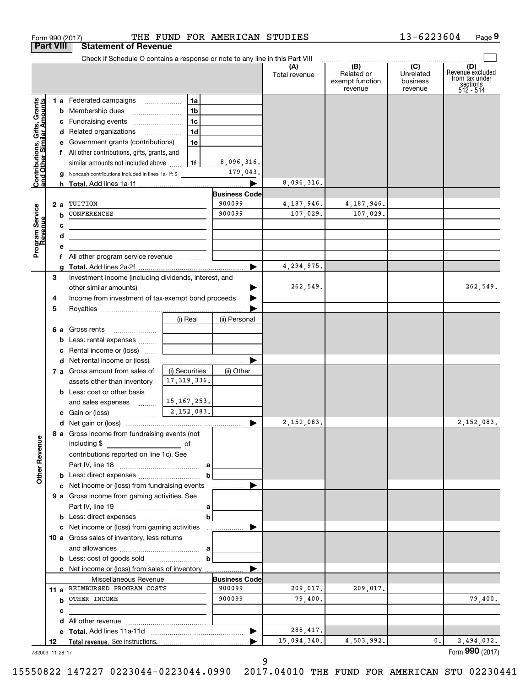|                                                           |        | Check if Schedule O contains a response or note to any line in this Part VIII                                        |                |                      | (A)<br>Total revenue | (B)<br>Related or<br>exempt function<br>revenue | (C)<br>Unrelated<br>business<br>revenue | (D)<br>Revenue excluded<br>from tax under<br>sections<br>512 - 514 |
|-----------------------------------------------------------|--------|----------------------------------------------------------------------------------------------------------------------|----------------|----------------------|----------------------|-------------------------------------------------|-----------------------------------------|--------------------------------------------------------------------|
|                                                           |        | 1 a Federated campaigns                                                                                              | 1a             |                      |                      |                                                 |                                         |                                                                    |
| Contributions, Gifts, Grants<br>and Other Similar Amounts |        | <b>b</b> Membership dues                                                                                             | 1b             |                      |                      |                                                 |                                         |                                                                    |
|                                                           |        | c Fundraising events                                                                                                 | 1c             |                      |                      |                                                 |                                         |                                                                    |
|                                                           |        | d Related organizations                                                                                              | 1 <sub>d</sub> |                      |                      |                                                 |                                         |                                                                    |
|                                                           |        | e Government grants (contributions)                                                                                  | 1e             |                      |                      |                                                 |                                         |                                                                    |
|                                                           |        | f All other contributions, gifts, grants, and                                                                        |                |                      |                      |                                                 |                                         |                                                                    |
|                                                           |        | similar amounts not included above                                                                                   | 1f             | 8,096,316.           |                      |                                                 |                                         |                                                                    |
|                                                           |        | <b>g</b> Noncash contributions included in lines 1a-1f: \$                                                           |                | 179,043.             |                      |                                                 |                                         |                                                                    |
|                                                           |        |                                                                                                                      |                | ▶                    | 8,096,316.           |                                                 |                                         |                                                                    |
|                                                           |        |                                                                                                                      |                | <b>Business Code</b> |                      |                                                 |                                         |                                                                    |
|                                                           | 2a     | TUITION                                                                                                              |                | 900099               | 4,187,946.           | 4,187,946.                                      |                                         |                                                                    |
|                                                           | b      | <b>CONFERENCES</b>                                                                                                   |                | 900099               | 107,029.             | 107,029.                                        |                                         |                                                                    |
|                                                           | с      |                                                                                                                      |                |                      |                      |                                                 |                                         |                                                                    |
|                                                           | d      | <u> 1989 - Johann Stein, marwolaethau a bhann an t-Amhair an t-Amhair an t-Amhair an t-Amhair an t-Amhair an t-A</u> |                |                      |                      |                                                 |                                         |                                                                    |
| Program Service<br>Revenue                                | е      |                                                                                                                      |                |                      |                      |                                                 |                                         |                                                                    |
|                                                           |        | f All other program service revenue                                                                                  |                |                      |                      |                                                 |                                         |                                                                    |
|                                                           | a      |                                                                                                                      |                | ▶                    | 4,294,975.           |                                                 |                                         |                                                                    |
|                                                           | 3      | Investment income (including dividends, interest, and                                                                |                |                      |                      |                                                 |                                         |                                                                    |
|                                                           |        |                                                                                                                      |                | ▶                    | 262,549.             |                                                 |                                         | 262,549.                                                           |
|                                                           | 4      | Income from investment of tax-exempt bond proceeds                                                                   |                |                      |                      |                                                 |                                         |                                                                    |
|                                                           | 5      |                                                                                                                      |                |                      |                      |                                                 |                                         |                                                                    |
|                                                           |        |                                                                                                                      | (i) Real       | (ii) Personal        |                      |                                                 |                                         |                                                                    |
|                                                           |        | 6 a Gross rents                                                                                                      |                |                      |                      |                                                 |                                         |                                                                    |
|                                                           |        | <b>b</b> Less: rental expenses                                                                                       |                |                      |                      |                                                 |                                         |                                                                    |
|                                                           |        | c Rental income or (loss)                                                                                            |                |                      |                      |                                                 |                                         |                                                                    |
|                                                           |        |                                                                                                                      |                |                      |                      |                                                 |                                         |                                                                    |
|                                                           |        | 7 a Gross amount from sales of                                                                                       | (i) Securities | (ii) Other           |                      |                                                 |                                         |                                                                    |
|                                                           |        | assets other than inventory                                                                                          | 17, 319, 336.  |                      |                      |                                                 |                                         |                                                                    |
|                                                           |        | <b>b</b> Less: cost or other basis                                                                                   |                |                      |                      |                                                 |                                         |                                                                    |
|                                                           |        | and sales expenses                                                                                                   | 15, 167, 253.  |                      |                      |                                                 |                                         |                                                                    |
|                                                           |        |                                                                                                                      |                |                      |                      |                                                 |                                         |                                                                    |
|                                                           |        |                                                                                                                      |                | ▶                    | 2,152,083.           |                                                 |                                         | 2,152,083.                                                         |
|                                                           |        | 8 a Gross income from fundraising events (not                                                                        |                |                      |                      |                                                 |                                         |                                                                    |
|                                                           |        | including \$<br>contributions reported on line 1c). See                                                              |                |                      |                      |                                                 |                                         |                                                                    |
| <b>Other Revenue</b>                                      |        |                                                                                                                      |                |                      |                      |                                                 |                                         |                                                                    |
|                                                           |        |                                                                                                                      | b              |                      |                      |                                                 |                                         |                                                                    |
|                                                           |        | c Net income or (loss) from fundraising events                                                                       |                | ▶                    |                      |                                                 |                                         |                                                                    |
|                                                           |        | 9 a Gross income from gaming activities. See                                                                         |                |                      |                      |                                                 |                                         |                                                                    |
|                                                           |        |                                                                                                                      |                |                      |                      |                                                 |                                         |                                                                    |
|                                                           |        |                                                                                                                      | b              |                      |                      |                                                 |                                         |                                                                    |
|                                                           |        |                                                                                                                      |                | ▶                    |                      |                                                 |                                         |                                                                    |
|                                                           |        | 10 a Gross sales of inventory, less returns                                                                          |                |                      |                      |                                                 |                                         |                                                                    |
|                                                           |        |                                                                                                                      |                |                      |                      |                                                 |                                         |                                                                    |
|                                                           |        |                                                                                                                      | b              |                      |                      |                                                 |                                         |                                                                    |
|                                                           |        | c Net income or (loss) from sales of inventory                                                                       |                | ▶                    |                      |                                                 |                                         |                                                                    |
|                                                           |        | Miscellaneous Revenue                                                                                                |                | <b>Business Code</b> |                      |                                                 |                                         |                                                                    |
|                                                           |        | 11 a REIMBURSED PROGRAM COSTS                                                                                        |                | 900099               | 209,017.             | 209,017.                                        |                                         |                                                                    |
|                                                           |        | <b>b</b> OTHER INCOME                                                                                                |                | 900099               | 79,400.              |                                                 |                                         | 79,400.                                                            |
|                                                           |        |                                                                                                                      |                |                      |                      |                                                 |                                         |                                                                    |
|                                                           |        |                                                                                                                      |                |                      |                      |                                                 |                                         |                                                                    |
|                                                           | c<br>d |                                                                                                                      |                |                      |                      |                                                 |                                         |                                                                    |
|                                                           |        |                                                                                                                      |                | ▶                    | 288, 417.            |                                                 |                                         |                                                                    |

Form 990 (2017) THE FUND FOR AMERICAN STUDIES 13-6223604 Page 9

**9**

13-6223604

9 9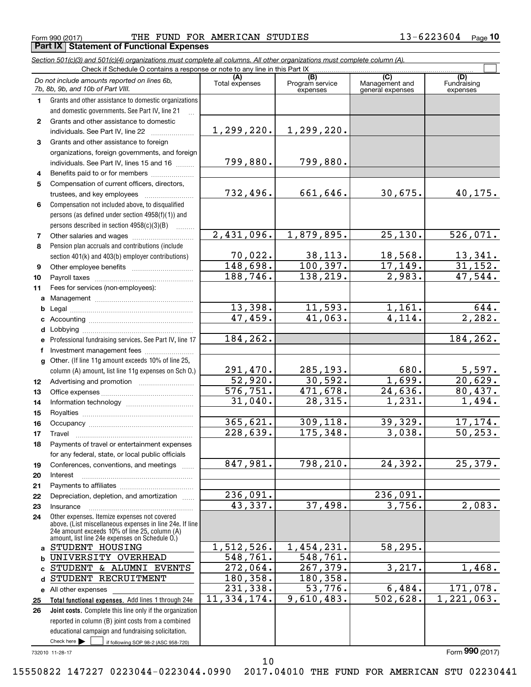Form 990 (2017) THE FUND FOR AMERICAN STUDIES 13-6223604 Page 10 **Part IX | Statement of Functional Expenses** 

|              | Section 501(c)(3) and 501(c)(4) organizations must complete all columns. All other organizations must complete column (A).                                                                                  |                         |                             |                                    |                                |
|--------------|-------------------------------------------------------------------------------------------------------------------------------------------------------------------------------------------------------------|-------------------------|-----------------------------|------------------------------------|--------------------------------|
|              | Check if Schedule O contains a response or note to any line in this Part IX                                                                                                                                 | (A)                     | (B)                         | (C)                                |                                |
|              | Do not include amounts reported on lines 6b,<br>7b, 8b, 9b, and 10b of Part VIII.                                                                                                                           | Total expenses          | Program service<br>expenses | Management and<br>general expenses | (D)<br>Fundraising<br>expenses |
| $\mathbf 1$  | Grants and other assistance to domestic organizations<br>and domestic governments. See Part IV, line 21                                                                                                     |                         |                             |                                    |                                |
| $\mathbf{2}$ | Grants and other assistance to domestic<br>individuals. See Part IV, line 22                                                                                                                                | 1,299,220.              | 1,299,220.                  |                                    |                                |
| 3            | Grants and other assistance to foreign                                                                                                                                                                      |                         |                             |                                    |                                |
|              | organizations, foreign governments, and foreign                                                                                                                                                             |                         |                             |                                    |                                |
|              | individuals. See Part IV, lines 15 and 16                                                                                                                                                                   | 799,880.                | 799,880.                    |                                    |                                |
| 4            | Benefits paid to or for members                                                                                                                                                                             |                         |                             |                                    |                                |
| 5            | Compensation of current officers, directors,                                                                                                                                                                |                         |                             |                                    |                                |
|              | trustees, and key employees                                                                                                                                                                                 | 732,496.                | 661,646.                    | 30,675.                            | 40,175.                        |
| 6            | Compensation not included above, to disqualified                                                                                                                                                            |                         |                             |                                    |                                |
|              | persons (as defined under section 4958(f)(1)) and                                                                                                                                                           |                         |                             |                                    |                                |
|              | persons described in section 4958(c)(3)(B)                                                                                                                                                                  |                         |                             |                                    |                                |
| 7            |                                                                                                                                                                                                             | 2,431,096.              | 1,879,895.                  | 25, 130.                           | 526,071.                       |
| 8            | Pension plan accruals and contributions (include                                                                                                                                                            |                         |                             |                                    |                                |
|              | section 401(k) and 403(b) employer contributions)                                                                                                                                                           | 70,022.                 | 38,113.                     | 18,568.                            | $\frac{13,341}{31,152}$        |
| 9            |                                                                                                                                                                                                             | 148,698.                | 100, 397.                   | 17, 149.                           |                                |
| 10           |                                                                                                                                                                                                             | 188,746.                | 138,219.                    | $\overline{2}$ , 983.              | 47,544.                        |
| 11           | Fees for services (non-employees):                                                                                                                                                                          |                         |                             |                                    |                                |
|              |                                                                                                                                                                                                             |                         |                             |                                    |                                |
| b            |                                                                                                                                                                                                             | 13,398.                 | 11,593.                     | 1,161.                             | 644.                           |
|              |                                                                                                                                                                                                             | 47,459.                 | 41,063.                     | 4,114.                             | 2,282.                         |
|              |                                                                                                                                                                                                             |                         |                             |                                    |                                |
| е            | Professional fundraising services. See Part IV, line 17                                                                                                                                                     | 184,262.                |                             |                                    | 184,262.                       |
|              | Investment management fees                                                                                                                                                                                  |                         |                             |                                    |                                |
|              | g Other. (If line 11g amount exceeds 10% of line 25,                                                                                                                                                        | 291,470.                | 285,193.                    | 680.                               |                                |
|              | column (A) amount, list line 11g expenses on Sch O.)                                                                                                                                                        | 52,920.                 | 30,592.                     | 1,699.                             | $\frac{5,597.}{20,629.}$       |
| 12<br>13     |                                                                                                                                                                                                             | 576,751.                | 471,678.                    | 24,636.                            | 80,437.                        |
| 14           |                                                                                                                                                                                                             | 31,040.                 | 28,315.                     | 1,231.                             | 1,494.                         |
| 15           |                                                                                                                                                                                                             |                         |                             |                                    |                                |
| 16           |                                                                                                                                                                                                             | 365,621.                | 309,118.                    | 39,329.                            | 17,174.                        |
| 17           |                                                                                                                                                                                                             | 228,639.                | 175,348.                    | 3,038.                             | 50, 253.                       |
| 18           | Payments of travel or entertainment expenses                                                                                                                                                                |                         |                             |                                    |                                |
|              | for any federal, state, or local public officials                                                                                                                                                           |                         |                             |                                    |                                |
| 19           | Conferences, conventions, and meetings                                                                                                                                                                      | 847,981.                | 798,210.                    | 24,392.                            | 25,379.                        |
| 20           | Interest                                                                                                                                                                                                    |                         |                             |                                    |                                |
| 21           |                                                                                                                                                                                                             |                         |                             |                                    |                                |
| 22           | Depreciation, depletion, and amortization                                                                                                                                                                   | 236,091.                |                             | 236,091.                           |                                |
| 23           | Insurance                                                                                                                                                                                                   | 43,337.                 | 37,498.                     | 3,756.                             | 2,083.                         |
| 24           | Other expenses. Itemize expenses not covered<br>above. (List miscellaneous expenses in line 24e. If line<br>24e amount exceeds 10% of line 25, column (A)<br>amount, list line 24e expenses on Schedule O.) |                         |                             |                                    |                                |
| a            | STUDENT HOUSING                                                                                                                                                                                             | 1,512,526.              | 1,454,231.                  | 58,295.                            |                                |
|              | UNIVERSITY OVERHEAD                                                                                                                                                                                         | 548,761.                | 548,761.                    |                                    |                                |
|              | STUDENT & ALUMNI EVENTS                                                                                                                                                                                     | $\overline{272}$ , 064. | 267,379.                    | 3,217.                             | 1,468.                         |
|              | STUDENT RECRUITMENT                                                                                                                                                                                         | 180,358.                | 180,358.                    |                                    |                                |
|              | e All other expenses                                                                                                                                                                                        | 231,338.                | 53,776.                     | 6,484.                             | 171,078.                       |
| 25           | Total functional expenses. Add lines 1 through 24e                                                                                                                                                          | 11,334,174.             | 9,610,483.                  | 502,628.                           | $\overline{1,221},063.$        |
| 26           | Joint costs. Complete this line only if the organization                                                                                                                                                    |                         |                             |                                    |                                |
|              | reported in column (B) joint costs from a combined                                                                                                                                                          |                         |                             |                                    |                                |
|              | educational campaign and fundraising solicitation.                                                                                                                                                          |                         |                             |                                    |                                |
|              | Check here<br>if following SOP 98-2 (ASC 958-720)                                                                                                                                                           |                         |                             |                                    | Form 990 (2017)                |
|              | 732010 11-28-17                                                                                                                                                                                             | 10                      |                             |                                    |                                |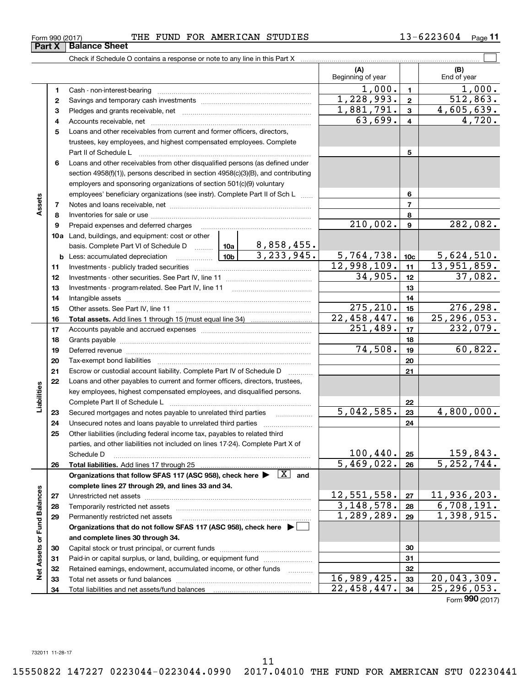#### **b** Less: accumulated depreciation ... ... ... ... ... ... **10b** 3, 233, 945. **b10b** Less: accumulated depreciation ~~~~~~ **11** Investments - publicly traded securities ... ... ... ... ... ... ... ... ... ... ... ... ... ... ... ... ... ... ... Investments - publicly traded securities ~~~~~~~~~~~~~~~~~~~ **<sup>12</sup>**Investments - other securities. See Part IV, line <sup>11</sup> ... ... ... ... ... ... ... ... ... ... ... ... ... ... Investments - other securities. See Part IV, line 11 ~~~~~~~~~~~~~~**13** Investments - program-related. See Part IV, line <sup>11</sup> ... ... ... ... ... ... ... ... ... ... ... ... ... Investments - program-related. See Part IV, line 11 **14** Intangible assets ... ... ... ... ... ... ... ... ... ... ... ... ... ... ... ... ... ... ... ... ... ... ... ... ... ... ... ... ... ... Intangible assets ~~~~~~~~~~~~~~~~~~~~~~~~~~~~~~**<sup>15</sup>**Other assets. See Part IV, line <sup>11</sup> ... ... ... ... ... ... ... ... ... ... ... ... ... ... ... ... ... ... ... ... ... ... Other assets. See Part IV, line 11 ~~~~~~~~~~~~~~~~~~~~~~ Liabilities **17** Accoun t s payable and accrued expenses ... ... ... ... ... ... ... ... ... ... ... ... ... ... ... ... ... ... Accounts payable and accrued expenses ~~~~~~~~~~~~~~~~~~**18** Gra n ts payable ... ... ... ... ... ... ... ... ... ... ... ... ... ... ... ... ... ... ... ... ... ... ... ... ... ... ... ... ... ... ... Grants payable ~~~~~~~~~~~~~~~~~~~~~~~~~~~~~~~ **19** Deferred revenue ... ... ... ... ... ... ... ... ... ... ... ... ... ... ... ... ... ... ... ... ... ... ... ... ... ... ... ... ... ... Deferred revenue **20** Tax-exempt bond liabili t ies ... ... ... ... ... ... ... ... ... ... ... ... ... ... ... ... ... ... ... ... ... ... ... ... ... Tax-exempt bond liabilities ~~~~~~~~~~~~~~~~~~~~~~~~~**21** Escrow or custodial account liability. Complete Part IV of Schedule D ............ **22** Loans and other payables to current and former officers, directors, trustees, Loans and other payables to current and former officers, directors, trustees, key employees, highest compensated employees, and disqualified persons. key employees, highest compensated employees, and disqualified persons. Complete Part II of Schedule L ... ... ... ... ... ... ... ... ... ... ... ... ... ... ... ... ... ... ... ... ... ... ... Complete Part II of Schedule L ~~~~~~~~~~~~~~~~~~~~~~~ 23 Secured mortgages and notes payable to unrelated third parties **Filter and the sympally** 24 Unsecured notes and loans payable to unrelated third parties ....................... **25** Other liabilities (including federal income tax, payables to related third Other liabilities (including federal income tax, payables to related third parties, and other liabilities not included on lines 17-24). Complete Part X of parties, and other liabilities not included on lines 17-24). Complete Part X of Schedule D ... ... ... ... ... ... ... ... ... ... ... ... ... ... ... ... ... ... ... ... ... ... ... ... ... ... ... ... ... ... ... ... Schedule D ~~~~~~~~~~~~~~~~~~~~~~~~~~~~~~~~ **Example the Part II of Schedule L**<br>
Secured mortgages and notes payable to unrelated third parties<br>
Organizations and loans payable to unrelated third parties<br>
Other liabilities (including federal income tax, payables to **complete lines 27 through 29, and lines 33 and 34 . complete lines 27 through 29, and lines 33 and 34. 27** Unrestricted net assets ................................................................................. Unrestricted net assets ~~~~~~~~~~~~~~~~~~~~~~~~~~~**13 1321 21111213141516171819202122232425262710c1112141516171819202223242526Total assets.**  Add lines 1 through 15 (must equal line 34) **Liabilities Total liabilities.**  Add lines 17 through 25 Organizations that follow SFAS 117 (ASC 958), check here  $\blacktriangleright$   $\boxed{\text{X}}$  and **27**275,210. 5,042,585. 4,800,000.

## Form 990 (2017) THE FUND FOR AMERICAN STUDIES 13-6223604 Page 11

Check if Schedule O contains a response or note to any line in this Part X **multuare contained any property of the contains** 

Beginning of year 1, 000. **1**  1,000. 1,000.  $\frac{1}{228,993.}$  2 512,863.<br>1,228,993. 2 512,863. **2 2**1, 881,791. **3**  1,881,791. 4,605,639. 63, 699. **4**  63,699. 4,720. 1, 000. 512, 863. 4, 605, 639. 4,720. **Atsess 1** Cash - non-interest-bearing ........................................................................... Cash - non-interest-bearing ~~~~~~~~~~~~~~~~~~~~~~~~~ **2** Savings and temporary cash investments ...................................................... Savings and temporary cash investments ~~~~~~~~~~~~~~~~~~**3** Pledges and grants receivable, net ............................................................... **3**Pledges and grants receivable, net ~~~~~~~~~~~~~~~~~~~~~ **4** Accounts receivable, net .............................................................................. Accounts receivable, net ~~~~~~~~~~~~~~~~~~~~~~~~~~ **5** Loans and other receivables from current and former officers, directors, **5**Loans and other receivables from current and former officers, directors, trustees, key employees, and highest compensated employees. Complete trustees, key employees, and highest compensated employees. Complete Part II of Schedule L .................................................................................... Part II of Schedule L ~~~~~~~~~~~~~~~~~~~~~~~~~~~~ **6** Loans and other receivables from other disqualified persons (as defined under Loans and other receivables from other disqualified persons (as defined under section 4958(f)(<sup>1</sup> )), persons described in section 4958(c)(<sup>3</sup> )(B), and contributing section 4958(f)(1)), persons described in section 4958(c)(3)(B), and contributing employers and sponsoring organizations of section 501 (c)(<sup>9</sup> ) voluntary employers and sponsoring organizations of section 501(c)(9) voluntary employees' beneficiary organizations (see instr). Complete Part II of Sch L  $\,\,\ldots\ldots$ **7** Notes and loans receivable, net ..................................................................... Notes and loans receivable, net ~~~~~~~~~~~~~~~~~~~~~~~ **8** Inventories for sale or use ... ... ... ... ... ... ... ... ... ... ... ... ... ... ... ... ... ... ... ... ... ... ... ... ... ... Inventories for sale or use ~~~~~~~~~~~~~~~~~~~~~~~~~~ **9** Prepaid expenses and deferred charges ... ... ... ... ... ... ... ... ... ... ... ... ... ... ... ... ... ... Prepaid expenses and deferred charges **10a** Land, buildings, and equipment: cost or other **basis. Complete Part VI of Schedule D** .......... **10a** | 8,858,455. **Net Assets or Fund Balances 28** Temporarily restricted net assets .................................................................. Temporarily restricted net assets ~~~~~~~~~~~~~~~~~~~~~~ **29** Permanently restricted net assets ............................................................... Permanently restricted net assets ~~~~~~~~~~~~~~~~~~~~~**Call in the domain of the follow SFAS 117 Organizations that do not follow SFAS 117 (ASC 958), check here**  $\triangleright$  $\frac{12}{3}$ **,**  $\frac{12}{3}$ **,**  $\frac{12}{3}$  **and complete lines 27 through 29, and lines 33 and 34.<br>
Unrestricted n and complete lines 30 through 34 . and complete lines 30 through 34. 30** Capital stock or trust principal, or current funds ............................................. Capital stock or trust principal, or current funds ~~~~~~~~~~~~~~~ **31** Paid-in or capital surplus, or land, building, or equipment fund ....................... **32** Retained earnings, endowment, accumulated income, or other funds ............ **33** Total net assets or fund balances ... ... ... ... ... ... ... ... ... ... ... ... ... ... ... ... ... ... ... ... ... ... Total net assets or fund balances ~~~~~~~~~~~~~~~~~~~~~~ **7 7**210, 002. **9** 282, 082. 5,764,738. **10c** 5, 624,510. 3,233,945. 5,764,738. 5,624,510. 12, 998,109. **11** 13, 951, 859. 12,998,109. 13,951,859. 34, 905. **12** 37, 082. 34,905. 37,082. 275,210. **15** 276,298.<br>22,458,447. **16** 25,296,053. 22,458,447. **16** 25,296, 053. 22,458,447. 25,296,053. 251,489. **17** 232, 079. 251,489. 232,079. 74,508. **19** 60, 822. 74,508. 60,822. 5, 042,585. **23** 4, 800, 000. 100,440. **25** 159, 843. 100,440. 159,843. 5,469, 022. **<sup>26</sup>**5,252,744. 5,469,022. 5,252,744. 12,551,558. **27** 11, 936,203. 12,551,558. 11,936,203. 3,148,578. **28** 6,708,191. 1,289,289. **29** 1, 398, 915. **31 31**16, 989,425. **33** 20, 043, 309. 22,458,447. **34** 25,296, 053. **1246789282930313233341345689Assets 2829Organizations that do not follow SFAS 117 (ASC 958), check here** | **30323334Net Assets or Fund Balances** Total liabilities and net assets/fund balances  $210,002.$ 8,858,455. 3,148,578. 1,289,289. 16,989,425. 22,458,447.

**(A) (B)**

Beginning of year | | End of year

**(B)**  End of year  $\mathcal{L}^{\text{max}}$ 

**(A)** 

**Part X** Balance Sheet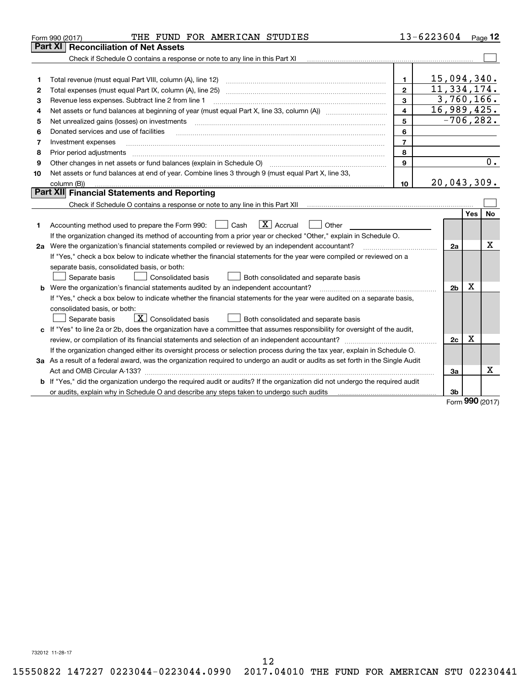|    | THE FUND FOR AMERICAN STUDIES<br>Form 990 (2017)                                                                                |                | 13-6223604                |                 | Page $12$ |
|----|---------------------------------------------------------------------------------------------------------------------------------|----------------|---------------------------|-----------------|-----------|
|    | Part XI   Reconciliation of Net Assets                                                                                          |                |                           |                 |           |
|    | Check if Schedule O contains a response or note to any line in this Part XI                                                     |                |                           |                 |           |
|    |                                                                                                                                 |                |                           |                 |           |
| 1  | Total revenue (must equal Part VIII, column (A), line 12)                                                                       | 1.             | 15,094,340.               |                 |           |
| 2  |                                                                                                                                 | $\mathbf{2}$   | 11,334,174.               |                 |           |
| З  | Revenue less expenses. Subtract line 2 from line 1                                                                              | $\mathbf{a}$   | $\overline{3,760}$ , 166. |                 |           |
| 4  |                                                                                                                                 | $\overline{4}$ | 16,989,425.               |                 |           |
| 5  | Net unrealized gains (losses) on investments                                                                                    | 5              | $-706, 282.$              |                 |           |
| 6  | Donated services and use of facilities                                                                                          | 6              |                           |                 |           |
| 7  | Investment expenses                                                                                                             | $\overline{7}$ |                           |                 |           |
| 8  | Prior period adjustments                                                                                                        | 8              |                           |                 |           |
| 9  | Other changes in net assets or fund balances (explain in Schedule O) [11] [2000] [2000] [2000] [2000] [2000] [                  | $\mathbf{Q}$   |                           |                 | $0$ .     |
| 10 | Net assets or fund balances at end of year. Combine lines 3 through 9 (must equal Part X, line 33,                              |                |                           |                 |           |
|    | column (B))                                                                                                                     | 10             | 20,043,309.               |                 |           |
|    | Part XII Financial Statements and Reporting                                                                                     |                |                           |                 |           |
|    |                                                                                                                                 |                |                           |                 |           |
|    |                                                                                                                                 |                |                           | <b>Yes</b>      | <b>No</b> |
| 1  | $\boxed{\text{X}}$ Accrual<br>Accounting method used to prepare the Form 990: <u>I</u> Cash<br>Other                            |                |                           |                 |           |
|    | If the organization changed its method of accounting from a prior year or checked "Other," explain in Schedule O.               |                |                           |                 |           |
|    | 2a Were the organization's financial statements compiled or reviewed by an independent accountant?                              |                | 2a                        |                 | X         |
|    | If "Yes," check a box below to indicate whether the financial statements for the year were compiled or reviewed on a            |                |                           |                 |           |
|    | separate basis, consolidated basis, or both:                                                                                    |                |                           |                 |           |
|    | Both consolidated and separate basis<br>Separate basis<br>Consolidated basis                                                    |                |                           |                 |           |
|    | <b>b</b> Were the organization's financial statements audited by an independent accountant?                                     |                | 2 <sub>b</sub>            | Χ               |           |
|    | If "Yes," check a box below to indicate whether the financial statements for the year were audited on a separate basis,         |                |                           |                 |           |
|    | consolidated basis, or both:                                                                                                    |                |                           |                 |           |
|    | $\sqrt{\mathbf{X}}$ Consolidated basis<br>Both consolidated and separate basis<br>Separate basis                                |                |                           |                 |           |
|    | c If "Yes" to line 2a or 2b, does the organization have a committee that assumes responsibility for oversight of the audit,     |                |                           |                 |           |
|    |                                                                                                                                 |                | 2c                        | Χ               |           |
|    | If the organization changed either its oversight process or selection process during the tax year, explain in Schedule O.       |                |                           |                 |           |
|    | 3a As a result of a federal award, was the organization required to undergo an audit or audits as set forth in the Single Audit |                |                           |                 |           |
|    | Act and OMB Circular A-133?                                                                                                     |                | За                        |                 | x         |
|    | b If "Yes," did the organization undergo the required audit or audits? If the organization did not undergo the required audit   |                |                           |                 |           |
|    |                                                                                                                                 |                | 3b                        | $000 \text{ m}$ |           |

Form **990** (2017) Form (2017) **990**

732012 11-28-17 732012 11-28-17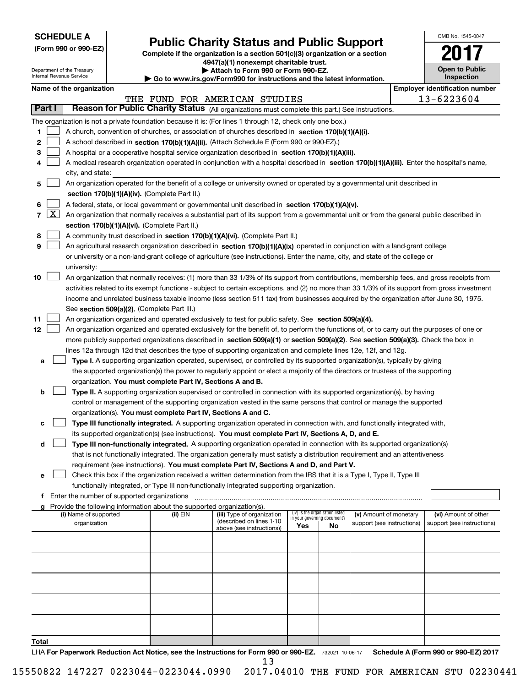|--|

Department of the Treasury Internal Revenue Service

**(Form 990 or 990-EZ)**

# **Public Charity Status and Public Support (Form 990 or 990-EZ) Public Charity Status and Public Support**

**Complete if the organization is a section 501(c)(3 ) organization or a section Complete if the organization is a section 501(c)(3) organization or a section <sup>4947</sup>(a)(1 ) nonexempt charitable trust. 4947(a)(1) nonexempt charitable trust.**

Department of the Treasury **| Attach to Form 990 or Form 990-EZ. | Attach to Form 990 or Form 990-EZ.** 

| Internal Revenue Service | Go to www.irs.gov/Form990 for instructions and the latest information. |
|--------------------------|------------------------------------------------------------------------|
|                          |                                                                        |

| OMB No 1545-0047                    |
|-------------------------------------|
| SU.                                 |
| <b>Open to Public</b><br>Inspection |

|  | Name of the organization |
|--|--------------------------|
|--|--------------------------|

|       |                     | Name of the organization                                                                                                                                                                                                                             |          |                                                        |                             |                                 |                                                      | <b>Employer identification number</b>              |
|-------|---------------------|------------------------------------------------------------------------------------------------------------------------------------------------------------------------------------------------------------------------------------------------------|----------|--------------------------------------------------------|-----------------------------|---------------------------------|------------------------------------------------------|----------------------------------------------------|
|       |                     |                                                                                                                                                                                                                                                      |          | THE FUND FOR AMERICAN STUDIES                          |                             |                                 |                                                      | 13-6223604                                         |
|       | Part I              | Reason for Public Charity Status (All organizations must complete this part.) See instructions.                                                                                                                                                      |          |                                                        |                             |                                 |                                                      |                                                    |
|       |                     | The organization is not a private foundation because it is: (For lines 1 through 12, check only one box.)                                                                                                                                            |          |                                                        |                             |                                 |                                                      |                                                    |
| 1     |                     | A church, convention of churches, or association of churches described in section 170(b)(1)(A)(i).                                                                                                                                                   |          |                                                        |                             |                                 |                                                      |                                                    |
| 2     |                     | A school described in section 170(b)(1)(A)(ii). (Attach Schedule E (Form 990 or 990-EZ).)                                                                                                                                                            |          |                                                        |                             |                                 |                                                      |                                                    |
| 3     |                     | A hospital or a cooperative hospital service organization described in section 170(b)(1)(A)(iii).                                                                                                                                                    |          |                                                        |                             |                                 |                                                      |                                                    |
| 4     |                     | A medical research organization operated in conjunction with a hospital described in section 170(b)(1)(A)(iii). Enter the hospital's name,                                                                                                           |          |                                                        |                             |                                 |                                                      |                                                    |
|       |                     | city, and state:                                                                                                                                                                                                                                     |          |                                                        |                             |                                 |                                                      |                                                    |
| 5     |                     | An organization operated for the benefit of a college or university owned or operated by a governmental unit described in                                                                                                                            |          |                                                        |                             |                                 |                                                      |                                                    |
|       |                     | section 170(b)(1)(A)(iv). (Complete Part II.)                                                                                                                                                                                                        |          |                                                        |                             |                                 |                                                      |                                                    |
| 6     |                     | A federal, state, or local government or governmental unit described in section 170(b)(1)(A)(v).                                                                                                                                                     |          |                                                        |                             |                                 |                                                      |                                                    |
| 7     | $\lfloor x \rfloor$ | An organization that normally receives a substantial part of its support from a governmental unit or from the general public described in                                                                                                            |          |                                                        |                             |                                 |                                                      |                                                    |
|       |                     | section 170(b)(1)(A)(vi). (Complete Part II.)                                                                                                                                                                                                        |          |                                                        |                             |                                 |                                                      |                                                    |
| 8     |                     | A community trust described in section 170(b)(1)(A)(vi). (Complete Part II.)                                                                                                                                                                         |          |                                                        |                             |                                 |                                                      |                                                    |
| 9     |                     | An agricultural research organization described in section 170(b)(1)(A)(ix) operated in conjunction with a land-grant college                                                                                                                        |          |                                                        |                             |                                 |                                                      |                                                    |
|       |                     | or university or a non-land-grant college of agriculture (see instructions). Enter the name, city, and state of the college or                                                                                                                       |          |                                                        |                             |                                 |                                                      |                                                    |
|       |                     | university:                                                                                                                                                                                                                                          |          |                                                        |                             |                                 |                                                      |                                                    |
| 10    |                     | An organization that normally receives: (1) more than 33 1/3% of its support from contributions, membership fees, and gross receipts from                                                                                                            |          |                                                        |                             |                                 |                                                      |                                                    |
|       |                     | activities related to its exempt functions - subject to certain exceptions, and (2) no more than 33 1/3% of its support from gross investment                                                                                                        |          |                                                        |                             |                                 |                                                      |                                                    |
|       |                     | income and unrelated business taxable income (less section 511 tax) from businesses acquired by the organization after June 30, 1975.                                                                                                                |          |                                                        |                             |                                 |                                                      |                                                    |
|       |                     | See section 509(a)(2). (Complete Part III.)                                                                                                                                                                                                          |          |                                                        |                             |                                 |                                                      |                                                    |
| 11    |                     | An organization organized and operated exclusively to test for public safety. See section 509(a)(4).                                                                                                                                                 |          |                                                        |                             |                                 |                                                      |                                                    |
| 12    |                     | An organization organized and operated exclusively for the benefit of, to perform the functions of, or to carry out the purposes of one or                                                                                                           |          |                                                        |                             |                                 |                                                      |                                                    |
|       |                     | more publicly supported organizations described in section 509(a)(1) or section 509(a)(2). See section 509(a)(3). Check the box in<br>lines 12a through 12d that describes the type of supporting organization and complete lines 12e, 12f, and 12g. |          |                                                        |                             |                                 |                                                      |                                                    |
| a     |                     | Type I. A supporting organization operated, supervised, or controlled by its supported organization(s), typically by giving                                                                                                                          |          |                                                        |                             |                                 |                                                      |                                                    |
|       |                     | the supported organization(s) the power to regularly appoint or elect a majority of the directors or trustees of the supporting                                                                                                                      |          |                                                        |                             |                                 |                                                      |                                                    |
|       |                     | organization. You must complete Part IV, Sections A and B.                                                                                                                                                                                           |          |                                                        |                             |                                 |                                                      |                                                    |
| b     |                     | Type II. A supporting organization supervised or controlled in connection with its supported organization(s), by having                                                                                                                              |          |                                                        |                             |                                 |                                                      |                                                    |
|       |                     | control or management of the supporting organization vested in the same persons that control or manage the supported                                                                                                                                 |          |                                                        |                             |                                 |                                                      |                                                    |
|       |                     | organization(s). You must complete Part IV, Sections A and C.                                                                                                                                                                                        |          |                                                        |                             |                                 |                                                      |                                                    |
| с     |                     | Type III functionally integrated. A supporting organization operated in connection with, and functionally integrated with,                                                                                                                           |          |                                                        |                             |                                 |                                                      |                                                    |
|       |                     | its supported organization(s) (see instructions). You must complete Part IV, Sections A, D, and E.                                                                                                                                                   |          |                                                        |                             |                                 |                                                      |                                                    |
| d     |                     | Type III non-functionally integrated. A supporting organization operated in connection with its supported organization(s)                                                                                                                            |          |                                                        |                             |                                 |                                                      |                                                    |
|       |                     | that is not functionally integrated. The organization generally must satisfy a distribution requirement and an attentiveness                                                                                                                         |          |                                                        |                             |                                 |                                                      |                                                    |
|       |                     | requirement (see instructions). You must complete Part IV, Sections A and D, and Part V.                                                                                                                                                             |          |                                                        |                             |                                 |                                                      |                                                    |
|       |                     | Check this box if the organization received a written determination from the IRS that it is a Type I, Type II, Type III                                                                                                                              |          |                                                        |                             |                                 |                                                      |                                                    |
|       |                     | functionally integrated, or Type III non-functionally integrated supporting organization.                                                                                                                                                            |          |                                                        |                             |                                 |                                                      |                                                    |
|       |                     | f Enter the number of supported organizations                                                                                                                                                                                                        |          |                                                        |                             |                                 |                                                      |                                                    |
|       |                     | g Provide the following information about the supported organization(s).                                                                                                                                                                             |          |                                                        |                             | (iv) Is the organization listed |                                                      |                                                    |
|       |                     | (i) Name of supported<br>organization                                                                                                                                                                                                                | (ii) EIN | (iii) Type of organization<br>(described on lines 1-10 | in your governing document? |                                 | (v) Amount of monetary<br>support (see instructions) | (vi) Amount of other<br>support (see instructions) |
|       |                     |                                                                                                                                                                                                                                                      |          | above (see instructions))                              | Yes                         | No                              |                                                      |                                                    |
|       |                     |                                                                                                                                                                                                                                                      |          |                                                        |                             |                                 |                                                      |                                                    |
|       |                     |                                                                                                                                                                                                                                                      |          |                                                        |                             |                                 |                                                      |                                                    |
|       |                     |                                                                                                                                                                                                                                                      |          |                                                        |                             |                                 |                                                      |                                                    |
|       |                     |                                                                                                                                                                                                                                                      |          |                                                        |                             |                                 |                                                      |                                                    |
|       |                     |                                                                                                                                                                                                                                                      |          |                                                        |                             |                                 |                                                      |                                                    |
|       |                     |                                                                                                                                                                                                                                                      |          |                                                        |                             |                                 |                                                      |                                                    |
|       |                     |                                                                                                                                                                                                                                                      |          |                                                        |                             |                                 |                                                      |                                                    |
|       |                     |                                                                                                                                                                                                                                                      |          |                                                        |                             |                                 |                                                      |                                                    |
|       |                     |                                                                                                                                                                                                                                                      |          |                                                        |                             |                                 |                                                      |                                                    |
| Total |                     |                                                                                                                                                                                                                                                      |          |                                                        |                             |                                 |                                                      |                                                    |

LHA For Paperwork Reduction Act Notice, see the Instructions for Form 990 or 990-EZ. 732021 10-06-17 Schedule A (Form 990 or 990-EZ) 2017 13 13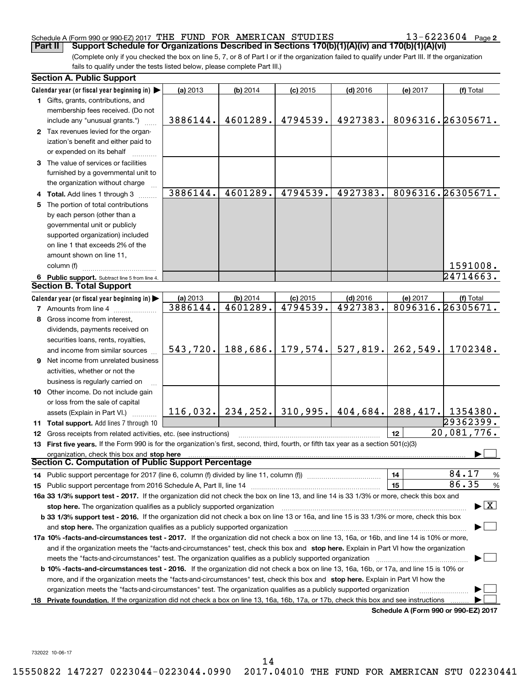## Schedule A (Form 990 or 990-EZ) 2017 THE FUND FOR AMERICAN STUDIES 13-6223604 Page 2

| Schedule A (Form 990 or 990-EZ) 2017 THE FUND FOR AMERICAN STUDIES<br>Support Schedule for Organizations Described in Sections 170(b)(1)(A)(iv) and 170(b)(1)(A)(vi)<br>Part II                                                                                                                                                                                                   |           |            |            |                                                                         |                 | $13 - 6223604$ Page 2                    |
|-----------------------------------------------------------------------------------------------------------------------------------------------------------------------------------------------------------------------------------------------------------------------------------------------------------------------------------------------------------------------------------|-----------|------------|------------|-------------------------------------------------------------------------|-----------------|------------------------------------------|
| (Complete only if you checked the box on line 5, 7, or 8 of Part I or if the organization failed to qualify under Part III. If the organization                                                                                                                                                                                                                                   |           |            |            |                                                                         |                 |                                          |
| fails to qualify under the tests listed below, please complete Part III.)                                                                                                                                                                                                                                                                                                         |           |            |            |                                                                         |                 |                                          |
| <b>Section A. Public Support</b>                                                                                                                                                                                                                                                                                                                                                  |           |            |            |                                                                         |                 |                                          |
| Calendar year (or fiscal year beginning in) $\blacktriangleright$                                                                                                                                                                                                                                                                                                                 | (a) 2013  | (b) 2014   | $(c)$ 2015 | $(d)$ 2016                                                              | (e) 2017        | (f) Total                                |
| 1 Gifts, grants, contributions, and                                                                                                                                                                                                                                                                                                                                               |           |            |            |                                                                         |                 |                                          |
| membership fees received. (Do not                                                                                                                                                                                                                                                                                                                                                 |           |            |            |                                                                         |                 |                                          |
| include any "unusual grants.")                                                                                                                                                                                                                                                                                                                                                    | 3886144.  | 4601289.   | 4794539.   | 4927383.                                                                |                 | 8096316.26305671.                        |
| 2 Tax revenues levied for the organ-                                                                                                                                                                                                                                                                                                                                              |           |            |            |                                                                         |                 |                                          |
| ization's benefit and either paid to<br>or expended on its behalf                                                                                                                                                                                                                                                                                                                 |           |            |            |                                                                         |                 |                                          |
| 3 The value of services or facilities                                                                                                                                                                                                                                                                                                                                             |           |            |            |                                                                         |                 |                                          |
| furnished by a governmental unit to                                                                                                                                                                                                                                                                                                                                               |           |            |            |                                                                         |                 |                                          |
| the organization without charge                                                                                                                                                                                                                                                                                                                                                   |           |            |            |                                                                         |                 |                                          |
| 4 Total. Add lines 1 through 3                                                                                                                                                                                                                                                                                                                                                    | 3886144.  | 4601289.   | 4794539.   | 4927383.                                                                |                 | 8096316.26305671.                        |
| 5 The portion of total contributions                                                                                                                                                                                                                                                                                                                                              |           |            |            |                                                                         |                 |                                          |
| by each person (other than a                                                                                                                                                                                                                                                                                                                                                      |           |            |            |                                                                         |                 |                                          |
| governmental unit or publicly                                                                                                                                                                                                                                                                                                                                                     |           |            |            |                                                                         |                 |                                          |
| supported organization) included<br>on line 1 that exceeds 2% of the                                                                                                                                                                                                                                                                                                              |           |            |            |                                                                         |                 |                                          |
| amount shown on line 11,                                                                                                                                                                                                                                                                                                                                                          |           |            |            |                                                                         |                 |                                          |
| column (f)                                                                                                                                                                                                                                                                                                                                                                        |           |            |            |                                                                         |                 | 1591008.                                 |
| 6 Public support. Subtract line 5 from line 4.                                                                                                                                                                                                                                                                                                                                    |           |            |            |                                                                         |                 | 24714663.                                |
| <b>Section B. Total Support</b>                                                                                                                                                                                                                                                                                                                                                   |           |            |            |                                                                         |                 |                                          |
| Calendar year (or fiscal year beginning in)                                                                                                                                                                                                                                                                                                                                       | (a) 2013  | $(b)$ 2014 | $(c)$ 2015 | $(d)$ 2016                                                              | (e) 2017        | (f) Total                                |
| 7 Amounts from line 4                                                                                                                                                                                                                                                                                                                                                             | 3886144.  | 4601289.   | 4794539.   | 4927383.                                                                |                 | 8096316.26305671.                        |
| 8 Gross income from interest,                                                                                                                                                                                                                                                                                                                                                     |           |            |            |                                                                         |                 |                                          |
| dividends, payments received on                                                                                                                                                                                                                                                                                                                                                   |           |            |            |                                                                         |                 |                                          |
| securities loans, rents, royalties,                                                                                                                                                                                                                                                                                                                                               |           |            |            |                                                                         |                 |                                          |
| and income from similar sources                                                                                                                                                                                                                                                                                                                                                   | 543, 720. |            |            | $188,686.$ 179, 574. 527, 819.                                          | 262,549.        | 1702348.                                 |
| Net income from unrelated business                                                                                                                                                                                                                                                                                                                                                |           |            |            |                                                                         |                 |                                          |
| activities, whether or not the                                                                                                                                                                                                                                                                                                                                                    |           |            |            |                                                                         |                 |                                          |
| business is regularly carried on                                                                                                                                                                                                                                                                                                                                                  |           |            |            |                                                                         |                 |                                          |
| <b>10</b> Other income. Do not include gain                                                                                                                                                                                                                                                                                                                                       |           |            |            |                                                                         |                 |                                          |
| or loss from the sale of capital                                                                                                                                                                                                                                                                                                                                                  |           |            |            |                                                                         |                 |                                          |
| assets (Explain in Part VI.)<br>.                                                                                                                                                                                                                                                                                                                                                 |           |            |            | $116,032$ , $234,252$ , $310,995$ , $404,684$ , $288,417$ , $1354380$ . |                 |                                          |
| <b>11 Total support.</b> Add lines 7 through 10                                                                                                                                                                                                                                                                                                                                   |           |            |            |                                                                         |                 | 29362399.                                |
| <b>12</b> Gross receipts from related activities, etc. (see instructions)                                                                                                                                                                                                                                                                                                         |           |            |            |                                                                         | 12 <sup>2</sup> | 20,081,776.                              |
| 13 First five years. If the Form 990 is for the organization's first, second, third, fourth, or fifth tax year as a section 501(c)(3)                                                                                                                                                                                                                                             |           |            |            |                                                                         |                 |                                          |
| organization, check this box and stop here manufactured and content to the state of the state of the state of the state of the state of the state of the state of the state of the state of the state of the state of the stat<br><b>Section C. Computation of Public Support Percentage</b>                                                                                      |           |            |            |                                                                         |                 |                                          |
|                                                                                                                                                                                                                                                                                                                                                                                   |           |            |            |                                                                         |                 | 84.17                                    |
|                                                                                                                                                                                                                                                                                                                                                                                   |           |            |            |                                                                         | 14<br>15        | $\%$<br>86.35                            |
|                                                                                                                                                                                                                                                                                                                                                                                   |           |            |            |                                                                         |                 | %                                        |
| 16a 33 1/3% support test - 2017. If the organization did not check the box on line 13, and line 14 is 33 1/3% or more, check this box and                                                                                                                                                                                                                                         |           |            |            |                                                                         |                 | $\blacktriangleright$ $\boxed{\text{X}}$ |
| stop here. The organization qualifies as a publicly supported organization manufactured content and the support of the state of the state of the state of the state of the state of the state of the state of the state of the<br><b>b 33 1/3% support test - 2016.</b> If the organization did not check a box on line 13 or 16a, and line 15 is 33 1/3% or more, check this box |           |            |            |                                                                         |                 |                                          |
| and stop here. The organization qualifies as a publicly supported organization [11] [11] [12] [12] [12] [12] [                                                                                                                                                                                                                                                                    |           |            |            |                                                                         |                 |                                          |
| 17a 10% -facts-and-circumstances test - 2017. If the organization did not check a box on line 13, 16a, or 16b, and line 14 is 10% or more,                                                                                                                                                                                                                                        |           |            |            |                                                                         |                 |                                          |
| and if the organization meets the "facts-and-circumstances" test, check this box and stop here. Explain in Part VI how the organization                                                                                                                                                                                                                                           |           |            |            |                                                                         |                 |                                          |
|                                                                                                                                                                                                                                                                                                                                                                                   |           |            |            |                                                                         |                 |                                          |
| b 10% -facts-and-circumstances test - 2016. If the organization did not check a box on line 13, 16a, 16b, or 17a, and line 15 is 10% or                                                                                                                                                                                                                                           |           |            |            |                                                                         |                 |                                          |
| more, and if the organization meets the "facts-and-circumstances" test, check this box and stop here. Explain in Part VI how the                                                                                                                                                                                                                                                  |           |            |            |                                                                         |                 |                                          |
|                                                                                                                                                                                                                                                                                                                                                                                   |           |            |            |                                                                         |                 |                                          |
| organization meets the "facts-and-circumstances" test. The organization qualifies as a publicly supported organization                                                                                                                                                                                                                                                            |           |            |            |                                                                         |                 |                                          |

**Schedule A (Form 990 or 990-EZ) <sup>2017</sup> Schedule A (Form 990 or 990-EZ) 2017**

732022 10-06-17 732022 10-06-17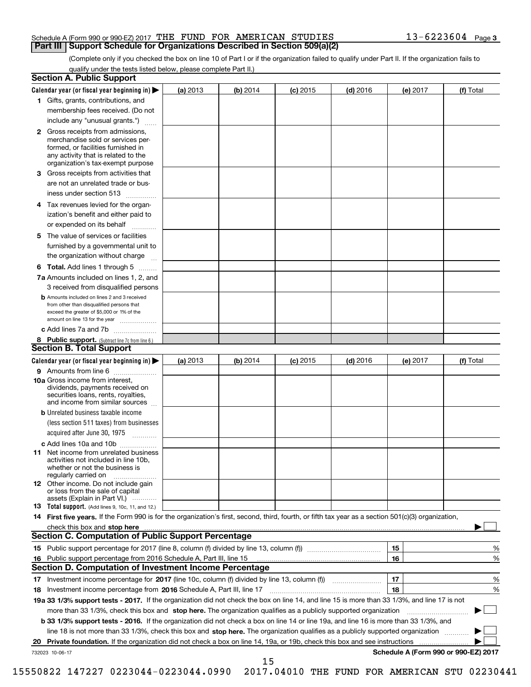## Schedule A (Form 990 or 990-EZ) 2017 THE FUND FOR AMERICAN STUDIES 13-6223604 Page 3 **Part III** Support Schedule for Organizations Described in Section 509(a)(2)

(Complete only if you checked the box on line 10 of Part I or if the organization failed to qualify under Part II. If the organization fails to qualify under the tests listed below, please complete Part II.) qualify under the tests listed below, please complete Part II.)

|    | <b>Section A. Public Support</b>                                                                                                                                                                                                                                   |            |          |            |            |          |                                      |
|----|--------------------------------------------------------------------------------------------------------------------------------------------------------------------------------------------------------------------------------------------------------------------|------------|----------|------------|------------|----------|--------------------------------------|
|    | Calendar year (or fiscal year beginning in) $\blacktriangleright$                                                                                                                                                                                                  | (a) 2013   | (b) 2014 | $(c)$ 2015 | $(d)$ 2016 | (e) 2017 | (f) Total                            |
|    | 1 Gifts, grants, contributions, and                                                                                                                                                                                                                                |            |          |            |            |          |                                      |
|    | membership fees received. (Do not                                                                                                                                                                                                                                  |            |          |            |            |          |                                      |
|    | include any "unusual grants.")                                                                                                                                                                                                                                     |            |          |            |            |          |                                      |
|    | <b>2</b> Gross receipts from admissions,<br>merchandise sold or services per-<br>formed, or facilities furnished in<br>any activity that is related to the<br>organization's tax-exempt purpose                                                                    |            |          |            |            |          |                                      |
|    | 3 Gross receipts from activities that<br>are not an unrelated trade or bus-                                                                                                                                                                                        |            |          |            |            |          |                                      |
|    | iness under section 513                                                                                                                                                                                                                                            |            |          |            |            |          |                                      |
|    | 4 Tax revenues levied for the organ-<br>ization's benefit and either paid to<br>or expended on its behalf                                                                                                                                                          |            |          |            |            |          |                                      |
|    | 5 The value of services or facilities<br>furnished by a governmental unit to<br>the organization without charge                                                                                                                                                    |            |          |            |            |          |                                      |
|    | <b>6 Total.</b> Add lines 1 through 5                                                                                                                                                                                                                              |            |          |            |            |          |                                      |
|    | 7a Amounts included on lines 1, 2, and<br>3 received from disqualified persons<br><b>b</b> Amounts included on lines 2 and 3 received<br>from other than disqualified persons that<br>exceed the greater of \$5,000 or 1% of the<br>amount on line 13 for the year |            |          |            |            |          |                                      |
|    | c Add lines 7a and 7b                                                                                                                                                                                                                                              |            |          |            |            |          |                                      |
|    | 8 Public support. (Subtract line 7c from line 6.)                                                                                                                                                                                                                  |            |          |            |            |          |                                      |
|    | <b>Section B. Total Support</b>                                                                                                                                                                                                                                    |            |          |            |            |          |                                      |
|    | Calendar year (or fiscal year beginning in)                                                                                                                                                                                                                        | (a) $2013$ | (b) 2014 | $(c)$ 2015 | $(d)$ 2016 | (e) 2017 | (f) Total                            |
|    | 9 Amounts from line 6                                                                                                                                                                                                                                              |            |          |            |            |          |                                      |
|    | <b>10a</b> Gross income from interest,<br>dividends, payments received on<br>securities loans, rents, royalties,<br>and income from similar sources                                                                                                                |            |          |            |            |          |                                      |
|    | <b>b</b> Unrelated business taxable income                                                                                                                                                                                                                         |            |          |            |            |          |                                      |
|    | (less section 511 taxes) from businesses<br>acquired after June 30, 1975                                                                                                                                                                                           |            |          |            |            |          |                                      |
|    |                                                                                                                                                                                                                                                                    |            |          |            |            |          |                                      |
|    | c Add lines 10a and 10b<br><b>11</b> Net income from unrelated business<br>activities not included in line 10b.<br>whether or not the business is<br>regularly carried on                                                                                          |            |          |            |            |          |                                      |
|    | <b>12</b> Other income. Do not include gain<br>or loss from the sale of capital<br>assets (Explain in Part VI.)                                                                                                                                                    |            |          |            |            |          |                                      |
|    | <b>13</b> Total support. (Add lines 9, 10c, 11, and 12.)                                                                                                                                                                                                           |            |          |            |            |          |                                      |
|    | 14 First five years. If the Form 990 is for the organization's first, second, third, fourth, or fifth tax year as a section 501(c)(3) organization,                                                                                                                |            |          |            |            |          |                                      |
|    | check this box and stop here www.altamana.com/management/community/community/community/community/community/comm                                                                                                                                                    |            |          |            |            |          |                                      |
|    | <b>Section C. Computation of Public Support Percentage</b>                                                                                                                                                                                                         |            |          |            |            |          |                                      |
|    |                                                                                                                                                                                                                                                                    |            |          |            |            | 15       | %                                    |
| 16 | Public support percentage from 2016 Schedule A, Part III, line 15                                                                                                                                                                                                  |            |          |            |            | 16       | $\%$                                 |
|    | <b>Section D. Computation of Investment Income Percentage</b>                                                                                                                                                                                                      |            |          |            |            |          |                                      |
|    | 17 Investment income percentage for 2017 (line 10c, column (f) divided by line 13, column (f))                                                                                                                                                                     |            |          |            |            | 17       | %                                    |
|    | 18 Investment income percentage from 2016 Schedule A, Part III, line 17                                                                                                                                                                                            |            |          |            |            | 18       | %                                    |
|    | 19a 33 1/3% support tests - 2017. If the organization did not check the box on line 14, and line 15 is more than 33 1/3%, and line 17 is not                                                                                                                       |            |          |            |            |          |                                      |
|    | more than 33 1/3%, check this box and stop here. The organization qualifies as a publicly supported organization                                                                                                                                                   |            |          |            |            |          |                                      |
|    | <b>b 33 1/3% support tests - 2016.</b> If the organization did not check a box on line 14 or line 19a, and line 16 is more than 33 1/3%, and                                                                                                                       |            |          |            |            |          |                                      |
|    | line 18 is not more than 33 1/3%, check this box and stop here. The organization qualifies as a publicly supported organization                                                                                                                                    |            |          |            |            |          |                                      |
| 20 | Private foundation. If the organization did not check a box on line 14, 19a, or 19b, check this box and see instructions                                                                                                                                           |            |          |            |            |          |                                      |
|    | 732023 10-06-17                                                                                                                                                                                                                                                    |            |          |            |            |          | Schedule A (Form 990 or 990-EZ) 2017 |

15550822 147227 0223044-0223044.0990 2017.04010 THE FUND FOR AMERICAN STU 02230441 15550822 147227 0223044-0223044.0990 2017.04010 THE FUND FOR AMERICAN STU 02230441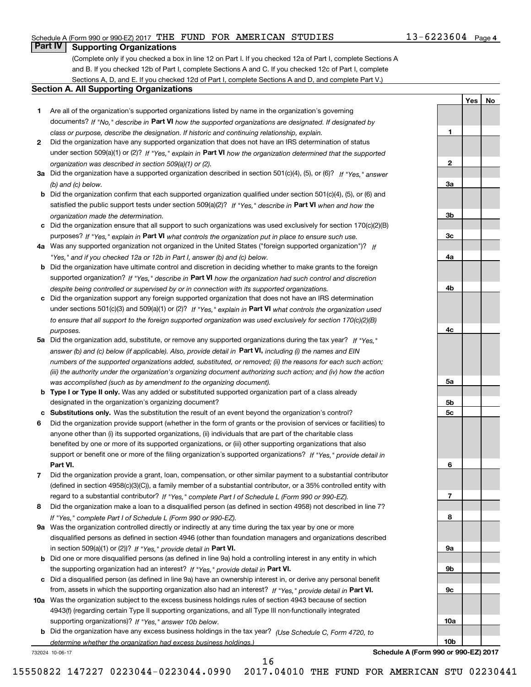## Schedule A (Form 990 or 990-EZ) 2017 THE FUND FOR AMERICAN STUDIES 13-6223604 Page 4

#### **Part IV I Supporting Organizations Part IV Supporting Organizations**

(Complete only if you checked a box in line 12 on Part I. If you checked 12a of Part I, complete Sections A and B. If you checked 12b of Part I, complete Sections A and C. If you checked 12c of Part I, complete and B. If you checked 12b of Part I, complete Sections A and C. If you checked 12c of Part I, complete Sections A, D, and E. If you checked 12d of Part I, complete Sections A and D, and complete Part V.)

#### **Section A. All Supporting Organizations Section A. All Supporting Organizations**

- **1** Are all of the organization's supported organizations listed by name in the organization's governing **1**Are all of the organization's supported organizations listed by name in the organization's governing documents? If "No," describe in Part VI how the supported organizations are designated. If designated by class or purpose, describe the designation. If historic and continuing relationship, explain. *class or purpose, describe the designation. If historic and continuing relationship, explain.*
- **2** Did the organization have any supported organization that does not have an IRS determination of status **2**Did the organization have any supported organization that does not have an IRS determination of status under section 509(a)(1) or (2)? If "Yes," explain in Part VI how the organization determined that the supported organization was described in section 509 (a) (1) or (2). *organization was described in section 509(a)(1) or (2).*
- 3a Did the organization have a supported organization described in section 501(c)(4), (5), or (6)? If "Yes, " answer (b) and (c) below. **3** *(b) and (c) below.*
- b Did the organization confirm that each supported organization qualified under section 501(c)(4), (5), or (6) and satisfied the public support tests under section 509(a)(2)? If "Yes," describe in Part VI when and how the organization made the determination. *organization made the determination.*
- c Did the organization ensure that all support to such organizations was used exclusively for section 170(c)(2)(B) purposes? If "Yes," explain in Part VI what controls the organization put in place to ensure such use.
- 4a Was any supported organization not organized in the United States ("foreign supported organization")? If "Yes," and if you checked 12a or 12b in Part I, answer (b) and (c) below.
- **b** Did the organization have ultimate control and discretion in deciding whether to make grants to the foreign supported organization? If "Yes," describe in Part VI how the organization had such control and discretion despite being controlled or supervised by or in connection with its supported organizations. **4** *despite being controlled or supervised by or in connection with its supported organizations.*
- c Did the organization support any foreign supported organization that does not have an IRS determination under sections 501(c)(3) and 509(a)(1) or (2)? If "Yes, " explain in Part VI what controls the organization used to ensure that all support to the foreign supported organization was used exclusively for section 170(c)(2)(B) purposes.<br>**4** *purposes.*
- 5a Did the organization add, substitute, or remove any supported organizations during the tax year? If "Yes," answer (b) and (c) below (if applicable). Also, provide detail in Part VI, including (i) the names and EIN numbers of the supported organizations added, substituted, or removed; (ii) the reasons for each such action; (iii) the authority under the organization's organizing document authorizing such action; and (iv) how the action was accomplished (such as by amendment to the organizing document). *was accomplished (such as by amendment to the organizing document).*
- **b Type I or Type II only.** Was any added or substituted supported organization part of a class already designated in the organization's organizing document? designated in the organization's organizing document?
- c Substitutions only. Was the substitution the result of an event beyond the organization's control?
- 6 Did the organization provide support (whether in the form of grants or the provision of services or facilities) to anyone other than (i) its supported organizations, (ii) individuals that are part of the charitable class anyone other than (i) its supported organizations, (ii) individuals that are part of the charitable class benefited by one or more of its supported organizations, or (iii) other supporting organizations that also benefited by one or more of its supported organizations, or (iii) other supporting organizations that also support or benefit one or more of the filing organization's supported organizations? If "Yes," provide detail in **Part VI. Part VI.**
- 7 Did the organization provide a grant, loan, compensation, or other similar payment to a substantial contributor (defined in section 4958(c)(3)(C)), a family member of a substantial contributor, or a 35% controlled entity with regard to a substantial contributor? If "Yes," complete Part I of Schedule L (Form 990 or 990-EZ).
- 8 Did the organization make a loan to a disqualified person (as defined in section 4958) not described in line 7? If Yes, complete Part I of Schedule L (Form 990 or 990-EZ). *If "Yes," complete Part I of Schedule L (Form 990 or 990-EZ).*
- 9a Was the organization controlled directly or indirectly at any time during the tax year by one or more disqualified persons as defined in section 4946 (other than foundation managers and organizations described disqualified persons as defined in section 4946 (other than foundation managers and organizations described in section 509(a)(1) or (2))? If "Yes," provide detail in Part VI.
- **b** Did one or more disqualified persons (as defined in line 9a) hold a controlling interest in any entity in which the supporting organization had an interest? If "Yes," provide detail in Part VI.
- c Did a disqualified person (as defined in line 9a) have an ownership interest in, or derive any personal benefit from, assets in which the supporting organization also had an interest? If "Yes," *provide detail in* Part VI.
- 10a Was the organization subject to the excess business holdings rules of section 4943 because of section 4943(f) (regarding certain Type II supporting organizations, and all Type III non-functionally integrated 4943(f) (regarding certain Type II supporting organizations, and all Type III non-functionally integrated supporting organizations)? If "Yes," answer 10b below. **10a** 
	- **b** Did the organization have any excess business holdings in the tax year? (Use Schedule C, Form 4720, to *determine whether the organization had excess business holdings.)*

732024 10-06-17

16 16

**Yes** I **No Yes**

**No**



732024 10-06-17 **Schedule A (Form 990 or 990-EZ) <sup>2017</sup> Schedule A (Form 990 or 990-EZ) 2017**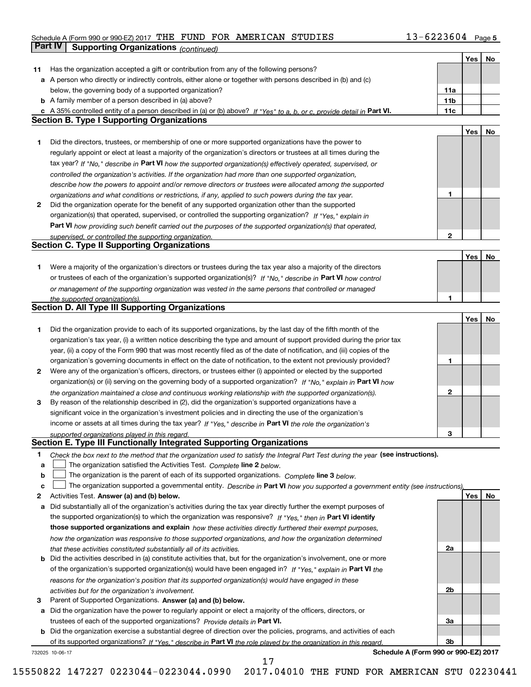## Schedule A (Form 990 or 990-EZ) 2017 THE FUND FOR AMERICAN STUDIES 13-6223604 Page 5

|    | Part IV<br><b>Supporting Organizations (continued)</b>                                                                            |              |     |    |
|----|-----------------------------------------------------------------------------------------------------------------------------------|--------------|-----|----|
|    |                                                                                                                                   |              | Yes | No |
| 11 | Has the organization accepted a gift or contribution from any of the following persons?                                           |              |     |    |
|    | a A person who directly or indirectly controls, either alone or together with persons described in (b) and (c)                    |              |     |    |
|    | below, the governing body of a supported organization?                                                                            | 11a          |     |    |
|    | <b>b</b> A family member of a person described in (a) above?                                                                      | 11b          |     |    |
|    | c A 35% controlled entity of a person described in (a) or (b) above? If "Yes" to a, b, or c, provide detail in Part VI.           | 11c          |     |    |
|    | <b>Section B. Type I Supporting Organizations</b>                                                                                 |              |     |    |
|    |                                                                                                                                   |              | Yes | No |
| 1  | Did the directors, trustees, or membership of one or more supported organizations have the power to                               |              |     |    |
|    | regularly appoint or elect at least a majority of the organization's directors or trustees at all times during the                |              |     |    |
|    | tax year? If "No," describe in Part VI how the supported organization(s) effectively operated, supervised, or                     |              |     |    |
|    | controlled the organization's activities. If the organization had more than one supported organization,                           |              |     |    |
|    | describe how the powers to appoint and/or remove directors or trustees were allocated among the supported                         |              |     |    |
|    | organizations and what conditions or restrictions, if any, applied to such powers during the tax year.                            | 1            |     |    |
| 2  | Did the organization operate for the benefit of any supported organization other than the supported                               |              |     |    |
|    | organization(s) that operated, supervised, or controlled the supporting organization? If "Yes," explain in                        |              |     |    |
|    | Part VI how providing such benefit carried out the purposes of the supported organization(s) that operated,                       |              |     |    |
|    | supervised, or controlled the supporting organization.                                                                            | $\mathbf{2}$ |     |    |
|    | <b>Section C. Type II Supporting Organizations</b>                                                                                |              |     |    |
|    |                                                                                                                                   |              | Yes | No |
| 1  | Were a majority of the organization's directors or trustees during the tax year also a majority of the directors                  |              |     |    |
|    | or trustees of each of the organization's supported organization(s)? If "No." describe in Part VI how control                     |              |     |    |
|    | or management of the supporting organization was vested in the same persons that controlled or managed                            |              |     |    |
|    | the supported organization(s).                                                                                                    | 1            |     |    |
|    | <b>Section D. All Type III Supporting Organizations</b>                                                                           |              |     |    |
|    |                                                                                                                                   |              | Yes | No |
| 1  | Did the organization provide to each of its supported organizations, by the last day of the fifth month of the                    |              |     |    |
|    | organization's tax year, (i) a written notice describing the type and amount of support provided during the prior tax             |              |     |    |
|    | year, (ii) a copy of the Form 990 that was most recently filed as of the date of notification, and (iii) copies of the            |              |     |    |
|    | organization's governing documents in effect on the date of notification, to the extent not previously provided?                  | 1            |     |    |
| 2  | Were any of the organization's officers, directors, or trustees either (i) appointed or elected by the supported                  |              |     |    |
|    | organization(s) or (ii) serving on the governing body of a supported organization? If "No," explain in Part VI how                |              |     |    |
|    | the organization maintained a close and continuous working relationship with the supported organization(s).                       | 2            |     |    |
| 3  | By reason of the relationship described in (2), did the organization's supported organizations have a                             |              |     |    |
|    | significant voice in the organization's investment policies and in directing the use of the organization's                        |              |     |    |
|    | income or assets at all times during the tax year? If "Yes," describe in Part VI the role the organization's                      |              |     |    |
|    | supported organizations played in this regard.                                                                                    | З            |     |    |
|    | Section E. Type III Functionally Integrated Supporting Organizations                                                              |              |     |    |
| 1  | Check the box next to the method that the organization used to satisfy the Integral Part Test during the year (see instructions). |              |     |    |
| a  | The organization satisfied the Activities Test. Complete line 2 below.                                                            |              |     |    |
| b  | The organization is the parent of each of its supported organizations. Complete line 3 below.                                     |              |     |    |
| c  | The organization supported a governmental entity. Describe in Part VI how you supported a government entity (see instructions),   |              |     |    |
| 2  | Activities Test. Answer (a) and (b) below.                                                                                        |              | Yes | No |
| а  | Did substantially all of the organization's activities during the tax year directly further the exempt purposes of                |              |     |    |
|    | the supported organization(s) to which the organization was responsive? If "Yes," then in Part VI identify                        |              |     |    |
|    | those supported organizations and explain how these activities directly furthered their exempt purposes,                          |              |     |    |
|    | how the organization was responsive to those supported organizations, and how the organization determined                         |              |     |    |
|    | that these activities constituted substantially all of its activities.                                                            | 2a           |     |    |
|    | <b>b</b> Did the activities described in (a) constitute activities that, but for the organization's involvement, one or more      |              |     |    |
|    | of the organization's supported organization(s) would have been engaged in? If "Yes," explain in Part VI the                      |              |     |    |
|    | reasons for the organization's position that its supported organization(s) would have engaged in these                            |              |     |    |
|    | activities but for the organization's involvement.                                                                                | 2b           |     |    |
| 3  | Parent of Supported Organizations. Answer (a) and (b) below.                                                                      |              |     |    |
|    | a Did the organization have the power to regularly appoint or elect a majority of the officers, directors, or                     |              |     |    |
|    | trustees of each of the supported organizations? Provide details in Part VI.                                                      | За           |     |    |
|    | <b>b</b> Did the organization exercise a substantial degree of direction over the policies, programs, and activities of each      |              |     |    |
|    | of its supported organizations? If "Yes," describe in Part VI the role played by the organization in this regard.                 | Зb           |     |    |
|    | Schedule A (Form 990 or 990-EZ) 2017<br>732025 10-06-17                                                                           |              |     |    |

17 17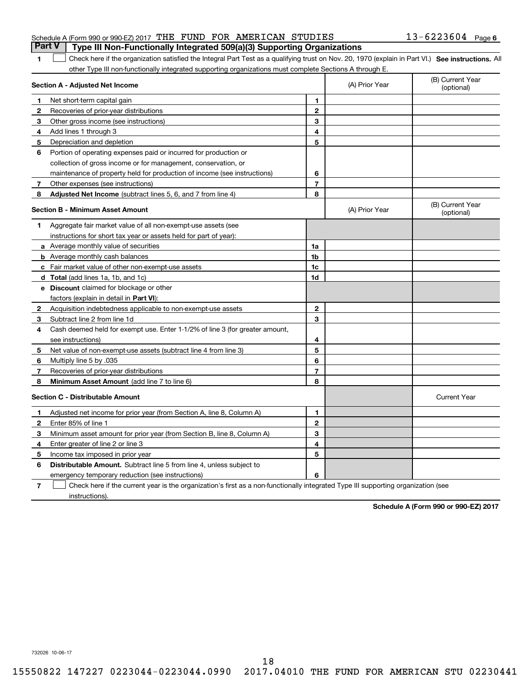| Schedule A (Form 990 or 990-EZ) 2017 THE FUND FOR AMERICAN STUDIES               |  |  | $13 - 6223604$ Page 6 |  |
|----------------------------------------------------------------------------------|--|--|-----------------------|--|
| Part V   Type III Non-Functionally Integrated 509(a)(3) Supporting Organizations |  |  |                       |  |

| 1 Check here if the organization satisfied the Integral Part Test as a qualifying trust on Nov. 20, 1970 (explain in Part VI.) See instructions. All |  |
|------------------------------------------------------------------------------------------------------------------------------------------------------|--|
| other Type III non-functionally integrated supporting organizations must complete Sections A through E.                                              |  |

|                | Section A - Adjusted Net Income                                                                                                   |                | (A) Prior Year | (B) Current Year<br>(optional) |
|----------------|-----------------------------------------------------------------------------------------------------------------------------------|----------------|----------------|--------------------------------|
| 1              | Net short-term capital gain                                                                                                       | 1              |                |                                |
| $\mathbf{2}$   | Recoveries of prior-year distributions                                                                                            | $\mathbf{2}$   |                |                                |
| 3              | Other gross income (see instructions)                                                                                             | 3              |                |                                |
| 4              | Add lines 1 through 3                                                                                                             | 4              |                |                                |
| 5              | Depreciation and depletion                                                                                                        | 5              |                |                                |
| 6              | Portion of operating expenses paid or incurred for production or                                                                  |                |                |                                |
|                | collection of gross income or for management, conservation, or                                                                    |                |                |                                |
|                | maintenance of property held for production of income (see instructions)                                                          | 6              |                |                                |
| 7              | Other expenses (see instructions)                                                                                                 | $\overline{7}$ |                |                                |
| 8              | <b>Adjusted Net Income</b> (subtract lines 5, 6, and 7 from line 4)                                                               | 8              |                |                                |
|                | <b>Section B - Minimum Asset Amount</b>                                                                                           |                | (A) Prior Year | (B) Current Year<br>(optional) |
| 1              | Aggregate fair market value of all non-exempt-use assets (see                                                                     |                |                |                                |
|                | instructions for short tax year or assets held for part of year):                                                                 |                |                |                                |
|                | <b>a</b> Average monthly value of securities                                                                                      | 1a             |                |                                |
|                | <b>b</b> Average monthly cash balances                                                                                            | 1b             |                |                                |
|                | c Fair market value of other non-exempt-use assets                                                                                | 1c             |                |                                |
|                | d Total (add lines 1a, 1b, and 1c)                                                                                                | 1d             |                |                                |
|                | e Discount claimed for blockage or other                                                                                          |                |                |                                |
|                | factors (explain in detail in Part VI):                                                                                           |                |                |                                |
| 2              | Acquisition indebtedness applicable to non-exempt-use assets                                                                      | $\mathbf{2}$   |                |                                |
| 3              | Subtract line 2 from line 1d                                                                                                      | 3              |                |                                |
| 4              | Cash deemed held for exempt use. Enter 1-1/2% of line 3 (for greater amount,                                                      |                |                |                                |
|                | see instructions)                                                                                                                 | 4              |                |                                |
| 5              | Net value of non-exempt-use assets (subtract line 4 from line 3)                                                                  | 5              |                |                                |
| 6              | Multiply line 5 by .035                                                                                                           | 6              |                |                                |
| 7              | Recoveries of prior-year distributions                                                                                            | $\overline{7}$ |                |                                |
| 8              | <b>Minimum Asset Amount</b> (add line 7 to line 6)                                                                                | 8              |                |                                |
|                | <b>Section C - Distributable Amount</b>                                                                                           |                |                | <b>Current Year</b>            |
| 1              | Adjusted net income for prior year (from Section A, line 8, Column A)                                                             | 1              |                |                                |
| $\mathbf{2}$   | Enter 85% of line 1                                                                                                               | $\overline{2}$ |                |                                |
| 3              | Minimum asset amount for prior year (from Section B, line 8, Column A)                                                            | 3              |                |                                |
| 4              | Enter greater of line 2 or line 3                                                                                                 | 4              |                |                                |
| 5              | Income tax imposed in prior year                                                                                                  | 5              |                |                                |
| 6              | Distributable Amount. Subtract line 5 from line 4, unless subject to                                                              |                |                |                                |
|                | emergency temporary reduction (see instructions)                                                                                  | 6              |                |                                |
| $\overline{7}$ | Check here if the current year is the organization's first as a non-functionally integrated Type III supporting organization (see |                |                |                                |

instructions). instructions).

**Schedule A (Form 990 or 990-EZ) <sup>2017</sup> Schedule A (Form 990 or 990-EZ) 2017**

732026 10-06-17 732026 10-06-17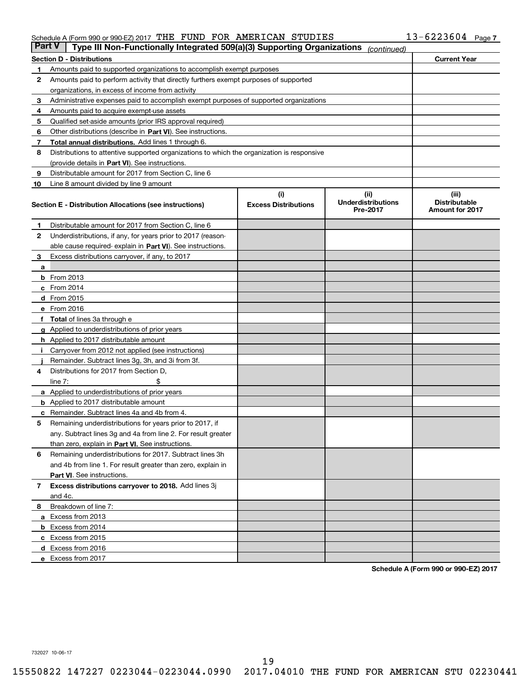## Schedule A (Form 990 or 990-EZ) 2017 THE FUND FOR AMERICAN STUDIES

|               | Schedule A (Form 990 or 990-EZ) 2017 THE FUND FOR AMERICAN STUDIES                         |                                    |                                               | $13 - 6223604$ Page 7                            |
|---------------|--------------------------------------------------------------------------------------------|------------------------------------|-----------------------------------------------|--------------------------------------------------|
| <b>Part V</b> | Type III Non-Functionally Integrated 509(a)(3) Supporting Organizations                    |                                    | (continued)                                   |                                                  |
|               | <b>Section D - Distributions</b>                                                           |                                    |                                               | <b>Current Year</b>                              |
| 1             | Amounts paid to supported organizations to accomplish exempt purposes                      |                                    |                                               |                                                  |
| 2             | Amounts paid to perform activity that directly furthers exempt purposes of supported       |                                    |                                               |                                                  |
|               | organizations, in excess of income from activity                                           |                                    |                                               |                                                  |
| 3             | Administrative expenses paid to accomplish exempt purposes of supported organizations      |                                    |                                               |                                                  |
| 4             | Amounts paid to acquire exempt-use assets                                                  |                                    |                                               |                                                  |
| 5             | Qualified set-aside amounts (prior IRS approval required)                                  |                                    |                                               |                                                  |
| 6             | Other distributions (describe in Part VI). See instructions.                               |                                    |                                               |                                                  |
| 7             | Total annual distributions. Add lines 1 through 6.                                         |                                    |                                               |                                                  |
| 8             | Distributions to attentive supported organizations to which the organization is responsive |                                    |                                               |                                                  |
|               | (provide details in Part VI). See instructions.                                            |                                    |                                               |                                                  |
| 9             | Distributable amount for 2017 from Section C, line 6                                       |                                    |                                               |                                                  |
| 10            | Line 8 amount divided by line 9 amount                                                     |                                    |                                               |                                                  |
|               | Section E - Distribution Allocations (see instructions)                                    | (i)<br><b>Excess Distributions</b> | (ii)<br><b>Underdistributions</b><br>Pre-2017 | (iii)<br><b>Distributable</b><br>Amount for 2017 |
| 1             | Distributable amount for 2017 from Section C, line 6                                       |                                    |                                               |                                                  |
| 2             | Underdistributions, if any, for years prior to 2017 (reason-                               |                                    |                                               |                                                  |
|               | able cause required-explain in Part VI). See instructions.                                 |                                    |                                               |                                                  |
| 3             | Excess distributions carryover, if any, to 2017                                            |                                    |                                               |                                                  |
| a             |                                                                                            |                                    |                                               |                                                  |
|               | <b>b</b> From 2013                                                                         |                                    |                                               |                                                  |
|               | $c$ From 2014                                                                              |                                    |                                               |                                                  |
|               | d From 2015                                                                                |                                    |                                               |                                                  |
|               | e From 2016                                                                                |                                    |                                               |                                                  |
|               | f Total of lines 3a through e                                                              |                                    |                                               |                                                  |
|               | g Applied to underdistributions of prior years                                             |                                    |                                               |                                                  |
|               | <b>h</b> Applied to 2017 distributable amount                                              |                                    |                                               |                                                  |
|               | Carryover from 2012 not applied (see instructions)                                         |                                    |                                               |                                                  |
|               | Remainder. Subtract lines 3g, 3h, and 3i from 3f.                                          |                                    |                                               |                                                  |
| 4             | Distributions for 2017 from Section D,                                                     |                                    |                                               |                                                  |
|               | \$<br>line $7:$                                                                            |                                    |                                               |                                                  |
|               | <b>a</b> Applied to underdistributions of prior years                                      |                                    |                                               |                                                  |
|               | <b>b</b> Applied to 2017 distributable amount                                              |                                    |                                               |                                                  |
|               | <b>c</b> Remainder. Subtract lines 4a and 4b from 4.                                       |                                    |                                               |                                                  |
|               | Remaining underdistributions for years prior to 2017, if                                   |                                    |                                               |                                                  |
|               | any. Subtract lines 3g and 4a from line 2. For result greater                              |                                    |                                               |                                                  |
|               | than zero, explain in Part VI. See instructions.                                           |                                    |                                               |                                                  |
| 6             | Remaining underdistributions for 2017. Subtract lines 3h                                   |                                    |                                               |                                                  |
|               | and 4b from line 1. For result greater than zero, explain in                               |                                    |                                               |                                                  |
|               | Part VI. See instructions.                                                                 |                                    |                                               |                                                  |
| 7             | Excess distributions carryover to 2018. Add lines 3j                                       |                                    |                                               |                                                  |
|               | and 4c.                                                                                    |                                    |                                               |                                                  |
| 8             | Breakdown of line 7:                                                                       |                                    |                                               |                                                  |
|               | a Excess from 2013                                                                         |                                    |                                               |                                                  |
|               | <b>b</b> Excess from 2014                                                                  |                                    |                                               |                                                  |
|               | c Excess from 2015                                                                         |                                    |                                               |                                                  |
|               | d Excess from 2016                                                                         |                                    |                                               |                                                  |
|               | e Excess from 2017                                                                         |                                    |                                               |                                                  |

**Schedule A (Form 990 or 990-EZ) <sup>2017</sup> Schedule A (Form 990 or 990-EZ) 2017**

732027 10-06-17 732027 10-06-17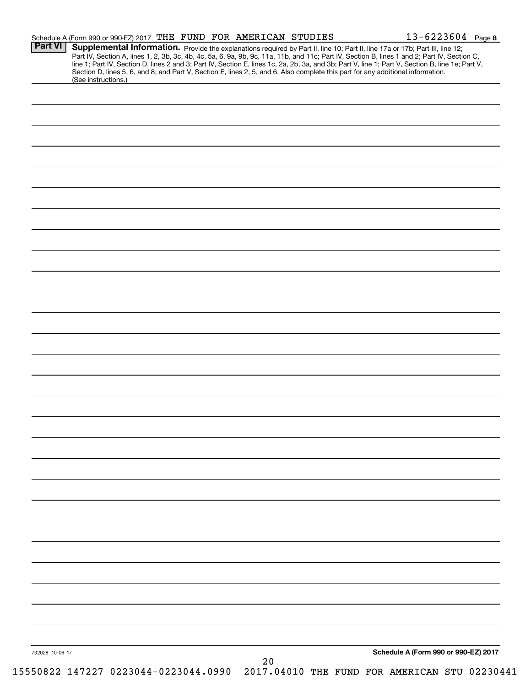| <b>Part VI</b>  | $13 - 6223604$ Page 8<br>Schedule A (Form 990 or 990-EZ) 2017 THE FUND FOR AMERICAN STUDIES<br>Supplemental Information. Provide the explanations required by Part II, line 10; Part II, line 17a or 17b; Part III, line 12;                                                                     |
|-----------------|--------------------------------------------------------------------------------------------------------------------------------------------------------------------------------------------------------------------------------------------------------------------------------------------------|
|                 | Part IV, Section A, lines 1, 2, 3b, 3c, 4b, 4c, 5a, 6, 9a, 9b, 9c, 11a, 11b, and 11c; Part IV, Section B, lines 1 and 2; Part IV, Section C,<br>line 1; Part IV, Section D, lines 2 and 3; Part IV, Section E, lines 1c, 2a, 2b, 3a, and 3b; Part V, line 1; Part V, Section B, line 1e; Part V, |
|                 | Section D, lines 5, 6, and 8; and Part V, Section E, lines 2, 5, and 6. Also complete this part for any additional information.<br>(See instructions.)                                                                                                                                           |
|                 |                                                                                                                                                                                                                                                                                                  |
|                 |                                                                                                                                                                                                                                                                                                  |
|                 |                                                                                                                                                                                                                                                                                                  |
|                 |                                                                                                                                                                                                                                                                                                  |
|                 |                                                                                                                                                                                                                                                                                                  |
|                 |                                                                                                                                                                                                                                                                                                  |
|                 |                                                                                                                                                                                                                                                                                                  |
|                 |                                                                                                                                                                                                                                                                                                  |
|                 |                                                                                                                                                                                                                                                                                                  |
|                 |                                                                                                                                                                                                                                                                                                  |
|                 |                                                                                                                                                                                                                                                                                                  |
|                 |                                                                                                                                                                                                                                                                                                  |
|                 |                                                                                                                                                                                                                                                                                                  |
|                 |                                                                                                                                                                                                                                                                                                  |
|                 |                                                                                                                                                                                                                                                                                                  |
|                 |                                                                                                                                                                                                                                                                                                  |
|                 |                                                                                                                                                                                                                                                                                                  |
|                 |                                                                                                                                                                                                                                                                                                  |
|                 |                                                                                                                                                                                                                                                                                                  |
|                 |                                                                                                                                                                                                                                                                                                  |
|                 |                                                                                                                                                                                                                                                                                                  |
|                 |                                                                                                                                                                                                                                                                                                  |
|                 |                                                                                                                                                                                                                                                                                                  |
|                 |                                                                                                                                                                                                                                                                                                  |
|                 |                                                                                                                                                                                                                                                                                                  |
|                 |                                                                                                                                                                                                                                                                                                  |
|                 |                                                                                                                                                                                                                                                                                                  |
|                 |                                                                                                                                                                                                                                                                                                  |
|                 |                                                                                                                                                                                                                                                                                                  |
|                 |                                                                                                                                                                                                                                                                                                  |
|                 |                                                                                                                                                                                                                                                                                                  |
|                 |                                                                                                                                                                                                                                                                                                  |
|                 |                                                                                                                                                                                                                                                                                                  |
|                 |                                                                                                                                                                                                                                                                                                  |
|                 |                                                                                                                                                                                                                                                                                                  |
|                 |                                                                                                                                                                                                                                                                                                  |
|                 |                                                                                                                                                                                                                                                                                                  |
|                 |                                                                                                                                                                                                                                                                                                  |
|                 |                                                                                                                                                                                                                                                                                                  |
|                 |                                                                                                                                                                                                                                                                                                  |
|                 |                                                                                                                                                                                                                                                                                                  |
|                 |                                                                                                                                                                                                                                                                                                  |
| 732028 10-06-17 | Schedule A (Form 990 or 990-EZ) 2017                                                                                                                                                                                                                                                             |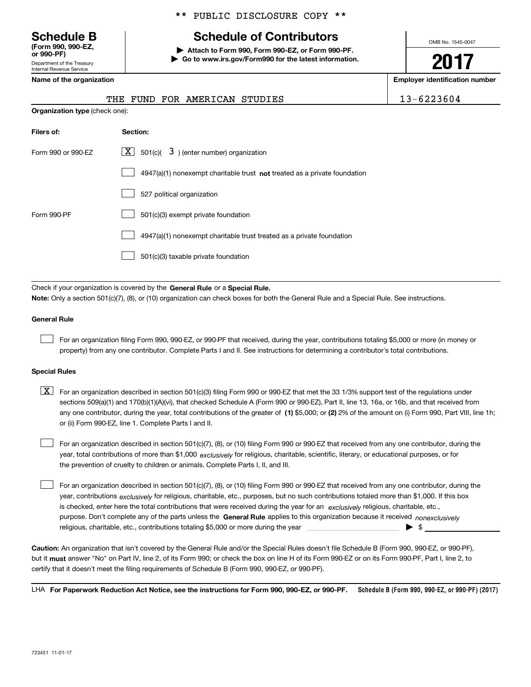#### **Schedule B (Form 990 , 990-EZ, (Form 990, 990-EZ, or 990-PF) or 990-PF)** Department of the Treasury Department of the Treasury

Internal Revenue Service Internal Revenue Service **Name of the organization** 

#### \*\* PUBLIC DISCLOSURE COPY \*\* \*\* PUBLIC DISCLOSURE COPY \*\*

## **Schedule of Contributors Schedule B Schedule of Contributors**

**| Attach to Form 990, Form 990-EZ, or Form 990-PF. | Attach to Form 990, Form 990-EZ, or Form 990-PF. | Go to www.irs.gov/Form990 for the latest information. | Go to www.irs.gov/Form990 for the latest information.** OMB No. 1545-0047 OMB No. 1545-0047

**2017 2017**

| Name of the organization              | <b>Employer identification number</b>                                              |            |
|---------------------------------------|------------------------------------------------------------------------------------|------------|
|                                       | THE FUND FOR AMERICAN<br>STUDIES                                                   | 13-6223604 |
| <b>Organization type (check one):</b> |                                                                                    |            |
| Filers of:                            | Section:                                                                           |            |
| Form 990 or 990-EZ                    | X  <br>501(c)( $3$ ) (enter number) organization                                   |            |
|                                       | $4947(a)(1)$ nonexempt charitable trust <b>not</b> treated as a private foundation |            |
|                                       | 527 political organization                                                         |            |
|                                       |                                                                                    |            |

| Filers of:         | Section:                                                                           |
|--------------------|------------------------------------------------------------------------------------|
| Form 990 or 990-EZ | $\lfloor x \rfloor$ 501(c)( 3) (enter number) organization                         |
|                    | $4947(a)(1)$ nonexempt charitable trust <b>not</b> treated as a private foundation |
|                    | 527 political organization                                                         |
| Form 990-PF        | 501(c)(3) exempt private foundation                                                |
|                    | 4947(a)(1) nonexempt charitable trust treated as a private foundation              |
|                    | 501(c)(3) taxable private foundation                                               |
|                    |                                                                                    |

Check if your organization is covered by the General Rule or a Special Rule. Note: Only a section 501(c)(7), (8), or (10) organization can check boxes for both the General Rule and a Special Rule. See instructions.

#### **General Rule General Rule**

 $\mathcal{L}^{\text{max}}$ 

For an organization filing Form 990, 990-EZ, or 990-PF that received, during the year, contributions totaling \$5,000 or more (in money or property) from any one contributor. Complete Parts I and II. See instructions for determining a contributor's total contributions.

#### **Special Rules Special Rules**

 $\mathcal{L}^{\text{max}}$ 

 $\boxed{\textbf{X}}$  For an organization described in section 501(c)(3) filing Form 990 or 990-EZ that met the 33 1/3% support test of the regulations under sections 509(a)(1) and 170(b)(1)(A)(vi), that checked Schedule A (Form 990 or 990-EZ), Part II, line 13, 16a, or 16b, and that received from any one contributor, during the year, total contributions of the greater of (1) \$5,000; or (2) 2% of the amount on (i) Form 990, Part VIII, line 1h; or (ii) Form 990-EZ, line 1 . Complete Parts I and II. or (ii) Form 990-EZ, line 1. Complete Parts I and II.

For an organization described in section 501(c)(7), (8), or (10) filing Form 990 or 990-EZ that received from any one contributor, during the year, total contributions of more than \$1,000 *exclusively* for religious, charitable, scientific, literary, or educational purposes, or for the prevention of cruelty to children or animals. Complete Parts I, II, and III. the prevention of cruelty to children or animals. Complete Parts I, II, and III.  $\mathcal{L}^{\text{max}}$ 

For an organization described in section 501(c)(7), (8), or (10) filing Form 990 or 990-EZ that received from any one contributor, during the year, contributions <sub>exclusively</sub> for religious, charitable, etc., purposes, but no such contributions totaled more than \$1,000. If this box is checked, enter here the total contributions that were received during the year for an exclusively religious, charitable, etc., purpose. Don't complete any of the parts unless the General Rule applies to this organization because it received *nonexclusively* religious, charitable, etc., contributions totaling \$5 , <sup>000</sup>or more during the year ~ ~ ~ ~ ~ ~ ~ ~ ~ ~ ~ ~ ~ ~ ~ | \$ \_\_\_\_\_\_\_\_\_\_\_\_\_\_\_ religious, charitable, etc., contributions totaling \$5,000 or more during the year ~~~~~~~~~~~~~~~ | \$

Caution: An organization that isn't covered by the General Rule and/or the Special Rules doesn't file Schedule B (Form 990, 990-EZ, or 990-PF), but it <mark>must</mark> answer "No" on Part IV, line 2, of its Form 990; or check the box on line H of its Form 990-EZ or on its Form 990-PF, Part I, line 2, to certify that it doesn't meet the filing requirements of Schedule B (Form 990 , 990-EZ, or 990-PF). certify that it doesn't meet the filing requirements of Schedule B (Form 990, 990-EZ, or 990-PF).

LHA For Paperwork Reduction Act Notice, see the instructions for Form 990, 990-EZ, or 990-PF. **990-EZ, or 990-PF.Schedule B (Form <sup>990</sup> , 990-EZ, or 990-PF) (2017) Schedule B (Form 990, 990-EZ, or 990-PF) (2017)**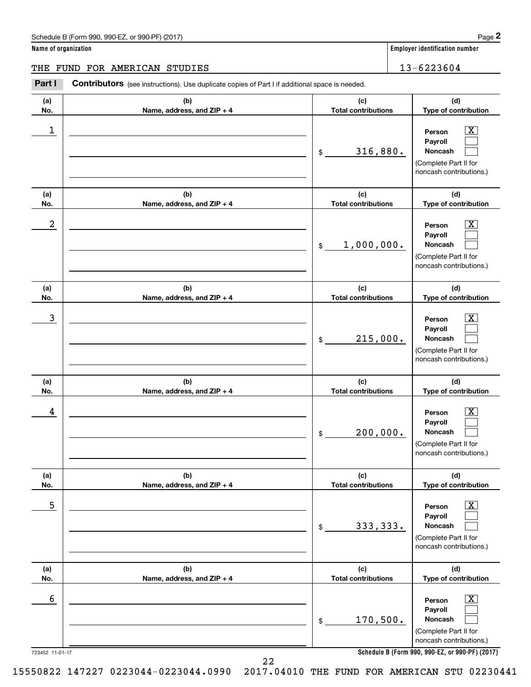**Name of organization Employer identification number Name of organization Employer identification number**

#### THE FUND FOR AMERICAN STUDIES 13-6223604

Schedule B (Form 990, 990-EZ, or 990-PF) (2017)<br>Iame of organization<br>THE FUND FOR AMERICAN STUDIES<br>Part I Contributors (see instructions). Use duplicate copies of Part I if additional space is needed.

| (a)                  | (b)                        | (c)                        | (d)                                                                                                                                                          |
|----------------------|----------------------------|----------------------------|--------------------------------------------------------------------------------------------------------------------------------------------------------------|
| No.                  | Name, address, and ZIP + 4 | <b>Total contributions</b> | Type of contribution                                                                                                                                         |
| 1                    |                            | 316,880.<br>\$             | х<br>Person<br>Payroll<br>Noncash<br>(Complete Part II for<br>noncash contributions.)                                                                        |
| (a)                  | (b)                        | (c)                        | (d)                                                                                                                                                          |
| No.                  | Name, address, and ZIP + 4 | <b>Total contributions</b> | Type of contribution                                                                                                                                         |
| 2                    |                            | 1,000,000.<br>\$           | х<br>Person<br>Payroll<br>Noncash<br>(Complete Part II for<br>noncash contributions.)                                                                        |
| (a)                  | (b)                        | (c)                        | (d)                                                                                                                                                          |
| No.                  | Name, address, and ZIP + 4 | <b>Total contributions</b> | Type of contribution                                                                                                                                         |
| 3                    |                            | 215,000.<br>\$             | х<br>Person<br>Payroll<br><b>Noncash</b><br>(Complete Part II for<br>noncash contributions.)                                                                 |
| (a)                  | (b)                        | (c)                        | (d)                                                                                                                                                          |
| No.                  | Name, address, and ZIP + 4 | <b>Total contributions</b> | Type of contribution                                                                                                                                         |
| 4                    |                            | 200,000.<br>\$             | x<br>Person<br>Payroll<br>Noncash<br>(Complete Part II for<br>noncash contributions.)                                                                        |
| (a)                  | (b)                        | (c)                        | (d)                                                                                                                                                          |
| No.                  | Name, address, and ZIP + 4 | <b>Total contributions</b> | Type of contribution                                                                                                                                         |
| 5                    |                            | 333, 333.<br>\$            | $\overline{\text{X}}$<br>Person<br>Payroll<br>Noncash<br>(Complete Part II for<br>noncash contributions.)                                                    |
| (a)                  | (b)                        | (c)                        | (d)                                                                                                                                                          |
| No.                  | Name, address, and ZIP + 4 | <b>Total contributions</b> | Type of contribution                                                                                                                                         |
| 6<br>723452 11-01-17 |                            | 170,500.<br>\$             | $\overline{\text{X}}$<br>Person<br>Payroll<br>Noncash<br>(Complete Part II for<br>noncash contributions.)<br>Schedule B (Form 990, 990-EZ, or 990-PF) (2017) |

22 22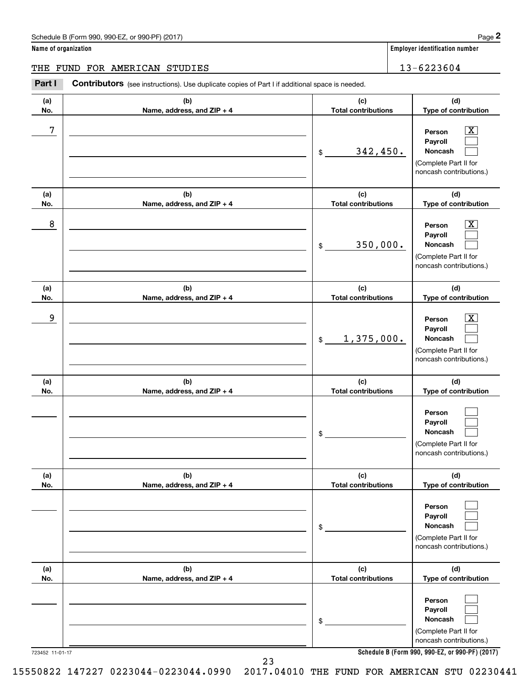**Name of organization Employer identification number Name of organization Employer identification number**

#### THE FUND FOR AMERICAN STUDIES 13-6223604

Schedule B (Form 990, 990-EZ, or 990-PF) (2017)<br>Iame of organization<br>THE FUND FOR AMERICAN STUDIES<br>Part I Contributors (see instructions). Use duplicate copies of Part I if additional space is needed.

| (a)                    | (b)                        | (c)                                          | (d)                                                                                                                                                         |
|------------------------|----------------------------|----------------------------------------------|-------------------------------------------------------------------------------------------------------------------------------------------------------------|
| No.                    | Name, address, and ZIP + 4 | <b>Total contributions</b>                   | Type of contribution                                                                                                                                        |
| 7                      |                            | 342,450.<br>\$                               | x<br>Person<br>Payroll<br>Noncash<br>(Complete Part II for<br>noncash contributions.)                                                                       |
| (a)                    | (b)                        | (c)                                          | (d)                                                                                                                                                         |
| No.<br>8               | Name, address, and ZIP + 4 | <b>Total contributions</b><br>350,000.<br>\$ | Type of contribution<br>x<br>Person<br>Payroll<br>Noncash<br>(Complete Part II for<br>noncash contributions.)                                               |
| (a)                    | (b)                        | (c)                                          | (d)                                                                                                                                                         |
| No.                    | Name, address, and ZIP + 4 | <b>Total contributions</b>                   | Type of contribution                                                                                                                                        |
| 9                      |                            | 1,375,000.<br>$$\mathbb{S}$$                 | x<br>Person<br>Payroll<br>Noncash<br>(Complete Part II for<br>noncash contributions.)                                                                       |
| (a)                    | (b)                        | (c)                                          | (d)                                                                                                                                                         |
| No.                    | Name, address, and ZIP + 4 | <b>Total contributions</b><br>\$             | Type of contribution<br>Person<br>Payroll<br><b>Noncash</b><br>(Complete Part II for<br>noncash contributions.)                                             |
| (a)                    | (b)                        | (c)                                          | (d)                                                                                                                                                         |
| No.                    | Name, address, and ZIP + 4 | Total contributions<br>\$                    | Type of contribution<br>Person<br>Payroll<br>Noncash<br>(Complete Part II for<br>noncash contributions.)                                                    |
| (a)                    | (b)                        | (c)                                          | (d)                                                                                                                                                         |
| No.<br>723452 11-01-17 | Name, address, and ZIP + 4 | <b>Total contributions</b><br>\$             | Type of contribution<br>Person<br>Payroll<br>Noncash<br>(Complete Part II for<br>noncash contributions.)<br>Schedule B (Form 990, 990-EZ, or 990-PF) (2017) |

723452 11-01-17 **Schedule B (Form 990 , 990-EZ, or 990-PF) (2017) Schedule B (Form 990, 990-EZ, or 990-PF) (2017)**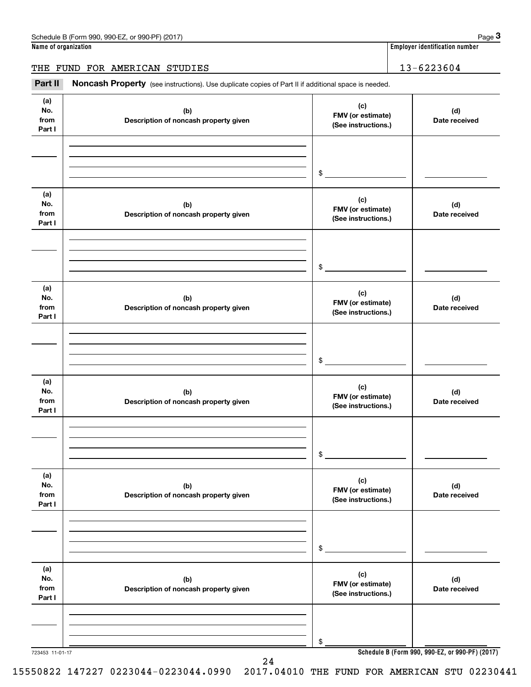**Name of organization Employer identification number Name of organization Employer identification number**

#### THE FUND FOR AMERICAN STUDIES 13-6223604

Employer identification number<br>Iame of organization<br>THE FUND FOR AMERICAN STUDIES 13-6223604<br>Part II Noncash Property (see instructions). Use duplicate copies of Part II if additional space is needed.

| (a)<br>No.<br>from<br>Part I | (b)<br>Description of noncash property given | (c)<br>FMV (or estimate)<br>(See instructions.) | (d)<br>Date received                            |
|------------------------------|----------------------------------------------|-------------------------------------------------|-------------------------------------------------|
|                              |                                              | $\sim$                                          |                                                 |
| (a)<br>No.<br>from<br>Part I | (b)<br>Description of noncash property given | (c)<br>FMV (or estimate)<br>(See instructions.) | (d)<br>Date received                            |
|                              |                                              | \$                                              |                                                 |
| (a)<br>No.<br>from<br>Part I | (b)<br>Description of noncash property given | (c)<br>FMV (or estimate)<br>(See instructions.) | (d)<br>Date received                            |
|                              |                                              | \$                                              |                                                 |
| (a)<br>No.<br>from<br>Part I | (b)<br>Description of noncash property given | (c)<br>FMV (or estimate)<br>(See instructions.) | (d)<br>Date received                            |
|                              |                                              | \$                                              |                                                 |
| (a)<br>No.<br>from<br>Part I | (b)<br>Description of noncash property given | (c)<br>FMV (or estimate)<br>(See instructions.) | (d)<br>Date received                            |
|                              |                                              | \$                                              |                                                 |
| (a)<br>No.<br>from<br>Part I | (b)<br>Description of noncash property given | (c)<br>FMV (or estimate)<br>(See instructions.) | (d)<br>Date received                            |
| 723453 11-01-17              |                                              | \$                                              | Schedule B (Form 990, 990-EZ, or 990-PF) (2017) |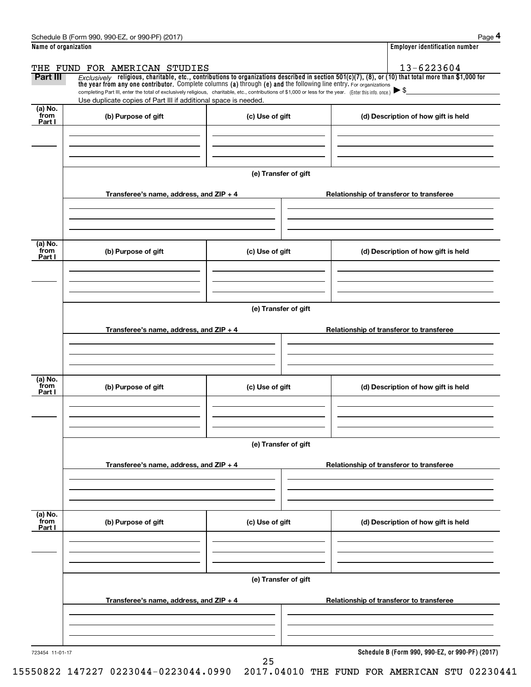|                           | Schedule B (Form 990, 990-EZ, or 990-PF) (2017)                                                                                                                                                                                                      |                      | Page 4                                                                                                                                                  |
|---------------------------|------------------------------------------------------------------------------------------------------------------------------------------------------------------------------------------------------------------------------------------------------|----------------------|---------------------------------------------------------------------------------------------------------------------------------------------------------|
| Name of organization      |                                                                                                                                                                                                                                                      |                      | <b>Employer identification number</b>                                                                                                                   |
|                           | THE FUND FOR AMERICAN STUDIES                                                                                                                                                                                                                        |                      | 13-6223604                                                                                                                                              |
| Part III                  | the year from any one contributor. Complete columns (a) through (e) and the following line entry. For organizations                                                                                                                                  |                      | $Exclusively$ religious, charitable, etc., contributions to organizations described in section 501(c)(7), (8), or (10) that total more than \$1,000 for |
|                           | completing Part III, enter the total of exclusively religious, charitable, etc., contributions of \$1,000 or less for the year. (Enter this info. once.) $\blacktriangleright$ \$<br>Use duplicate copies of Part III if additional space is needed. |                      |                                                                                                                                                         |
| (a) No.<br>from<br>Part I | (b) Purpose of gift                                                                                                                                                                                                                                  | (c) Use of gift      | (d) Description of how gift is held                                                                                                                     |
|                           |                                                                                                                                                                                                                                                      |                      |                                                                                                                                                         |
|                           |                                                                                                                                                                                                                                                      | (e) Transfer of gift |                                                                                                                                                         |
|                           | Transferee's name, address, and $ZIP + 4$                                                                                                                                                                                                            |                      | Relationship of transferor to transferee                                                                                                                |
|                           |                                                                                                                                                                                                                                                      |                      |                                                                                                                                                         |
| (a) No.<br>from<br>Part I | (b) Purpose of gift                                                                                                                                                                                                                                  | (c) Use of gift      | (d) Description of how gift is held                                                                                                                     |
|                           |                                                                                                                                                                                                                                                      |                      |                                                                                                                                                         |
|                           |                                                                                                                                                                                                                                                      | (e) Transfer of gift |                                                                                                                                                         |
|                           | Transferee's name, address, and ZIP + 4                                                                                                                                                                                                              |                      | Relationship of transferor to transferee                                                                                                                |
|                           |                                                                                                                                                                                                                                                      |                      |                                                                                                                                                         |
| (a) No.<br>from<br>Part I | (b) Purpose of gift                                                                                                                                                                                                                                  | (c) Use of gift      | (d) Description of how gift is held                                                                                                                     |
|                           |                                                                                                                                                                                                                                                      |                      |                                                                                                                                                         |
|                           |                                                                                                                                                                                                                                                      | (e) Transfer of gift |                                                                                                                                                         |
|                           | Transferee's name, address, and ZIP + 4                                                                                                                                                                                                              |                      | Relationship of transferor to transferee                                                                                                                |
|                           |                                                                                                                                                                                                                                                      |                      |                                                                                                                                                         |
| (a) No.<br>from<br>Part I | (b) Purpose of gift                                                                                                                                                                                                                                  | (c) Use of gift      | (d) Description of how gift is held                                                                                                                     |
|                           |                                                                                                                                                                                                                                                      |                      |                                                                                                                                                         |
|                           |                                                                                                                                                                                                                                                      | (e) Transfer of gift |                                                                                                                                                         |
|                           | Transferee's name, address, and ZIP + 4                                                                                                                                                                                                              |                      | Relationship of transferor to transferee                                                                                                                |
|                           |                                                                                                                                                                                                                                                      |                      |                                                                                                                                                         |
| 723454 11-01-17           |                                                                                                                                                                                                                                                      |                      | Schedule B (Form 990, 990-EZ, or 990-PF) (2017)                                                                                                         |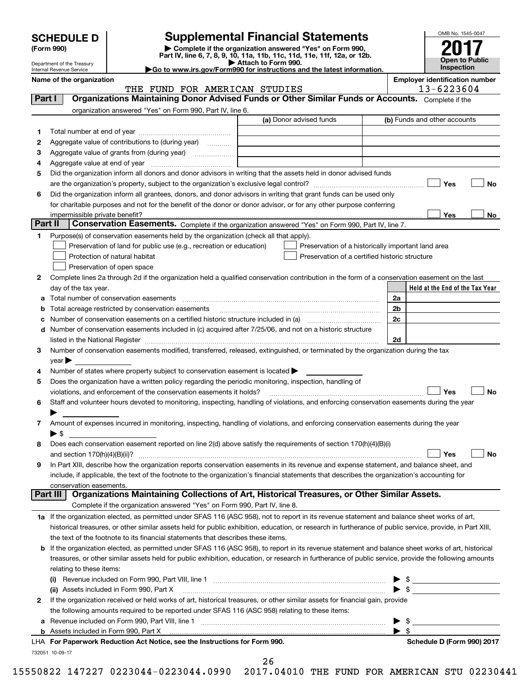| <b>SCHEDULE D</b> |  |
|-------------------|--|
|-------------------|--|

Department of the Treasury

| (Form 990) |  |
|------------|--|
|------------|--|

#### **SCHEDULE D Supplemental Financial Statements SCHEDULE D Supplemental Financial Statements**

(Form 990) (Form 990, Demplete if the organization answered "Yes" on Form 990,<br>Part IV, line 6, 7, 8, 9, 10, 11a, 11b, 11c, 11d, 11e, 11f, 12a, or 12b. Department of the Treasury **Department of the Treasury <b>Attach to Form 990**. (Form 990)<br>
Pepartment of the Treasury<br>
Department of the Treasury<br>
Department of the Treasury<br>
Department of the Treasury<br> **Co to www.irs.gov/Form990 for instructions and the latest information.**<br> **Co to www.irs.gov/Form9** 



**Name of the organization**  Internal Revenue Service

**Employer identification number Name of the organization Employer identification number**

 $13 - 6223601$ 

| Part I<br>Organizations Maintaining Donor Advised Funds or Other Similar Funds or Accounts. Complete if the<br>organization answered "Yes" on Form 990, Part IV, line 6.<br>(a) Donor advised funds<br>(b) Funds and other accounts<br>1<br>Aggregate value of contributions to (during year)<br>2<br>Aggregate value of grants from (during year)<br>з<br>4<br>Did the organization inform all donors and donor advisors in writing that the assets held in donor advised funds<br>5<br>Yes<br>Did the organization inform all grantees, donors, and donor advisors in writing that grant funds can be used only<br>6<br>for charitable purposes and not for the benefit of the donor or donor advisor, or for any other purpose conferring<br>Yes<br>Part II<br>Conservation Easements. Complete if the organization answered "Yes" on Form 990, Part IV, line 7.<br>Purpose(s) of conservation easements held by the organization (check all that apply).<br>1<br>Preservation of land for public use (e.g., recreation or education)<br>Preservation of a historically important land area<br>Protection of natural habitat<br>Preservation of a certified historic structure<br>Preservation of open space<br>Complete lines 2a through 2d if the organization held a qualified conservation contribution in the form of a conservation easement on the last<br>2<br>day of the tax year.<br>2a<br>2b<br>Total acreage restricted by conservation easements<br>2c<br>Number of conservation easements on a certified historic structure included in (a) manufacture included in (a)<br>d Number of conservation easements included in (c) acquired after 7/25/06, and not on a historic structure<br>2d<br>listed in the National Register [111] Marshall Register [11] Marshall Register [11] Marshall Register [11] Marshall Register [11] Marshall Register [11] Marshall Register [11] Marshall Register [11] Marshall Register [11]<br>Number of conservation easements modified, transferred, released, extinguished, or terminated by the organization during the tax<br>3<br>year<br>Number of states where property subject to conservation easement is located ><br>4<br>Does the organization have a written policy regarding the periodic monitoring, inspection, handling of<br>5<br>Yes<br>violations, and enforcement of the conservation easements it holds?<br>Staff and volunteer hours devoted to monitoring, inspecting, handling of violations, and enforcing conservation easements during the year<br>6<br>Amount of expenses incurred in monitoring, inspecting, handling of violations, and enforcing conservation easements during the year<br>7<br>$\blacktriangleright$ s<br>Does each conservation easement reported on line 2(d) above satisfy the requirements of section 170(h)(4)(B)(i)<br>8<br>Yes<br>In Part XIII, describe how the organization reports conservation easements in its revenue and expense statement, and balance sheet, and<br>9<br>include, if applicable, the text of the footnote to the organization's financial statements that describes the organization's accounting for<br>conservation easements.<br>Organizations Maintaining Collections of Art, Historical Treasures, or Other Similar Assets.<br>Part III<br>Complete if the organization answered "Yes" on Form 990, Part IV, line 8.<br>1a If the organization elected, as permitted under SFAS 116 (ASC 958), not to report in its revenue statement and balance sheet works of art,<br>historical treasures, or other similar assets held for public exhibition, education, or research in furtherance of public service, provide, in Part XIII,<br>the text of the footnote to its financial statements that describes these items.<br><b>b</b> If the organization elected, as permitted under SFAS 116 (ASC 958), to report in its revenue statement and balance sheet works of art, historical<br>treasures, or other similar assets held for public exhibition, education, or research in furtherance of public service, provide the following amounts<br>relating to these items:<br>(ii) Assets included in Form 990, Part X<br>If the organization received or held works of art, historical treasures, or other similar assets for financial gain, provide<br>$\mathbf{2}$ | THE FUND FOR AMERICAN STUDIES | 13-6223604                      |
|----------------------------------------------------------------------------------------------------------------------------------------------------------------------------------------------------------------------------------------------------------------------------------------------------------------------------------------------------------------------------------------------------------------------------------------------------------------------------------------------------------------------------------------------------------------------------------------------------------------------------------------------------------------------------------------------------------------------------------------------------------------------------------------------------------------------------------------------------------------------------------------------------------------------------------------------------------------------------------------------------------------------------------------------------------------------------------------------------------------------------------------------------------------------------------------------------------------------------------------------------------------------------------------------------------------------------------------------------------------------------------------------------------------------------------------------------------------------------------------------------------------------------------------------------------------------------------------------------------------------------------------------------------------------------------------------------------------------------------------------------------------------------------------------------------------------------------------------------------------------------------------------------------------------------------------------------------------------------------------------------------------------------------------------------------------------------------------------------------------------------------------------------------------------------------------------------------------------------------------------------------------------------------------------------------------------------------------------------------------------------------------------------------------------------------------------------------------------------------------------------------------------------------------------------------------------------------------------------------------------------------------------------------------------------------------------------------------------------------------------------------------------------------------------------------------------------------------------------------------------------------------------------------------------------------------------------------------------------------------------------------------------------------------------------------------------------------------------------------------------------------------------------------------------------------------------------------------------------------------------------------------------------------------------------------------------------------------------------------------------------------------------------------------------------------------------------------------------------------------------------------------------------------------------------------------------------------------------------------------------------------------------------------------------------------------------------------------------------------------------------------------------------------------------------------------------------------------------------------------------------------------------------------------------------------------------------------------------------------------------------------------------------------------------------------------------------------------------------------------------------------------------------------------------------------------------------------------------------------------------------------------------------------------------------------------|-------------------------------|---------------------------------|
|                                                                                                                                                                                                                                                                                                                                                                                                                                                                                                                                                                                                                                                                                                                                                                                                                                                                                                                                                                                                                                                                                                                                                                                                                                                                                                                                                                                                                                                                                                                                                                                                                                                                                                                                                                                                                                                                                                                                                                                                                                                                                                                                                                                                                                                                                                                                                                                                                                                                                                                                                                                                                                                                                                                                                                                                                                                                                                                                                                                                                                                                                                                                                                                                                                                                                                                                                                                                                                                                                                                                                                                                                                                                                                                                                                                                                                                                                                                                                                                                                                                                                                                                                                                                                                                                                                                |                               |                                 |
|                                                                                                                                                                                                                                                                                                                                                                                                                                                                                                                                                                                                                                                                                                                                                                                                                                                                                                                                                                                                                                                                                                                                                                                                                                                                                                                                                                                                                                                                                                                                                                                                                                                                                                                                                                                                                                                                                                                                                                                                                                                                                                                                                                                                                                                                                                                                                                                                                                                                                                                                                                                                                                                                                                                                                                                                                                                                                                                                                                                                                                                                                                                                                                                                                                                                                                                                                                                                                                                                                                                                                                                                                                                                                                                                                                                                                                                                                                                                                                                                                                                                                                                                                                                                                                                                                                                |                               |                                 |
|                                                                                                                                                                                                                                                                                                                                                                                                                                                                                                                                                                                                                                                                                                                                                                                                                                                                                                                                                                                                                                                                                                                                                                                                                                                                                                                                                                                                                                                                                                                                                                                                                                                                                                                                                                                                                                                                                                                                                                                                                                                                                                                                                                                                                                                                                                                                                                                                                                                                                                                                                                                                                                                                                                                                                                                                                                                                                                                                                                                                                                                                                                                                                                                                                                                                                                                                                                                                                                                                                                                                                                                                                                                                                                                                                                                                                                                                                                                                                                                                                                                                                                                                                                                                                                                                                                                |                               |                                 |
|                                                                                                                                                                                                                                                                                                                                                                                                                                                                                                                                                                                                                                                                                                                                                                                                                                                                                                                                                                                                                                                                                                                                                                                                                                                                                                                                                                                                                                                                                                                                                                                                                                                                                                                                                                                                                                                                                                                                                                                                                                                                                                                                                                                                                                                                                                                                                                                                                                                                                                                                                                                                                                                                                                                                                                                                                                                                                                                                                                                                                                                                                                                                                                                                                                                                                                                                                                                                                                                                                                                                                                                                                                                                                                                                                                                                                                                                                                                                                                                                                                                                                                                                                                                                                                                                                                                |                               |                                 |
|                                                                                                                                                                                                                                                                                                                                                                                                                                                                                                                                                                                                                                                                                                                                                                                                                                                                                                                                                                                                                                                                                                                                                                                                                                                                                                                                                                                                                                                                                                                                                                                                                                                                                                                                                                                                                                                                                                                                                                                                                                                                                                                                                                                                                                                                                                                                                                                                                                                                                                                                                                                                                                                                                                                                                                                                                                                                                                                                                                                                                                                                                                                                                                                                                                                                                                                                                                                                                                                                                                                                                                                                                                                                                                                                                                                                                                                                                                                                                                                                                                                                                                                                                                                                                                                                                                                |                               |                                 |
|                                                                                                                                                                                                                                                                                                                                                                                                                                                                                                                                                                                                                                                                                                                                                                                                                                                                                                                                                                                                                                                                                                                                                                                                                                                                                                                                                                                                                                                                                                                                                                                                                                                                                                                                                                                                                                                                                                                                                                                                                                                                                                                                                                                                                                                                                                                                                                                                                                                                                                                                                                                                                                                                                                                                                                                                                                                                                                                                                                                                                                                                                                                                                                                                                                                                                                                                                                                                                                                                                                                                                                                                                                                                                                                                                                                                                                                                                                                                                                                                                                                                                                                                                                                                                                                                                                                |                               |                                 |
|                                                                                                                                                                                                                                                                                                                                                                                                                                                                                                                                                                                                                                                                                                                                                                                                                                                                                                                                                                                                                                                                                                                                                                                                                                                                                                                                                                                                                                                                                                                                                                                                                                                                                                                                                                                                                                                                                                                                                                                                                                                                                                                                                                                                                                                                                                                                                                                                                                                                                                                                                                                                                                                                                                                                                                                                                                                                                                                                                                                                                                                                                                                                                                                                                                                                                                                                                                                                                                                                                                                                                                                                                                                                                                                                                                                                                                                                                                                                                                                                                                                                                                                                                                                                                                                                                                                |                               |                                 |
|                                                                                                                                                                                                                                                                                                                                                                                                                                                                                                                                                                                                                                                                                                                                                                                                                                                                                                                                                                                                                                                                                                                                                                                                                                                                                                                                                                                                                                                                                                                                                                                                                                                                                                                                                                                                                                                                                                                                                                                                                                                                                                                                                                                                                                                                                                                                                                                                                                                                                                                                                                                                                                                                                                                                                                                                                                                                                                                                                                                                                                                                                                                                                                                                                                                                                                                                                                                                                                                                                                                                                                                                                                                                                                                                                                                                                                                                                                                                                                                                                                                                                                                                                                                                                                                                                                                |                               |                                 |
|                                                                                                                                                                                                                                                                                                                                                                                                                                                                                                                                                                                                                                                                                                                                                                                                                                                                                                                                                                                                                                                                                                                                                                                                                                                                                                                                                                                                                                                                                                                                                                                                                                                                                                                                                                                                                                                                                                                                                                                                                                                                                                                                                                                                                                                                                                                                                                                                                                                                                                                                                                                                                                                                                                                                                                                                                                                                                                                                                                                                                                                                                                                                                                                                                                                                                                                                                                                                                                                                                                                                                                                                                                                                                                                                                                                                                                                                                                                                                                                                                                                                                                                                                                                                                                                                                                                |                               | No                              |
|                                                                                                                                                                                                                                                                                                                                                                                                                                                                                                                                                                                                                                                                                                                                                                                                                                                                                                                                                                                                                                                                                                                                                                                                                                                                                                                                                                                                                                                                                                                                                                                                                                                                                                                                                                                                                                                                                                                                                                                                                                                                                                                                                                                                                                                                                                                                                                                                                                                                                                                                                                                                                                                                                                                                                                                                                                                                                                                                                                                                                                                                                                                                                                                                                                                                                                                                                                                                                                                                                                                                                                                                                                                                                                                                                                                                                                                                                                                                                                                                                                                                                                                                                                                                                                                                                                                |                               |                                 |
|                                                                                                                                                                                                                                                                                                                                                                                                                                                                                                                                                                                                                                                                                                                                                                                                                                                                                                                                                                                                                                                                                                                                                                                                                                                                                                                                                                                                                                                                                                                                                                                                                                                                                                                                                                                                                                                                                                                                                                                                                                                                                                                                                                                                                                                                                                                                                                                                                                                                                                                                                                                                                                                                                                                                                                                                                                                                                                                                                                                                                                                                                                                                                                                                                                                                                                                                                                                                                                                                                                                                                                                                                                                                                                                                                                                                                                                                                                                                                                                                                                                                                                                                                                                                                                                                                                                |                               |                                 |
|                                                                                                                                                                                                                                                                                                                                                                                                                                                                                                                                                                                                                                                                                                                                                                                                                                                                                                                                                                                                                                                                                                                                                                                                                                                                                                                                                                                                                                                                                                                                                                                                                                                                                                                                                                                                                                                                                                                                                                                                                                                                                                                                                                                                                                                                                                                                                                                                                                                                                                                                                                                                                                                                                                                                                                                                                                                                                                                                                                                                                                                                                                                                                                                                                                                                                                                                                                                                                                                                                                                                                                                                                                                                                                                                                                                                                                                                                                                                                                                                                                                                                                                                                                                                                                                                                                                |                               | No                              |
|                                                                                                                                                                                                                                                                                                                                                                                                                                                                                                                                                                                                                                                                                                                                                                                                                                                                                                                                                                                                                                                                                                                                                                                                                                                                                                                                                                                                                                                                                                                                                                                                                                                                                                                                                                                                                                                                                                                                                                                                                                                                                                                                                                                                                                                                                                                                                                                                                                                                                                                                                                                                                                                                                                                                                                                                                                                                                                                                                                                                                                                                                                                                                                                                                                                                                                                                                                                                                                                                                                                                                                                                                                                                                                                                                                                                                                                                                                                                                                                                                                                                                                                                                                                                                                                                                                                |                               |                                 |
|                                                                                                                                                                                                                                                                                                                                                                                                                                                                                                                                                                                                                                                                                                                                                                                                                                                                                                                                                                                                                                                                                                                                                                                                                                                                                                                                                                                                                                                                                                                                                                                                                                                                                                                                                                                                                                                                                                                                                                                                                                                                                                                                                                                                                                                                                                                                                                                                                                                                                                                                                                                                                                                                                                                                                                                                                                                                                                                                                                                                                                                                                                                                                                                                                                                                                                                                                                                                                                                                                                                                                                                                                                                                                                                                                                                                                                                                                                                                                                                                                                                                                                                                                                                                                                                                                                                |                               |                                 |
|                                                                                                                                                                                                                                                                                                                                                                                                                                                                                                                                                                                                                                                                                                                                                                                                                                                                                                                                                                                                                                                                                                                                                                                                                                                                                                                                                                                                                                                                                                                                                                                                                                                                                                                                                                                                                                                                                                                                                                                                                                                                                                                                                                                                                                                                                                                                                                                                                                                                                                                                                                                                                                                                                                                                                                                                                                                                                                                                                                                                                                                                                                                                                                                                                                                                                                                                                                                                                                                                                                                                                                                                                                                                                                                                                                                                                                                                                                                                                                                                                                                                                                                                                                                                                                                                                                                |                               |                                 |
|                                                                                                                                                                                                                                                                                                                                                                                                                                                                                                                                                                                                                                                                                                                                                                                                                                                                                                                                                                                                                                                                                                                                                                                                                                                                                                                                                                                                                                                                                                                                                                                                                                                                                                                                                                                                                                                                                                                                                                                                                                                                                                                                                                                                                                                                                                                                                                                                                                                                                                                                                                                                                                                                                                                                                                                                                                                                                                                                                                                                                                                                                                                                                                                                                                                                                                                                                                                                                                                                                                                                                                                                                                                                                                                                                                                                                                                                                                                                                                                                                                                                                                                                                                                                                                                                                                                |                               |                                 |
|                                                                                                                                                                                                                                                                                                                                                                                                                                                                                                                                                                                                                                                                                                                                                                                                                                                                                                                                                                                                                                                                                                                                                                                                                                                                                                                                                                                                                                                                                                                                                                                                                                                                                                                                                                                                                                                                                                                                                                                                                                                                                                                                                                                                                                                                                                                                                                                                                                                                                                                                                                                                                                                                                                                                                                                                                                                                                                                                                                                                                                                                                                                                                                                                                                                                                                                                                                                                                                                                                                                                                                                                                                                                                                                                                                                                                                                                                                                                                                                                                                                                                                                                                                                                                                                                                                                |                               |                                 |
|                                                                                                                                                                                                                                                                                                                                                                                                                                                                                                                                                                                                                                                                                                                                                                                                                                                                                                                                                                                                                                                                                                                                                                                                                                                                                                                                                                                                                                                                                                                                                                                                                                                                                                                                                                                                                                                                                                                                                                                                                                                                                                                                                                                                                                                                                                                                                                                                                                                                                                                                                                                                                                                                                                                                                                                                                                                                                                                                                                                                                                                                                                                                                                                                                                                                                                                                                                                                                                                                                                                                                                                                                                                                                                                                                                                                                                                                                                                                                                                                                                                                                                                                                                                                                                                                                                                |                               |                                 |
|                                                                                                                                                                                                                                                                                                                                                                                                                                                                                                                                                                                                                                                                                                                                                                                                                                                                                                                                                                                                                                                                                                                                                                                                                                                                                                                                                                                                                                                                                                                                                                                                                                                                                                                                                                                                                                                                                                                                                                                                                                                                                                                                                                                                                                                                                                                                                                                                                                                                                                                                                                                                                                                                                                                                                                                                                                                                                                                                                                                                                                                                                                                                                                                                                                                                                                                                                                                                                                                                                                                                                                                                                                                                                                                                                                                                                                                                                                                                                                                                                                                                                                                                                                                                                                                                                                                |                               | Held at the End of the Tax Year |
|                                                                                                                                                                                                                                                                                                                                                                                                                                                                                                                                                                                                                                                                                                                                                                                                                                                                                                                                                                                                                                                                                                                                                                                                                                                                                                                                                                                                                                                                                                                                                                                                                                                                                                                                                                                                                                                                                                                                                                                                                                                                                                                                                                                                                                                                                                                                                                                                                                                                                                                                                                                                                                                                                                                                                                                                                                                                                                                                                                                                                                                                                                                                                                                                                                                                                                                                                                                                                                                                                                                                                                                                                                                                                                                                                                                                                                                                                                                                                                                                                                                                                                                                                                                                                                                                                                                |                               |                                 |
|                                                                                                                                                                                                                                                                                                                                                                                                                                                                                                                                                                                                                                                                                                                                                                                                                                                                                                                                                                                                                                                                                                                                                                                                                                                                                                                                                                                                                                                                                                                                                                                                                                                                                                                                                                                                                                                                                                                                                                                                                                                                                                                                                                                                                                                                                                                                                                                                                                                                                                                                                                                                                                                                                                                                                                                                                                                                                                                                                                                                                                                                                                                                                                                                                                                                                                                                                                                                                                                                                                                                                                                                                                                                                                                                                                                                                                                                                                                                                                                                                                                                                                                                                                                                                                                                                                                |                               |                                 |
|                                                                                                                                                                                                                                                                                                                                                                                                                                                                                                                                                                                                                                                                                                                                                                                                                                                                                                                                                                                                                                                                                                                                                                                                                                                                                                                                                                                                                                                                                                                                                                                                                                                                                                                                                                                                                                                                                                                                                                                                                                                                                                                                                                                                                                                                                                                                                                                                                                                                                                                                                                                                                                                                                                                                                                                                                                                                                                                                                                                                                                                                                                                                                                                                                                                                                                                                                                                                                                                                                                                                                                                                                                                                                                                                                                                                                                                                                                                                                                                                                                                                                                                                                                                                                                                                                                                |                               |                                 |
|                                                                                                                                                                                                                                                                                                                                                                                                                                                                                                                                                                                                                                                                                                                                                                                                                                                                                                                                                                                                                                                                                                                                                                                                                                                                                                                                                                                                                                                                                                                                                                                                                                                                                                                                                                                                                                                                                                                                                                                                                                                                                                                                                                                                                                                                                                                                                                                                                                                                                                                                                                                                                                                                                                                                                                                                                                                                                                                                                                                                                                                                                                                                                                                                                                                                                                                                                                                                                                                                                                                                                                                                                                                                                                                                                                                                                                                                                                                                                                                                                                                                                                                                                                                                                                                                                                                |                               |                                 |
|                                                                                                                                                                                                                                                                                                                                                                                                                                                                                                                                                                                                                                                                                                                                                                                                                                                                                                                                                                                                                                                                                                                                                                                                                                                                                                                                                                                                                                                                                                                                                                                                                                                                                                                                                                                                                                                                                                                                                                                                                                                                                                                                                                                                                                                                                                                                                                                                                                                                                                                                                                                                                                                                                                                                                                                                                                                                                                                                                                                                                                                                                                                                                                                                                                                                                                                                                                                                                                                                                                                                                                                                                                                                                                                                                                                                                                                                                                                                                                                                                                                                                                                                                                                                                                                                                                                |                               |                                 |
|                                                                                                                                                                                                                                                                                                                                                                                                                                                                                                                                                                                                                                                                                                                                                                                                                                                                                                                                                                                                                                                                                                                                                                                                                                                                                                                                                                                                                                                                                                                                                                                                                                                                                                                                                                                                                                                                                                                                                                                                                                                                                                                                                                                                                                                                                                                                                                                                                                                                                                                                                                                                                                                                                                                                                                                                                                                                                                                                                                                                                                                                                                                                                                                                                                                                                                                                                                                                                                                                                                                                                                                                                                                                                                                                                                                                                                                                                                                                                                                                                                                                                                                                                                                                                                                                                                                |                               |                                 |
|                                                                                                                                                                                                                                                                                                                                                                                                                                                                                                                                                                                                                                                                                                                                                                                                                                                                                                                                                                                                                                                                                                                                                                                                                                                                                                                                                                                                                                                                                                                                                                                                                                                                                                                                                                                                                                                                                                                                                                                                                                                                                                                                                                                                                                                                                                                                                                                                                                                                                                                                                                                                                                                                                                                                                                                                                                                                                                                                                                                                                                                                                                                                                                                                                                                                                                                                                                                                                                                                                                                                                                                                                                                                                                                                                                                                                                                                                                                                                                                                                                                                                                                                                                                                                                                                                                                |                               |                                 |
|                                                                                                                                                                                                                                                                                                                                                                                                                                                                                                                                                                                                                                                                                                                                                                                                                                                                                                                                                                                                                                                                                                                                                                                                                                                                                                                                                                                                                                                                                                                                                                                                                                                                                                                                                                                                                                                                                                                                                                                                                                                                                                                                                                                                                                                                                                                                                                                                                                                                                                                                                                                                                                                                                                                                                                                                                                                                                                                                                                                                                                                                                                                                                                                                                                                                                                                                                                                                                                                                                                                                                                                                                                                                                                                                                                                                                                                                                                                                                                                                                                                                                                                                                                                                                                                                                                                |                               |                                 |
|                                                                                                                                                                                                                                                                                                                                                                                                                                                                                                                                                                                                                                                                                                                                                                                                                                                                                                                                                                                                                                                                                                                                                                                                                                                                                                                                                                                                                                                                                                                                                                                                                                                                                                                                                                                                                                                                                                                                                                                                                                                                                                                                                                                                                                                                                                                                                                                                                                                                                                                                                                                                                                                                                                                                                                                                                                                                                                                                                                                                                                                                                                                                                                                                                                                                                                                                                                                                                                                                                                                                                                                                                                                                                                                                                                                                                                                                                                                                                                                                                                                                                                                                                                                                                                                                                                                |                               |                                 |
|                                                                                                                                                                                                                                                                                                                                                                                                                                                                                                                                                                                                                                                                                                                                                                                                                                                                                                                                                                                                                                                                                                                                                                                                                                                                                                                                                                                                                                                                                                                                                                                                                                                                                                                                                                                                                                                                                                                                                                                                                                                                                                                                                                                                                                                                                                                                                                                                                                                                                                                                                                                                                                                                                                                                                                                                                                                                                                                                                                                                                                                                                                                                                                                                                                                                                                                                                                                                                                                                                                                                                                                                                                                                                                                                                                                                                                                                                                                                                                                                                                                                                                                                                                                                                                                                                                                |                               | No                              |
|                                                                                                                                                                                                                                                                                                                                                                                                                                                                                                                                                                                                                                                                                                                                                                                                                                                                                                                                                                                                                                                                                                                                                                                                                                                                                                                                                                                                                                                                                                                                                                                                                                                                                                                                                                                                                                                                                                                                                                                                                                                                                                                                                                                                                                                                                                                                                                                                                                                                                                                                                                                                                                                                                                                                                                                                                                                                                                                                                                                                                                                                                                                                                                                                                                                                                                                                                                                                                                                                                                                                                                                                                                                                                                                                                                                                                                                                                                                                                                                                                                                                                                                                                                                                                                                                                                                |                               |                                 |
|                                                                                                                                                                                                                                                                                                                                                                                                                                                                                                                                                                                                                                                                                                                                                                                                                                                                                                                                                                                                                                                                                                                                                                                                                                                                                                                                                                                                                                                                                                                                                                                                                                                                                                                                                                                                                                                                                                                                                                                                                                                                                                                                                                                                                                                                                                                                                                                                                                                                                                                                                                                                                                                                                                                                                                                                                                                                                                                                                                                                                                                                                                                                                                                                                                                                                                                                                                                                                                                                                                                                                                                                                                                                                                                                                                                                                                                                                                                                                                                                                                                                                                                                                                                                                                                                                                                |                               |                                 |
|                                                                                                                                                                                                                                                                                                                                                                                                                                                                                                                                                                                                                                                                                                                                                                                                                                                                                                                                                                                                                                                                                                                                                                                                                                                                                                                                                                                                                                                                                                                                                                                                                                                                                                                                                                                                                                                                                                                                                                                                                                                                                                                                                                                                                                                                                                                                                                                                                                                                                                                                                                                                                                                                                                                                                                                                                                                                                                                                                                                                                                                                                                                                                                                                                                                                                                                                                                                                                                                                                                                                                                                                                                                                                                                                                                                                                                                                                                                                                                                                                                                                                                                                                                                                                                                                                                                |                               |                                 |
|                                                                                                                                                                                                                                                                                                                                                                                                                                                                                                                                                                                                                                                                                                                                                                                                                                                                                                                                                                                                                                                                                                                                                                                                                                                                                                                                                                                                                                                                                                                                                                                                                                                                                                                                                                                                                                                                                                                                                                                                                                                                                                                                                                                                                                                                                                                                                                                                                                                                                                                                                                                                                                                                                                                                                                                                                                                                                                                                                                                                                                                                                                                                                                                                                                                                                                                                                                                                                                                                                                                                                                                                                                                                                                                                                                                                                                                                                                                                                                                                                                                                                                                                                                                                                                                                                                                |                               |                                 |
|                                                                                                                                                                                                                                                                                                                                                                                                                                                                                                                                                                                                                                                                                                                                                                                                                                                                                                                                                                                                                                                                                                                                                                                                                                                                                                                                                                                                                                                                                                                                                                                                                                                                                                                                                                                                                                                                                                                                                                                                                                                                                                                                                                                                                                                                                                                                                                                                                                                                                                                                                                                                                                                                                                                                                                                                                                                                                                                                                                                                                                                                                                                                                                                                                                                                                                                                                                                                                                                                                                                                                                                                                                                                                                                                                                                                                                                                                                                                                                                                                                                                                                                                                                                                                                                                                                                |                               |                                 |
|                                                                                                                                                                                                                                                                                                                                                                                                                                                                                                                                                                                                                                                                                                                                                                                                                                                                                                                                                                                                                                                                                                                                                                                                                                                                                                                                                                                                                                                                                                                                                                                                                                                                                                                                                                                                                                                                                                                                                                                                                                                                                                                                                                                                                                                                                                                                                                                                                                                                                                                                                                                                                                                                                                                                                                                                                                                                                                                                                                                                                                                                                                                                                                                                                                                                                                                                                                                                                                                                                                                                                                                                                                                                                                                                                                                                                                                                                                                                                                                                                                                                                                                                                                                                                                                                                                                |                               | No                              |
|                                                                                                                                                                                                                                                                                                                                                                                                                                                                                                                                                                                                                                                                                                                                                                                                                                                                                                                                                                                                                                                                                                                                                                                                                                                                                                                                                                                                                                                                                                                                                                                                                                                                                                                                                                                                                                                                                                                                                                                                                                                                                                                                                                                                                                                                                                                                                                                                                                                                                                                                                                                                                                                                                                                                                                                                                                                                                                                                                                                                                                                                                                                                                                                                                                                                                                                                                                                                                                                                                                                                                                                                                                                                                                                                                                                                                                                                                                                                                                                                                                                                                                                                                                                                                                                                                                                |                               |                                 |
|                                                                                                                                                                                                                                                                                                                                                                                                                                                                                                                                                                                                                                                                                                                                                                                                                                                                                                                                                                                                                                                                                                                                                                                                                                                                                                                                                                                                                                                                                                                                                                                                                                                                                                                                                                                                                                                                                                                                                                                                                                                                                                                                                                                                                                                                                                                                                                                                                                                                                                                                                                                                                                                                                                                                                                                                                                                                                                                                                                                                                                                                                                                                                                                                                                                                                                                                                                                                                                                                                                                                                                                                                                                                                                                                                                                                                                                                                                                                                                                                                                                                                                                                                                                                                                                                                                                |                               |                                 |
|                                                                                                                                                                                                                                                                                                                                                                                                                                                                                                                                                                                                                                                                                                                                                                                                                                                                                                                                                                                                                                                                                                                                                                                                                                                                                                                                                                                                                                                                                                                                                                                                                                                                                                                                                                                                                                                                                                                                                                                                                                                                                                                                                                                                                                                                                                                                                                                                                                                                                                                                                                                                                                                                                                                                                                                                                                                                                                                                                                                                                                                                                                                                                                                                                                                                                                                                                                                                                                                                                                                                                                                                                                                                                                                                                                                                                                                                                                                                                                                                                                                                                                                                                                                                                                                                                                                |                               |                                 |
|                                                                                                                                                                                                                                                                                                                                                                                                                                                                                                                                                                                                                                                                                                                                                                                                                                                                                                                                                                                                                                                                                                                                                                                                                                                                                                                                                                                                                                                                                                                                                                                                                                                                                                                                                                                                                                                                                                                                                                                                                                                                                                                                                                                                                                                                                                                                                                                                                                                                                                                                                                                                                                                                                                                                                                                                                                                                                                                                                                                                                                                                                                                                                                                                                                                                                                                                                                                                                                                                                                                                                                                                                                                                                                                                                                                                                                                                                                                                                                                                                                                                                                                                                                                                                                                                                                                |                               |                                 |
|                                                                                                                                                                                                                                                                                                                                                                                                                                                                                                                                                                                                                                                                                                                                                                                                                                                                                                                                                                                                                                                                                                                                                                                                                                                                                                                                                                                                                                                                                                                                                                                                                                                                                                                                                                                                                                                                                                                                                                                                                                                                                                                                                                                                                                                                                                                                                                                                                                                                                                                                                                                                                                                                                                                                                                                                                                                                                                                                                                                                                                                                                                                                                                                                                                                                                                                                                                                                                                                                                                                                                                                                                                                                                                                                                                                                                                                                                                                                                                                                                                                                                                                                                                                                                                                                                                                |                               |                                 |
|                                                                                                                                                                                                                                                                                                                                                                                                                                                                                                                                                                                                                                                                                                                                                                                                                                                                                                                                                                                                                                                                                                                                                                                                                                                                                                                                                                                                                                                                                                                                                                                                                                                                                                                                                                                                                                                                                                                                                                                                                                                                                                                                                                                                                                                                                                                                                                                                                                                                                                                                                                                                                                                                                                                                                                                                                                                                                                                                                                                                                                                                                                                                                                                                                                                                                                                                                                                                                                                                                                                                                                                                                                                                                                                                                                                                                                                                                                                                                                                                                                                                                                                                                                                                                                                                                                                |                               |                                 |
|                                                                                                                                                                                                                                                                                                                                                                                                                                                                                                                                                                                                                                                                                                                                                                                                                                                                                                                                                                                                                                                                                                                                                                                                                                                                                                                                                                                                                                                                                                                                                                                                                                                                                                                                                                                                                                                                                                                                                                                                                                                                                                                                                                                                                                                                                                                                                                                                                                                                                                                                                                                                                                                                                                                                                                                                                                                                                                                                                                                                                                                                                                                                                                                                                                                                                                                                                                                                                                                                                                                                                                                                                                                                                                                                                                                                                                                                                                                                                                                                                                                                                                                                                                                                                                                                                                                |                               |                                 |
|                                                                                                                                                                                                                                                                                                                                                                                                                                                                                                                                                                                                                                                                                                                                                                                                                                                                                                                                                                                                                                                                                                                                                                                                                                                                                                                                                                                                                                                                                                                                                                                                                                                                                                                                                                                                                                                                                                                                                                                                                                                                                                                                                                                                                                                                                                                                                                                                                                                                                                                                                                                                                                                                                                                                                                                                                                                                                                                                                                                                                                                                                                                                                                                                                                                                                                                                                                                                                                                                                                                                                                                                                                                                                                                                                                                                                                                                                                                                                                                                                                                                                                                                                                                                                                                                                                                |                               |                                 |
|                                                                                                                                                                                                                                                                                                                                                                                                                                                                                                                                                                                                                                                                                                                                                                                                                                                                                                                                                                                                                                                                                                                                                                                                                                                                                                                                                                                                                                                                                                                                                                                                                                                                                                                                                                                                                                                                                                                                                                                                                                                                                                                                                                                                                                                                                                                                                                                                                                                                                                                                                                                                                                                                                                                                                                                                                                                                                                                                                                                                                                                                                                                                                                                                                                                                                                                                                                                                                                                                                                                                                                                                                                                                                                                                                                                                                                                                                                                                                                                                                                                                                                                                                                                                                                                                                                                |                               |                                 |
|                                                                                                                                                                                                                                                                                                                                                                                                                                                                                                                                                                                                                                                                                                                                                                                                                                                                                                                                                                                                                                                                                                                                                                                                                                                                                                                                                                                                                                                                                                                                                                                                                                                                                                                                                                                                                                                                                                                                                                                                                                                                                                                                                                                                                                                                                                                                                                                                                                                                                                                                                                                                                                                                                                                                                                                                                                                                                                                                                                                                                                                                                                                                                                                                                                                                                                                                                                                                                                                                                                                                                                                                                                                                                                                                                                                                                                                                                                                                                                                                                                                                                                                                                                                                                                                                                                                |                               |                                 |
|                                                                                                                                                                                                                                                                                                                                                                                                                                                                                                                                                                                                                                                                                                                                                                                                                                                                                                                                                                                                                                                                                                                                                                                                                                                                                                                                                                                                                                                                                                                                                                                                                                                                                                                                                                                                                                                                                                                                                                                                                                                                                                                                                                                                                                                                                                                                                                                                                                                                                                                                                                                                                                                                                                                                                                                                                                                                                                                                                                                                                                                                                                                                                                                                                                                                                                                                                                                                                                                                                                                                                                                                                                                                                                                                                                                                                                                                                                                                                                                                                                                                                                                                                                                                                                                                                                                |                               |                                 |
|                                                                                                                                                                                                                                                                                                                                                                                                                                                                                                                                                                                                                                                                                                                                                                                                                                                                                                                                                                                                                                                                                                                                                                                                                                                                                                                                                                                                                                                                                                                                                                                                                                                                                                                                                                                                                                                                                                                                                                                                                                                                                                                                                                                                                                                                                                                                                                                                                                                                                                                                                                                                                                                                                                                                                                                                                                                                                                                                                                                                                                                                                                                                                                                                                                                                                                                                                                                                                                                                                                                                                                                                                                                                                                                                                                                                                                                                                                                                                                                                                                                                                                                                                                                                                                                                                                                |                               | $\frac{1}{2}$                   |
|                                                                                                                                                                                                                                                                                                                                                                                                                                                                                                                                                                                                                                                                                                                                                                                                                                                                                                                                                                                                                                                                                                                                                                                                                                                                                                                                                                                                                                                                                                                                                                                                                                                                                                                                                                                                                                                                                                                                                                                                                                                                                                                                                                                                                                                                                                                                                                                                                                                                                                                                                                                                                                                                                                                                                                                                                                                                                                                                                                                                                                                                                                                                                                                                                                                                                                                                                                                                                                                                                                                                                                                                                                                                                                                                                                                                                                                                                                                                                                                                                                                                                                                                                                                                                                                                                                                |                               |                                 |
|                                                                                                                                                                                                                                                                                                                                                                                                                                                                                                                                                                                                                                                                                                                                                                                                                                                                                                                                                                                                                                                                                                                                                                                                                                                                                                                                                                                                                                                                                                                                                                                                                                                                                                                                                                                                                                                                                                                                                                                                                                                                                                                                                                                                                                                                                                                                                                                                                                                                                                                                                                                                                                                                                                                                                                                                                                                                                                                                                                                                                                                                                                                                                                                                                                                                                                                                                                                                                                                                                                                                                                                                                                                                                                                                                                                                                                                                                                                                                                                                                                                                                                                                                                                                                                                                                                                |                               |                                 |
| the following amounts required to be reported under SFAS 116 (ASC 958) relating to these items:                                                                                                                                                                                                                                                                                                                                                                                                                                                                                                                                                                                                                                                                                                                                                                                                                                                                                                                                                                                                                                                                                                                                                                                                                                                                                                                                                                                                                                                                                                                                                                                                                                                                                                                                                                                                                                                                                                                                                                                                                                                                                                                                                                                                                                                                                                                                                                                                                                                                                                                                                                                                                                                                                                                                                                                                                                                                                                                                                                                                                                                                                                                                                                                                                                                                                                                                                                                                                                                                                                                                                                                                                                                                                                                                                                                                                                                                                                                                                                                                                                                                                                                                                                                                                |                               |                                 |
| \$<br>а                                                                                                                                                                                                                                                                                                                                                                                                                                                                                                                                                                                                                                                                                                                                                                                                                                                                                                                                                                                                                                                                                                                                                                                                                                                                                                                                                                                                                                                                                                                                                                                                                                                                                                                                                                                                                                                                                                                                                                                                                                                                                                                                                                                                                                                                                                                                                                                                                                                                                                                                                                                                                                                                                                                                                                                                                                                                                                                                                                                                                                                                                                                                                                                                                                                                                                                                                                                                                                                                                                                                                                                                                                                                                                                                                                                                                                                                                                                                                                                                                                                                                                                                                                                                                                                                                                        |                               |                                 |
| -\$<br>Assets included in Form 990, Part X<br>b                                                                                                                                                                                                                                                                                                                                                                                                                                                                                                                                                                                                                                                                                                                                                                                                                                                                                                                                                                                                                                                                                                                                                                                                                                                                                                                                                                                                                                                                                                                                                                                                                                                                                                                                                                                                                                                                                                                                                                                                                                                                                                                                                                                                                                                                                                                                                                                                                                                                                                                                                                                                                                                                                                                                                                                                                                                                                                                                                                                                                                                                                                                                                                                                                                                                                                                                                                                                                                                                                                                                                                                                                                                                                                                                                                                                                                                                                                                                                                                                                                                                                                                                                                                                                                                                |                               |                                 |
| LHA For Paperwork Reduction Act Notice, see the Instructions for Form 990.                                                                                                                                                                                                                                                                                                                                                                                                                                                                                                                                                                                                                                                                                                                                                                                                                                                                                                                                                                                                                                                                                                                                                                                                                                                                                                                                                                                                                                                                                                                                                                                                                                                                                                                                                                                                                                                                                                                                                                                                                                                                                                                                                                                                                                                                                                                                                                                                                                                                                                                                                                                                                                                                                                                                                                                                                                                                                                                                                                                                                                                                                                                                                                                                                                                                                                                                                                                                                                                                                                                                                                                                                                                                                                                                                                                                                                                                                                                                                                                                                                                                                                                                                                                                                                     |                               | Schedule D (Form 990) 2017      |
| 732051 10-09-17                                                                                                                                                                                                                                                                                                                                                                                                                                                                                                                                                                                                                                                                                                                                                                                                                                                                                                                                                                                                                                                                                                                                                                                                                                                                                                                                                                                                                                                                                                                                                                                                                                                                                                                                                                                                                                                                                                                                                                                                                                                                                                                                                                                                                                                                                                                                                                                                                                                                                                                                                                                                                                                                                                                                                                                                                                                                                                                                                                                                                                                                                                                                                                                                                                                                                                                                                                                                                                                                                                                                                                                                                                                                                                                                                                                                                                                                                                                                                                                                                                                                                                                                                                                                                                                                                                |                               |                                 |

26 26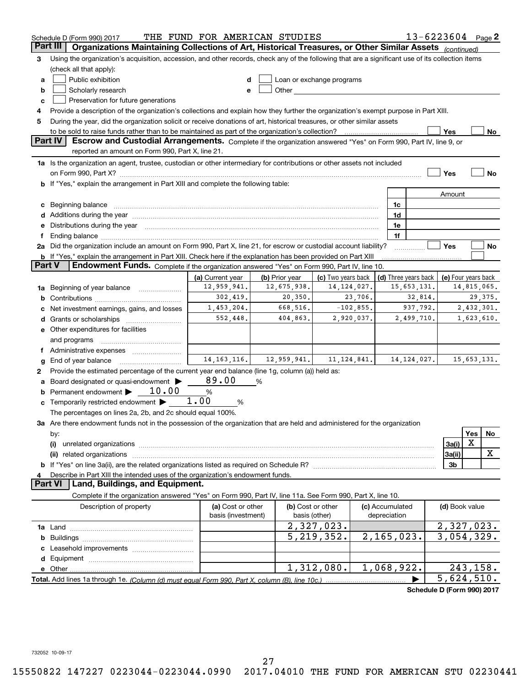|   | Schedule D (Form 990) 2017                                                                                                                                                                                                     | THE FUND FOR AMERICAN STUDIES |                |                                                                                                                                                                                                                               |                      | 13-6223604 Page 2          |                     |
|---|--------------------------------------------------------------------------------------------------------------------------------------------------------------------------------------------------------------------------------|-------------------------------|----------------|-------------------------------------------------------------------------------------------------------------------------------------------------------------------------------------------------------------------------------|----------------------|----------------------------|---------------------|
|   | Organizations Maintaining Collections of Art, Historical Treasures, or Other Similar Assets (continued)<br>Part III                                                                                                            |                               |                |                                                                                                                                                                                                                               |                      |                            |                     |
| з | Using the organization's acquisition, accession, and other records, check any of the following that are a significant use of its collection items                                                                              |                               |                |                                                                                                                                                                                                                               |                      |                            |                     |
|   | (check all that apply):                                                                                                                                                                                                        |                               |                |                                                                                                                                                                                                                               |                      |                            |                     |
| a | Public exhibition                                                                                                                                                                                                              |                               |                | Loan or exchange programs                                                                                                                                                                                                     |                      |                            |                     |
| b | Scholarly research                                                                                                                                                                                                             | е                             |                | Other and the contract of the contract of the contract of the contract of the contract of the contract of the contract of the contract of the contract of the contract of the contract of the contract of the contract of the |                      |                            |                     |
| с | Preservation for future generations                                                                                                                                                                                            |                               |                |                                                                                                                                                                                                                               |                      |                            |                     |
| 4 | Provide a description of the organization's collections and explain how they further the organization's exempt purpose in Part XIII.                                                                                           |                               |                |                                                                                                                                                                                                                               |                      |                            |                     |
| 5 | During the year, did the organization solicit or receive donations of art, historical treasures, or other similar assets                                                                                                       |                               |                |                                                                                                                                                                                                                               |                      |                            |                     |
|   |                                                                                                                                                                                                                                |                               |                |                                                                                                                                                                                                                               |                      | Yes                        | No                  |
|   | <b>Part IV</b><br>Escrow and Custodial Arrangements. Complete if the organization answered "Yes" on Form 990, Part IV, line 9, or<br>reported an amount on Form 990, Part X, line 21.                                          |                               |                |                                                                                                                                                                                                                               |                      |                            |                     |
|   | 1a Is the organization an agent, trustee, custodian or other intermediary for contributions or other assets not included                                                                                                       |                               |                |                                                                                                                                                                                                                               |                      |                            |                     |
|   | on Form 990, Part X? [11] matter contracts and contracts and contracts are contracted as a form 990, Part X?                                                                                                                   |                               |                |                                                                                                                                                                                                                               |                      | Yes                        | No                  |
|   | <b>b</b> If "Yes," explain the arrangement in Part XIII and complete the following table:                                                                                                                                      |                               |                |                                                                                                                                                                                                                               |                      |                            |                     |
|   |                                                                                                                                                                                                                                |                               |                |                                                                                                                                                                                                                               |                      | Amount                     |                     |
|   | c Beginning balance measurements and the state of the state of the state of the state of the state of the state of the state of the state of the state of the state of the state of the state of the state of the state of the |                               |                |                                                                                                                                                                                                                               | 1c                   |                            |                     |
|   | d Additions during the year measurement contains and a state of the year.                                                                                                                                                      |                               |                |                                                                                                                                                                                                                               | 1d                   |                            |                     |
|   | e Distributions during the year manufactured and contained and contained and contained and contained and contained and contained and contained and contained and contained and contained and contained and contained and conta |                               |                |                                                                                                                                                                                                                               | 1e                   |                            |                     |
| f |                                                                                                                                                                                                                                |                               |                |                                                                                                                                                                                                                               | 1f                   |                            |                     |
|   | 2a Did the organization include an amount on Form 990, Part X, line 21, for escrow or custodial account liability?                                                                                                             |                               |                |                                                                                                                                                                                                                               | .                    | Yes                        | No                  |
|   | <b>b</b> If "Yes," explain the arrangement in Part XIII. Check here if the explanation has been provided on Part XIII                                                                                                          |                               |                |                                                                                                                                                                                                                               |                      |                            |                     |
|   | Part V<br>Endowment Funds. Complete if the organization answered "Yes" on Form 990, Part IV, line 10.                                                                                                                          |                               |                |                                                                                                                                                                                                                               |                      |                            |                     |
|   |                                                                                                                                                                                                                                | (a) Current year              | (b) Prior year | (c) Two years back                                                                                                                                                                                                            | (d) Three years back |                            | (e) Four years back |
|   | 1a Beginning of year balance                                                                                                                                                                                                   | 12,959,941.                   | 12,675,938.    | 14, 124, 027.                                                                                                                                                                                                                 | 15,653,131.          |                            | 14,815,065.         |
| b |                                                                                                                                                                                                                                | 302,419.                      | 20,350.        | 23,706.                                                                                                                                                                                                                       | 32,814.              |                            | 29,375.             |
|   | Net investment earnings, gains, and losses                                                                                                                                                                                     | 1,453,204.                    | 668,516.       | $-102,855.$                                                                                                                                                                                                                   | 937,792.             |                            | 2,432,301.          |
|   |                                                                                                                                                                                                                                | 552,448.                      | 404,863.       | 2,920,037.                                                                                                                                                                                                                    | 2,499,710.           |                            | 1,623,610.          |
|   | e Other expenditures for facilities                                                                                                                                                                                            |                               |                |                                                                                                                                                                                                                               |                      |                            |                     |
|   | and programs                                                                                                                                                                                                                   |                               |                |                                                                                                                                                                                                                               |                      |                            |                     |
|   |                                                                                                                                                                                                                                |                               |                |                                                                                                                                                                                                                               |                      |                            |                     |
| g | End of year balance                                                                                                                                                                                                            | 14, 163, 116.                 | 12,959,941.    | 11, 124, 841.                                                                                                                                                                                                                 | 14, 124, 027.        |                            | 15,653,131.         |
| 2 | Provide the estimated percentage of the current year end balance (line 1g, column (a)) held as:                                                                                                                                |                               |                |                                                                                                                                                                                                                               |                      |                            |                     |
| а | Board designated or quasi-endowment                                                                                                                                                                                            | 89.00                         | %              |                                                                                                                                                                                                                               |                      |                            |                     |
|   | <b>b</b> Permanent endowment $\triangleright$ 10.00                                                                                                                                                                            | %                             |                |                                                                                                                                                                                                                               |                      |                            |                     |
|   | c Temporarily restricted endowment $\blacktriangleright$ 1.00                                                                                                                                                                  | %                             |                |                                                                                                                                                                                                                               |                      |                            |                     |
|   | The percentages on lines 2a, 2b, and 2c should equal 100%.                                                                                                                                                                     |                               |                |                                                                                                                                                                                                                               |                      |                            |                     |
|   | 3a Are there endowment funds not in the possession of the organization that are held and administered for the organization                                                                                                     |                               |                |                                                                                                                                                                                                                               |                      |                            |                     |
|   | by:                                                                                                                                                                                                                            |                               |                |                                                                                                                                                                                                                               |                      |                            | Yes<br>No           |
|   | (i)                                                                                                                                                                                                                            |                               |                |                                                                                                                                                                                                                               |                      | 3a(i)                      | х                   |
|   |                                                                                                                                                                                                                                |                               |                |                                                                                                                                                                                                                               |                      | 3a(ii)                     | X                   |
|   |                                                                                                                                                                                                                                |                               |                |                                                                                                                                                                                                                               |                      | 3b                         |                     |
|   | Describe in Part XIII the intended uses of the organization's endowment funds.<br>Land, Buildings, and Equipment.<br><b>Part VI</b>                                                                                            |                               |                |                                                                                                                                                                                                                               |                      |                            |                     |
|   | Complete if the organization answered "Yes" on Form 990, Part IV, line 11a. See Form 990, Part X, line 10.                                                                                                                     |                               |                |                                                                                                                                                                                                                               |                      |                            |                     |
|   | Description of property                                                                                                                                                                                                        | (a) Cost or other             |                | (b) Cost or other                                                                                                                                                                                                             | (c) Accumulated      | (d) Book value             |                     |
|   |                                                                                                                                                                                                                                | basis (investment)            |                | basis (other)                                                                                                                                                                                                                 | depreciation         |                            |                     |
|   |                                                                                                                                                                                                                                |                               |                | 2,327,023.                                                                                                                                                                                                                    |                      |                            | 2,327,023.          |
| b |                                                                                                                                                                                                                                |                               |                | 5, 219, 352.                                                                                                                                                                                                                  | 2, 165, 023.         |                            | 3,054,329.          |
|   |                                                                                                                                                                                                                                |                               |                |                                                                                                                                                                                                                               |                      |                            |                     |
|   |                                                                                                                                                                                                                                |                               |                |                                                                                                                                                                                                                               |                      |                            |                     |
|   |                                                                                                                                                                                                                                |                               |                | 1,312,080.                                                                                                                                                                                                                    | 1,068,922.           |                            | 243,158.            |
|   | Total. Add lines 1a through 1e. (Column (d) must equal Form 990. Part X, column (B), line 10c.)                                                                                                                                |                               |                |                                                                                                                                                                                                                               |                      |                            | 5,624,510.          |
|   |                                                                                                                                                                                                                                |                               |                |                                                                                                                                                                                                                               |                      | Schedule D (Form 990) 2017 |                     |

732052 10-09-17 732052 10-09-17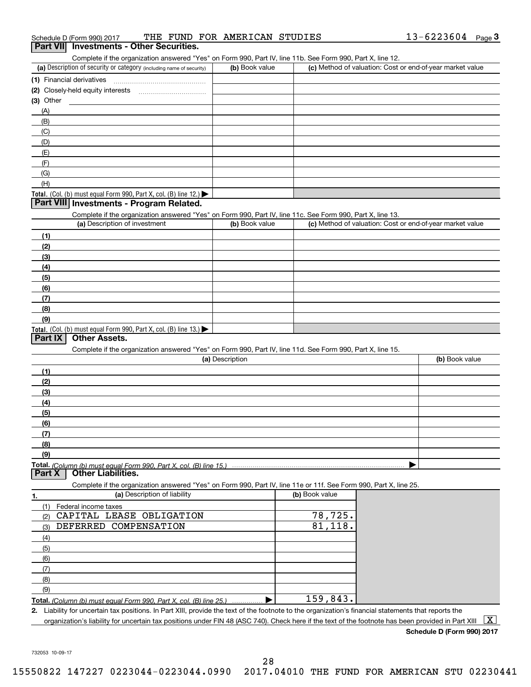| Schedule D (Form 990) 2017                                                                                                                  | THE FUND FOR AMERICAN STUDIES |                | $13 - 6223604$ Page 3                                     |
|---------------------------------------------------------------------------------------------------------------------------------------------|-------------------------------|----------------|-----------------------------------------------------------|
| Part VII Investments - Other Securities.                                                                                                    |                               |                |                                                           |
| Complete if the organization answered "Yes" on Form 990, Part IV, line 11b. See Form 990, Part X, line 12.                                  |                               |                |                                                           |
| (a) Description of security or category (including name of security)                                                                        | (b) Book value                |                | (c) Method of valuation: Cost or end-of-year market value |
| (1) Financial derivatives                                                                                                                   |                               |                |                                                           |
| (2) Closely-held equity interests [11] [2] Closely-held equity interests                                                                    |                               |                |                                                           |
| $(3)$ Other                                                                                                                                 |                               |                |                                                           |
| (A)                                                                                                                                         |                               |                |                                                           |
| (B)                                                                                                                                         |                               |                |                                                           |
| (C)                                                                                                                                         |                               |                |                                                           |
| (D)                                                                                                                                         |                               |                |                                                           |
| (E)                                                                                                                                         |                               |                |                                                           |
| (F)                                                                                                                                         |                               |                |                                                           |
| (G)                                                                                                                                         |                               |                |                                                           |
| (H)                                                                                                                                         |                               |                |                                                           |
| Total. (Col. (b) must equal Form 990, Part X, col. (B) line 12.)<br>Part VIII   Investments - Program Related.                              |                               |                |                                                           |
|                                                                                                                                             |                               |                |                                                           |
| Complete if the organization answered "Yes" on Form 990, Part IV, line 11c. See Form 990, Part X, line 13.<br>(a) Description of investment | (b) Book value                |                | (c) Method of valuation: Cost or end-of-year market value |
|                                                                                                                                             |                               |                |                                                           |
| (1)<br>(2)                                                                                                                                  |                               |                |                                                           |
| (3)                                                                                                                                         |                               |                |                                                           |
| (4)                                                                                                                                         |                               |                |                                                           |
| (5)                                                                                                                                         |                               |                |                                                           |
| (6)                                                                                                                                         |                               |                |                                                           |
| (7)                                                                                                                                         |                               |                |                                                           |
| (8)                                                                                                                                         |                               |                |                                                           |
| (9)                                                                                                                                         |                               |                |                                                           |
| Total. (Col. (b) must equal Form 990, Part X, col. (B) line 13.)                                                                            |                               |                |                                                           |
| <b>Other Assets.</b><br>Part IX                                                                                                             |                               |                |                                                           |
| Complete if the organization answered "Yes" on Form 990, Part IV, line 11d. See Form 990, Part X, line 15.                                  |                               |                |                                                           |
|                                                                                                                                             | (a) Description               |                | (b) Book value                                            |
| (1)                                                                                                                                         |                               |                |                                                           |
| (2)                                                                                                                                         |                               |                |                                                           |
| (3)                                                                                                                                         |                               |                |                                                           |
| (4)                                                                                                                                         |                               |                |                                                           |
| (5)                                                                                                                                         |                               |                |                                                           |
| (6)                                                                                                                                         |                               |                |                                                           |
| (7)                                                                                                                                         |                               |                |                                                           |
| (8)                                                                                                                                         |                               |                |                                                           |
| (9)                                                                                                                                         |                               |                |                                                           |
| Total. (Column (b) must equal Form 990. Part X, col. (B) line 15.)<br><b>Other Liabilities.</b><br>Part X                                   |                               |                |                                                           |
| Complete if the organization answered "Yes" on Form 990, Part IV, line 11e or 11f. See Form 990, Part X, line 25.                           |                               |                |                                                           |
| (a) Description of liability<br>1.                                                                                                          |                               | (b) Book value |                                                           |
| (1)<br>Federal income taxes                                                                                                                 |                               |                |                                                           |

| Federal income taxes                                                                                                   |          |
|------------------------------------------------------------------------------------------------------------------------|----------|
| CAPITAL LEASE OBLIGATION<br>(2)                                                                                        | 78,725.  |
| DEFERRED COMPENSATION<br>(3)                                                                                           | 81,118.  |
| (4)                                                                                                                    |          |
| (5)                                                                                                                    |          |
| (6)                                                                                                                    |          |
|                                                                                                                        |          |
| (8)                                                                                                                    |          |
| (9)                                                                                                                    |          |
| <b>Total.</b> (Column (b) must equal Form 990, Part X, col. (B) line 25.)                                              | 159,843. |
| Liability for uncertain tax positions. In Part XIII, provide the text of the footnote to the organization's fina<br>2. |          |
| organization's liability for uncertain tax positions under FIN 48 (ASC 740). Check here if the text of the fo          |          |

2. Liability for uncertain tax positions. In Part XIII, provide the text of the footnote to the organization's financial statements that reports the

organization's liability for uncertain tax positions under FIN 48 (ASC 740). Check here if the text of the footnote has been provided in Part XIII  $~\fbox{X}$ 

**Schedule D (Form 990) <sup>2017</sup> Schedule D (Form 990) 2017**

732053 10-09-17 732053 10-09-17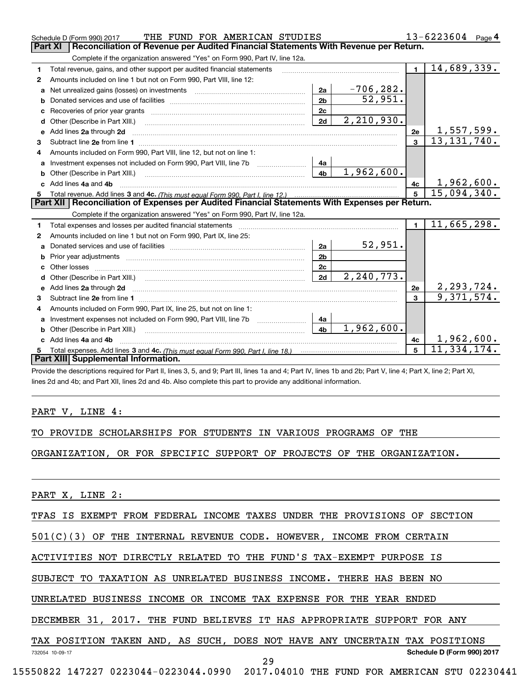| Schedule D (Form 990) 2017                                                                                               | THE FUND FOR AMERICAN STUDIES |                            |                | 13-6223604 Page 4 |
|--------------------------------------------------------------------------------------------------------------------------|-------------------------------|----------------------------|----------------|-------------------|
| Reconciliation of Revenue per Audited Financial Statements With Revenue per Return.<br><b>Part XI</b>                    |                               |                            |                |                   |
| Complete if the organization answered "Yes" on Form 990, Part IV, line 12a.                                              |                               |                            |                |                   |
| Total revenue, gains, and other support per audited financial statements<br>1                                            |                               |                            | $\blacksquare$ | 14,689,339.       |
| Amounts included on line 1 but not on Form 990, Part VIII, line 12:<br>2                                                 |                               |                            |                |                   |
| Net unrealized gains (losses) on investments [11] matter contracts and the unrealized gains (losses) on investments<br>a | 2a                            | $-706, 282.$               |                |                   |
| b                                                                                                                        | 2 <sub>b</sub>                | 52,951.                    |                |                   |
| c                                                                                                                        | 2c                            |                            |                |                   |
| Other (Describe in Part XIII.)<br>d                                                                                      | 2d                            | 2, 210, 930.               |                |                   |
| Add lines 2a through 2d<br>e                                                                                             |                               |                            | 2e             | 1,557,599.        |
| 3                                                                                                                        |                               |                            | 3              | 13, 131, 740.     |
| Amounts included on Form 990. Part VIII. line 12, but not on line 1:<br>4                                                |                               |                            |                |                   |
| Investment expenses not included on Form 990, Part VIII, line 7b                                                         | 4a                            |                            |                |                   |
| b                                                                                                                        | 4 <sub>b</sub>                | 1,962,600.                 |                |                   |
| c Add lines 4a and 4b                                                                                                    |                               |                            | 4c             | 1,962,600.        |
|                                                                                                                          |                               |                            | 5              | 15,094,340.       |
| Part XII   Reconciliation of Expenses per Audited Financial Statements With Expenses per Return.                         |                               |                            |                |                   |
|                                                                                                                          |                               |                            |                |                   |
| Complete if the organization answered "Yes" on Form 990, Part IV, line 12a.                                              |                               |                            |                |                   |
| Total expenses and losses per audited financial statements<br>1                                                          |                               |                            | $\blacksquare$ | 11,665,298.       |
| Amounts included on line 1 but not on Form 990, Part IX, line 25:<br>2                                                   |                               |                            |                |                   |
| a                                                                                                                        | 2a                            | 52,951.                    |                |                   |
| b                                                                                                                        | 2 <sub>b</sub>                |                            |                |                   |
| Other losses                                                                                                             | 2c                            |                            |                |                   |
| d                                                                                                                        | 2d                            | $\overline{2}$ , 240, 773. |                |                   |
| Add lines 2a through 2d<br>e                                                                                             |                               |                            | 2e             | 2,293,724.        |
| Subtract line 2e from line 1 <b>Manual Community and Community</b> Subtract line 2e from line 1<br>з                     |                               |                            | 3              | 9,371,574.        |
| Amounts included on Form 990, Part IX, line 25, but not on line 1:                                                       |                               |                            |                |                   |
| a                                                                                                                        | 4a                            |                            |                |                   |
| Other (Describe in Part XIII.)<br>b                                                                                      | 4 <sub>b</sub>                | 1,962,600.                 |                |                   |
| Add lines 4a and 4b                                                                                                      |                               |                            | 4c             | 1,962,600.        |
| 5<br>Part XIII Supplemental Information.                                                                                 |                               |                            | 5              | 11,334,174.       |

-<br>Provide the descriptions required for Part II, lines 3, 5, and 9; Part III, lines 1a and 4; Part IV, lines 1b and 2b; Part V, line 4; Part X, line 2; Part XI, lines 2d and 4b; and Part XII, lines 2d and 4b. Also complete this part to provide any additional information.

## PART V, LINE 4:

TO PROVIDE SCHOLARSHIPS FOR STUDENTS IN VARIOUS PROGRAMS OF THE TO PROVIDE SCHOLARSHIPS FOR STUDENTS IN VARIOUS PROGRAMS OF THE

ORGANIZATION, OR FOR SPECIFIC SUPPORT OF PROJECTS OF THE ORGANIZATION. ORGANIZATION, OR FOR SPECIFIC SUPPORT OF PROJECTS OF THE ORGANIZATION.

PART X, LINE 2:

TFAS IS EXEMPT FROM FEDERAL INCOME TAXES UNDER THE PROVISIONS OF SECTION TFAS IS EXEMPT FROM FEDERAL INCOME TAXES UNDER THE PROVISIONS OF SECTION

501(C) ( 3) OF THE INTERNAL REVENUE CODE. HOWEVER, INCOME FROM CERTAIN 501(C)(3) OF THE INTERNAL REVENUE CODE. HOWEVER, INCOME FROM CERTAIN

ACTIVITIES NOT DIRECTLY RELATED TO THE FUND'S TAX-EXEMPT PURPOSE IS ACTIVITIES NOT DIRECTLY RELATED TO THE FUND'S TAX-EXEMPT PURPOSE IS

SUBJECT TO TAXATION AS UNRELATED BUSINESS INCOME. THERE HAS BEEN NO SUBJECT TO TAXATION AS UNRELATED BUSINESS INCOME. THERE HAS BEEN NO

UNRELATED BUSINESS INCOME OR INCOME TAX EXPENSE FOR THE YEAR ENDED UNRELATED BUSINESS INCOME OR INCOME TAX EXPENSE FOR THE YEAR ENDED

DECEMBER 31 , 2017 . THE FUND BELIEVES IT HAS APPROPRIATE SUPPORT FOR ANY DECEMBER 31, 2017. THE FUND BELIEVES IT HAS APPROPRIATE SUPPORT FOR ANY

TAX POSITION TAKEN AND, AS SUCH, DOES NOT HAVE ANY UNCERTAIN TAX POSITIONS

732054 10-09-17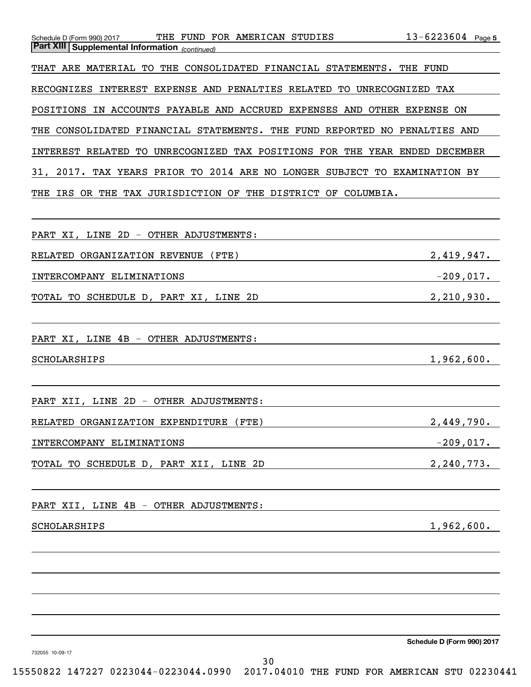| THE FUND FOR AMERICAN STUDIES<br>Schedule D (Form 990) 2017<br><b>Part XIII Supplemental Information</b> (continued) | $13 - 6223604$ Page 5      |
|----------------------------------------------------------------------------------------------------------------------|----------------------------|
| THAT ARE MATERIAL TO THE CONSOLIDATED FINANCIAL STATEMENTS.                                                          | THE FUND                   |
| <b>RECOGNIZES</b><br>INTEREST EXPENSE AND PENALTIES RELATED<br>TO UNRECOGNIZED TAX                                   |                            |
| IN ACCOUNTS PAYABLE AND ACCRUED EXPENSES AND OTHER EXPENSE<br>POSITIONS                                              | ON                         |
| CONSOLIDATED FINANCIAL STATEMENTS.<br>THE<br>THE FUND REPORTED NO PENALTIES AND                                      |                            |
| UNRECOGNIZED TAX POSITIONS FOR THE YEAR ENDED DECEMBER<br>INTEREST RELATED<br>TO                                     |                            |
| 31, 2017. TAX YEARS PRIOR TO 2014 ARE NO LONGER SUBJECT TO EXAMINATION BY                                            |                            |
| OR THE TAX JURISDICTION OF THE DISTRICT OF COLUMBIA.<br>THE<br>IRS                                                   |                            |
|                                                                                                                      |                            |
| PART XI, LINE 2D - OTHER ADJUSTMENTS:                                                                                |                            |
| (FTE)<br>RELATED ORGANIZATION REVENUE                                                                                | 2,419,947.                 |
| INTERCOMPANY ELIMINATIONS                                                                                            | $-209,017.$                |
| TOTAL TO SCHEDULE D, PART XI, LINE 2D                                                                                | 2, 210, 930.               |
|                                                                                                                      |                            |
| PART XI, LINE 4B - OTHER ADJUSTMENTS:                                                                                |                            |
| SCHOLARSHIPS                                                                                                         | 1,962,600.                 |
|                                                                                                                      |                            |
| 2D - OTHER ADJUSTMENTS:<br>PART XII, LINE                                                                            |                            |
| RELATED ORGANIZATION EXPENDITURE (FTE)                                                                               | 2,449,790.                 |
| INTERCOMPANY ELIMINATIONS                                                                                            | $-209,017$ .               |
| TOTAL TO SCHEDULE D, PART XII, LINE 2D                                                                               | 2, 240, 773.               |
|                                                                                                                      |                            |
| PART XII, LINE 4B - OTHER ADJUSTMENTS:                                                                               |                            |
| SCHOLARSHIPS                                                                                                         | 1,962,600.                 |
|                                                                                                                      |                            |
|                                                                                                                      |                            |
|                                                                                                                      |                            |
|                                                                                                                      |                            |
|                                                                                                                      | Schedule D (Form 990) 2017 |
|                                                                                                                      |                            |

732055 10-09-17 732055 10-09-17

30 30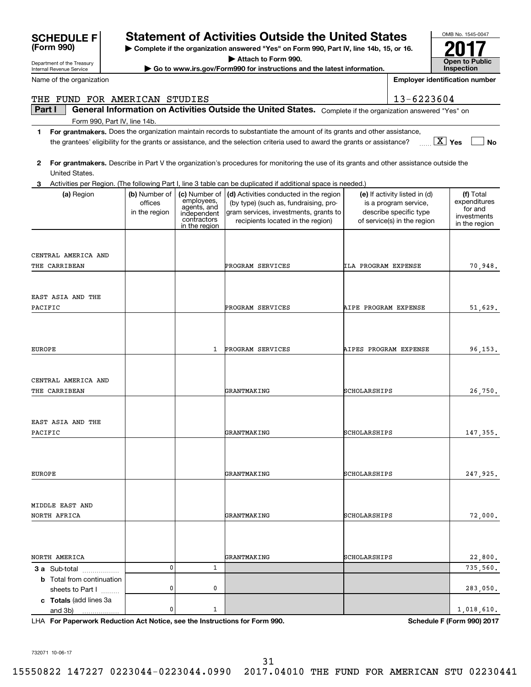|               | <b>SCHEDULE F</b><br>(Form 990)            |                          |                              | <b>Statement of Activities Outside the United States</b><br>Complete if the organization answered "Yes" on Form 990, Part IV, line 14b, 15, or 16. |                            |                                                        | OMB No. 1545-0047            |
|---------------|--------------------------------------------|--------------------------|------------------------------|----------------------------------------------------------------------------------------------------------------------------------------------------|----------------------------|--------------------------------------------------------|------------------------------|
|               | Department of the Treasury                 |                          |                              | Attach to Form 990.                                                                                                                                |                            |                                                        | Open to Public               |
|               | Internal Revenue Service                   |                          |                              | Go to www.irs.gov/Form990 for instructions and the latest information.                                                                             |                            | <b>Inspection</b>                                      |                              |
|               | Name of the organization                   |                          |                              |                                                                                                                                                    |                            | <b>Employer identification number</b>                  |                              |
|               | THE FUND FOR AMERICAN STUDIES              |                          |                              |                                                                                                                                                    |                            | 13-6223604                                             |                              |
| Part I        |                                            |                          |                              | General Information on Activities Outside the United States. Complete if the organization answered "Yes" on                                        |                            |                                                        |                              |
| 1             | Form 990, Part IV, line 14b.               |                          |                              | For grantmakers. Does the organization maintain records to substantiate the amount of its grants and other assistance,                             |                            |                                                        |                              |
|               |                                            |                          |                              | the grantees' eligibility for the grants or assistance, and the selection criteria used to award the grants or assistance?                         |                            |                                                        | $\boxed{\text{X}}$ Yes<br>No |
| 2             | United States.                             |                          |                              | For grantmakers. Describe in Part V the organization's procedures for monitoring the use of its grants and other assistance outside the            |                            |                                                        |                              |
|               |                                            |                          |                              | Activities per Region. (The following Part I, line 3 table can be duplicated if additional space is needed.)                                       |                            |                                                        |                              |
|               | (a) Region                                 | (b) Number of<br>offices | (c) Number of<br>employees,  | (d) Activities conducted in the region<br>(by type) (such as, fundraising, pro-                                                                    |                            | (e) If activity listed in (d)<br>is a program service, | (f) Total<br>expenditures    |
|               |                                            | in the region            | agents, and<br>independent   | gram services, investments, grants to                                                                                                              |                            | describe specific type                                 | for and                      |
|               |                                            |                          | contractors<br>in the region | recipients located in the region)                                                                                                                  |                            | of service(s) in the region                            | investments<br>in the region |
|               |                                            |                          |                              |                                                                                                                                                    |                            |                                                        |                              |
|               | CENTRAL AMERICA AND                        |                          |                              |                                                                                                                                                    |                            |                                                        |                              |
|               | THE CARRIBEAN                              |                          |                              | PROGRAM SERVICES                                                                                                                                   | <b>ILA PROGRAM EXPENSE</b> |                                                        | 70,948.                      |
|               |                                            |                          |                              |                                                                                                                                                    |                            |                                                        |                              |
|               | EAST ASIA AND THE                          |                          |                              |                                                                                                                                                    |                            |                                                        |                              |
|               | PACIFIC                                    |                          |                              | PROGRAM SERVICES                                                                                                                                   | AIPE PROGRAM EXPENSE       |                                                        | 51,629.                      |
|               |                                            |                          |                              |                                                                                                                                                    |                            |                                                        |                              |
|               |                                            |                          |                              |                                                                                                                                                    |                            |                                                        |                              |
| <b>EUROPE</b> |                                            |                          | 1                            | PROGRAM SERVICES                                                                                                                                   | AIPES PROGRAM EXPENSE      |                                                        | 96, 153.                     |
|               |                                            |                          |                              |                                                                                                                                                    |                            |                                                        |                              |
|               | CENTRAL AMERICA AND                        |                          |                              |                                                                                                                                                    |                            |                                                        |                              |
|               | THE CARRIBEAN                              |                          |                              | GRANTMAKING                                                                                                                                        | SCHOLARSHIPS               |                                                        | 26,750.                      |
|               |                                            |                          |                              |                                                                                                                                                    |                            |                                                        |                              |
|               | EAST ASIA AND THE                          |                          |                              |                                                                                                                                                    |                            |                                                        |                              |
|               | PACIFIC                                    |                          |                              | GRANTMAKING                                                                                                                                        | SCHOLARSHIPS               |                                                        | 147,355.                     |
|               |                                            |                          |                              |                                                                                                                                                    |                            |                                                        |                              |
|               |                                            |                          |                              |                                                                                                                                                    |                            |                                                        |                              |
| EUROPE        |                                            |                          |                              | GRANTMAKING                                                                                                                                        | SCHOLARSHIPS               |                                                        | 247,925.                     |
|               |                                            |                          |                              |                                                                                                                                                    |                            |                                                        |                              |
|               | MIDDLE EAST AND                            |                          |                              |                                                                                                                                                    |                            |                                                        |                              |
|               | NORTH AFRICA                               |                          |                              | GRANTMAKING                                                                                                                                        | SCHOLARSHIPS               |                                                        | 72,000.                      |
|               |                                            |                          |                              |                                                                                                                                                    |                            |                                                        |                              |
|               |                                            |                          |                              |                                                                                                                                                    |                            |                                                        |                              |
|               | NORTH AMERICA                              |                          |                              | GRANTMAKING                                                                                                                                        | SCHOLARSHIPS               |                                                        | 22,800.                      |
|               | <b>3 a</b> Sub-total                       | 0                        | 1                            |                                                                                                                                                    |                            |                                                        | 735,560.                     |
|               | <b>b</b> Total from continuation           |                          |                              |                                                                                                                                                    |                            |                                                        |                              |
|               | sheets to Part I<br>c Totals (add lines 3a | 0                        | 0                            |                                                                                                                                                    |                            |                                                        | 283,050.                     |
|               | and 3b)                                    | 0                        | 1                            |                                                                                                                                                    |                            |                                                        | 1,018,610.                   |

LHA **For Paperwork Reduction Act Notice, see the Instructions for Form 990 . For Paperwork Reduction Act Notice, see the Instructions for Form 990. Schedule F (Form 990) 2017** LHA

**Schedule F (Form 990) <sup>2017</sup>**

732071 10-06-17 732071 10-06-17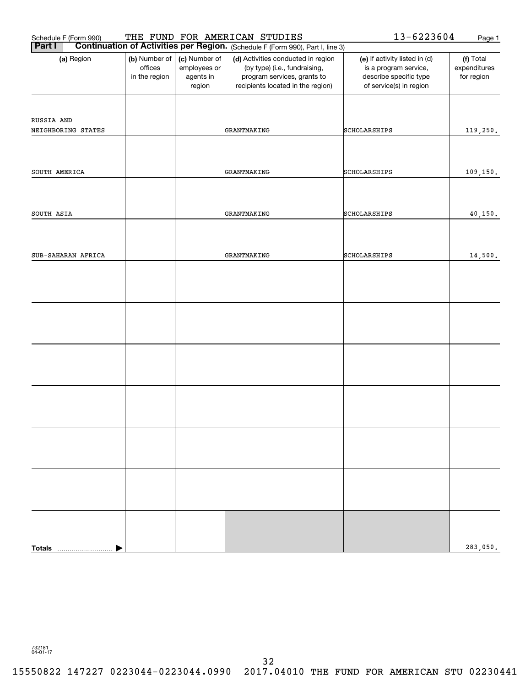| Schedule F (Form 990) |                                           |                                                      | THE FUND FOR AMERICAN STUDIES                                                                                                           | 13-6223604                                                                                                  | Page 1                                  |
|-----------------------|-------------------------------------------|------------------------------------------------------|-----------------------------------------------------------------------------------------------------------------------------------------|-------------------------------------------------------------------------------------------------------------|-----------------------------------------|
| <b>Part I</b>         |                                           |                                                      | Continuation of Activities per Region. (Schedule F (Form 990), Part I, line 3)                                                          |                                                                                                             |                                         |
| (a) Region            | (b) Number of<br>offices<br>in the region | (c) Number of<br>employees or<br>agents in<br>region | (d) Activities conducted in region<br>(by type) (i.e., fundraising,<br>program services, grants to<br>recipients located in the region) | (e) If activity listed in (d)<br>is a program service,<br>describe specific type<br>of service(s) in region | (f) Total<br>expenditures<br>for region |
|                       |                                           |                                                      |                                                                                                                                         |                                                                                                             |                                         |
| RUSSIA AND            |                                           |                                                      |                                                                                                                                         |                                                                                                             |                                         |
| NEIGHBORING STATES    |                                           |                                                      | GRANTMAKING                                                                                                                             | SCHOLARSHIPS                                                                                                | 119,250.                                |
|                       |                                           |                                                      |                                                                                                                                         |                                                                                                             |                                         |
|                       |                                           |                                                      |                                                                                                                                         |                                                                                                             |                                         |
| SOUTH AMERICA         |                                           |                                                      | GRANTMAKING                                                                                                                             | SCHOLARSHIPS                                                                                                |                                         |
|                       |                                           |                                                      |                                                                                                                                         |                                                                                                             | 109, 150.                               |
|                       |                                           |                                                      |                                                                                                                                         |                                                                                                             |                                         |
|                       |                                           |                                                      |                                                                                                                                         |                                                                                                             |                                         |
| SOUTH ASIA            |                                           |                                                      | GRANTMAKING                                                                                                                             | SCHOLARSHIPS                                                                                                | 40,150.                                 |
|                       |                                           |                                                      |                                                                                                                                         |                                                                                                             |                                         |
|                       |                                           |                                                      |                                                                                                                                         |                                                                                                             |                                         |
| SUB-SAHARAN AFRICA    |                                           |                                                      | GRANTMAKING                                                                                                                             | SCHOLARSHIPS                                                                                                | 14,500.                                 |
|                       |                                           |                                                      |                                                                                                                                         |                                                                                                             |                                         |
|                       |                                           |                                                      |                                                                                                                                         |                                                                                                             |                                         |
|                       |                                           |                                                      |                                                                                                                                         |                                                                                                             |                                         |
|                       |                                           |                                                      |                                                                                                                                         |                                                                                                             |                                         |
|                       |                                           |                                                      |                                                                                                                                         |                                                                                                             |                                         |
|                       |                                           |                                                      |                                                                                                                                         |                                                                                                             |                                         |
|                       |                                           |                                                      |                                                                                                                                         |                                                                                                             |                                         |
|                       |                                           |                                                      |                                                                                                                                         |                                                                                                             |                                         |
|                       |                                           |                                                      |                                                                                                                                         |                                                                                                             |                                         |
|                       |                                           |                                                      |                                                                                                                                         |                                                                                                             |                                         |
|                       |                                           |                                                      |                                                                                                                                         |                                                                                                             |                                         |
|                       |                                           |                                                      |                                                                                                                                         |                                                                                                             |                                         |
|                       |                                           |                                                      |                                                                                                                                         |                                                                                                             |                                         |
|                       |                                           |                                                      |                                                                                                                                         |                                                                                                             |                                         |
|                       |                                           |                                                      |                                                                                                                                         |                                                                                                             |                                         |
|                       |                                           |                                                      |                                                                                                                                         |                                                                                                             |                                         |
|                       |                                           |                                                      |                                                                                                                                         |                                                                                                             |                                         |
|                       |                                           |                                                      |                                                                                                                                         |                                                                                                             |                                         |
|                       |                                           |                                                      |                                                                                                                                         |                                                                                                             |                                         |
|                       |                                           |                                                      |                                                                                                                                         |                                                                                                             |                                         |
|                       |                                           |                                                      |                                                                                                                                         |                                                                                                             |                                         |
| <b>Totals</b>         |                                           |                                                      |                                                                                                                                         |                                                                                                             | 283,050.                                |
|                       |                                           |                                                      |                                                                                                                                         |                                                                                                             |                                         |

732181 04-01-17 732181 04-01-17

15550822 147227 0223044-0223044.0990 2017.04010 THE FUND FOR AMERICAN STU 02230441 15550822 147227 0223044-0223044.0990 2017.04010 THE FUND FOR AMERICAN STU 02230441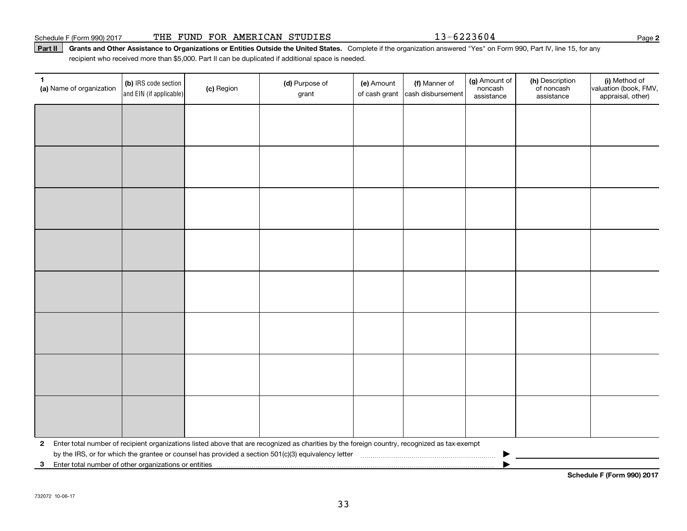## Schedule F (Form 990) 2017 THE FUND FOR AMERICAN STUDIES 23-6223604 Page 2

#### **Part II** Grants and Other Assistance to Organizations or Entities Outside the United States. Complete if the organization answered "Yes" on Form 990, Part IV, line 15, for any recipient who received more than \$5 , <sup>000</sup>. Part II can be duplicated if additional space is needed. recipient who received more than \$5,000. Part II can be duplicated if additional space is needed.

| 1<br>(a) Name of organization                                        | (b) IRS code section<br>and EIN (if applicable)                                                                                                | (c) Region | (d) Purpose of<br>grant | (e) Amount<br>of cash grant | (f) Manner of<br>cash disbursement | (g) Amount of<br>noncash<br>assistance | (h) Description<br>of noncash<br>assistance | (i) Method of<br>valuation (book, FMV,<br>appraisal, other) |  |  |
|----------------------------------------------------------------------|------------------------------------------------------------------------------------------------------------------------------------------------|------------|-------------------------|-----------------------------|------------------------------------|----------------------------------------|---------------------------------------------|-------------------------------------------------------------|--|--|
|                                                                      |                                                                                                                                                |            |                         |                             |                                    |                                        |                                             |                                                             |  |  |
|                                                                      |                                                                                                                                                |            |                         |                             |                                    |                                        |                                             |                                                             |  |  |
|                                                                      |                                                                                                                                                |            |                         |                             |                                    |                                        |                                             |                                                             |  |  |
|                                                                      |                                                                                                                                                |            |                         |                             |                                    |                                        |                                             |                                                             |  |  |
|                                                                      |                                                                                                                                                |            |                         |                             |                                    |                                        |                                             |                                                             |  |  |
|                                                                      |                                                                                                                                                |            |                         |                             |                                    |                                        |                                             |                                                             |  |  |
|                                                                      |                                                                                                                                                |            |                         |                             |                                    |                                        |                                             |                                                             |  |  |
|                                                                      |                                                                                                                                                |            |                         |                             |                                    |                                        |                                             |                                                             |  |  |
|                                                                      |                                                                                                                                                |            |                         |                             |                                    |                                        |                                             |                                                             |  |  |
|                                                                      |                                                                                                                                                |            |                         |                             |                                    |                                        |                                             |                                                             |  |  |
|                                                                      |                                                                                                                                                |            |                         |                             |                                    |                                        |                                             |                                                             |  |  |
|                                                                      |                                                                                                                                                |            |                         |                             |                                    |                                        |                                             |                                                             |  |  |
|                                                                      |                                                                                                                                                |            |                         |                             |                                    |                                        |                                             |                                                             |  |  |
|                                                                      |                                                                                                                                                |            |                         |                             |                                    |                                        |                                             |                                                             |  |  |
|                                                                      |                                                                                                                                                |            |                         |                             |                                    |                                        |                                             |                                                             |  |  |
|                                                                      |                                                                                                                                                |            |                         |                             |                                    |                                        |                                             |                                                             |  |  |
|                                                                      | 2 Enter total number of recipient organizations listed above that are recognized as charities by the foreign country, recognized as tax-exempt |            |                         |                             |                                    |                                        |                                             |                                                             |  |  |
| Enter total number of other organizations or entities<br>$3^{\circ}$ |                                                                                                                                                |            |                         |                             |                                    |                                        |                                             |                                                             |  |  |
|                                                                      |                                                                                                                                                |            |                         |                             |                                    |                                        |                                             | Schedule F (Form 990) 2017                                  |  |  |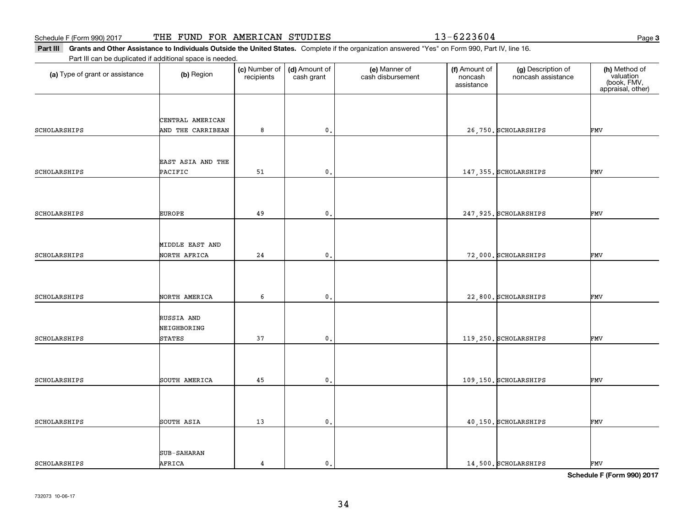Part III Grants and Other Assistance to Individuals Outside the United States. Complete if the organization answered "Yes" on Form 990, Part IV, line 16.

| Part III can be duplicated if additional space is needed. |                              |                             |                             |                                    |                                        |                                          |                                                                |
|-----------------------------------------------------------|------------------------------|-----------------------------|-----------------------------|------------------------------------|----------------------------------------|------------------------------------------|----------------------------------------------------------------|
| (a) Type of grant or assistance                           | (b) Region                   | (c) Number of<br>recipients | (d) Amount of<br>cash grant | (e) Manner of<br>cash disbursement | (f) Amount of<br>noncash<br>assistance | (g) Description of<br>noncash assistance | (h) Method of<br>valuation<br>(book, FMV,<br>appraisal, other) |
|                                                           |                              |                             |                             |                                    |                                        |                                          |                                                                |
|                                                           | CENTRAL AMERICAN             |                             |                             |                                    |                                        |                                          |                                                                |
| SCHOLARSHIPS                                              | AND THE CARRIBEAN            | 8                           | $\mathfrak o$ .             |                                    |                                        | 26,750. SCHOLARSHIPS                     | FMV                                                            |
|                                                           |                              |                             |                             |                                    |                                        |                                          |                                                                |
|                                                           |                              |                             |                             |                                    |                                        |                                          |                                                                |
|                                                           | EAST ASIA AND THE            |                             |                             |                                    |                                        |                                          |                                                                |
| SCHOLARSHIPS                                              | PACIFIC                      | 51                          | $\mathfrak o$ .             |                                    |                                        | 147, 355. SCHOLARSHIPS                   | FMV                                                            |
|                                                           |                              |                             |                             |                                    |                                        |                                          |                                                                |
|                                                           |                              |                             |                             |                                    |                                        |                                          |                                                                |
| SCHOLARSHIPS                                              | <b>EUROPE</b>                | 49                          | 0.                          |                                    |                                        | 247, 925. SCHOLARSHIPS                   | FMV                                                            |
|                                                           |                              |                             |                             |                                    |                                        |                                          |                                                                |
|                                                           |                              |                             |                             |                                    |                                        |                                          |                                                                |
|                                                           | MIDDLE EAST AND              |                             |                             |                                    |                                        |                                          |                                                                |
| SCHOLARSHIPS                                              | NORTH AFRICA                 | 24                          | $\mathbf 0$ .               |                                    |                                        | 72,000. SCHOLARSHIPS                     | FMV                                                            |
|                                                           |                              |                             |                             |                                    |                                        |                                          |                                                                |
|                                                           |                              |                             |                             |                                    |                                        |                                          |                                                                |
| SCHOLARSHIPS                                              | NORTH AMERICA                | 6                           | $\mathfrak o$ .             |                                    |                                        | 22,800. SCHOLARSHIPS                     | FMV                                                            |
|                                                           |                              |                             |                             |                                    |                                        |                                          |                                                                |
|                                                           | RUSSIA AND                   |                             |                             |                                    |                                        |                                          |                                                                |
| SCHOLARSHIPS                                              | NEIGHBORING<br><b>STATES</b> | 37                          | 0.                          |                                    |                                        | 119,250. SCHOLARSHIPS                    | FMV                                                            |
|                                                           |                              |                             |                             |                                    |                                        |                                          |                                                                |
|                                                           |                              |                             |                             |                                    |                                        |                                          |                                                                |
|                                                           |                              |                             |                             |                                    |                                        |                                          |                                                                |
| SCHOLARSHIPS                                              | SOUTH AMERICA                | 45                          | $\mathbf{0}$ .              |                                    |                                        | 109,150. SCHOLARSHIPS                    | FMV                                                            |
|                                                           |                              |                             |                             |                                    |                                        |                                          |                                                                |
|                                                           |                              |                             |                             |                                    |                                        |                                          |                                                                |
| SCHOLARSHIPS                                              | SOUTH ASIA                   | 13                          | $\mathbf{0}$ .              |                                    |                                        | 40,150. SCHOLARSHIPS                     | FMV                                                            |
|                                                           |                              |                             |                             |                                    |                                        |                                          |                                                                |
|                                                           |                              |                             |                             |                                    |                                        |                                          |                                                                |
|                                                           | <b>SUB-SAHARAN</b>           |                             |                             |                                    |                                        |                                          |                                                                |
| SCHOLARSHIPS                                              | AFRICA                       | $\overline{4}$              | $\mathfrak o$ .             |                                    |                                        | 14,500. SCHOLARSHIPS                     | FMV                                                            |

**Schedule F (Form 990) <sup>2017</sup> Schedule F (Form 990) 2017**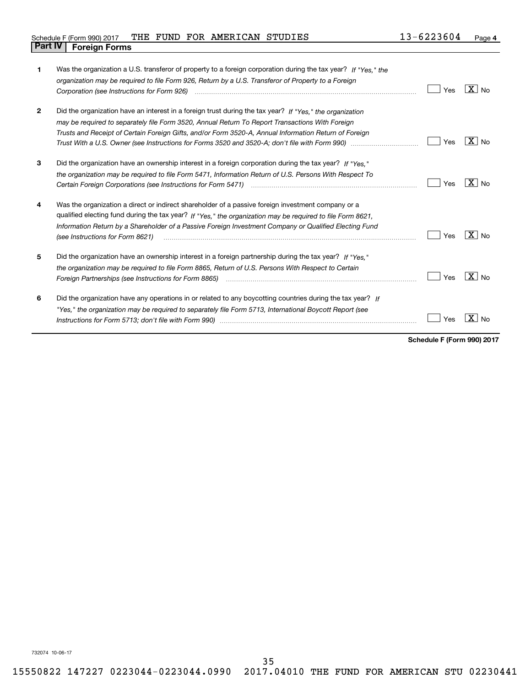| 1            | Was the organization a U.S. transferor of property to a foreign corporation during the tax year? If "Yes." the<br>organization may be required to file Form 926, Return by a U.S. Transferor of Property to a Foreign<br>Corporation (see Instructions for Form 926)                                                                                           | Yes | X   No              |
|--------------|----------------------------------------------------------------------------------------------------------------------------------------------------------------------------------------------------------------------------------------------------------------------------------------------------------------------------------------------------------------|-----|---------------------|
| $\mathbf{2}$ | Did the organization have an interest in a foreign trust during the tax year? If "Yes." the organization<br>may be required to separately file Form 3520, Annual Return To Report Transactions With Foreign<br>Trusts and Receipt of Certain Foreign Gifts, and/or Form 3520-A, Annual Information Return of Foreign                                           | Yes | $X _{N0}$           |
| 3            | Did the organization have an ownership interest in a foreign corporation during the tax year? If "Yes."<br>the organization may be required to file Form 5471, Information Return of U.S. Persons With Respect To                                                                                                                                              | Yes | $X \mid N_{\Omega}$ |
| 4            | Was the organization a direct or indirect shareholder of a passive foreign investment company or a<br>qualified electing fund during the tax year? If "Yes," the organization may be required to file Form 8621,<br>Information Return by a Shareholder of a Passive Foreign Investment Company or Qualified Electing Fund<br>(see Instructions for Form 8621) | Yes | $X _{N0}$           |
| 5            | Did the organization have an ownership interest in a foreign partnership during the tax year? If "Yes."<br>the organization may be required to file Form 8865, Return of U.S. Persons With Respect to Certain<br>Foreign Partnerships (see Instructions for Form 8865)                                                                                         | Yes | $X \mid N_{\Omega}$ |
| 6            | Did the organization have any operations in or related to any boycotting countries during the tax year? If<br>"Yes," the organization may be required to separately file Form 5713, International Boycott Report (see                                                                                                                                          | Yes | No                  |

**Schedule F (Form 990) <sup>2017</sup> Schedule F (Form 990) 2017**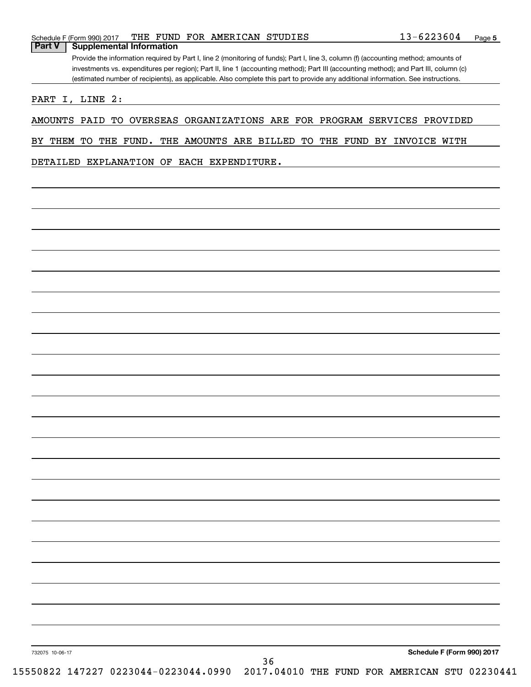|               | Schedule F (Form 990) 2017                                                                                                            |  |  |  | THE FUND FOR AMERICAN STUDIES |  | 13-6223604                                                                                                                        | Page 5 |
|---------------|---------------------------------------------------------------------------------------------------------------------------------------|--|--|--|-------------------------------|--|-----------------------------------------------------------------------------------------------------------------------------------|--------|
| <b>Part V</b> | <b>Supplemental Information</b>                                                                                                       |  |  |  |                               |  |                                                                                                                                   |        |
|               | Provide the information required by Part I, line 2 (monitoring of funds); Part I, line 3, column (f) (accounting method; amounts of   |  |  |  |                               |  |                                                                                                                                   |        |
|               | investments vs. expenditures per region); Part II, line 1 (accounting method); Part III (accounting method); and Part III, column (c) |  |  |  |                               |  |                                                                                                                                   |        |
|               |                                                                                                                                       |  |  |  |                               |  | (estimated number of recipients), as applicable. Also complete this part to provide any additional information. See instructions. |        |

PART I, LINE 2:

AMOUNTS PAID TO OVERSEAS ORGANIZATIONS ARE FOR PROGRAM SERVICES PROVIDED AMOUNTS PAID TO OVERSEAS ORGANIZATIONS ARE FOR PROGRAM SERVICES PROVIDED

BY THEM TO THE FUND. THE AMOUNTS ARE BILLED TO THE FUND BY INVOICE WITH

DETAILED EXPLANATION OF EACH EXPENDITURE. DETAILED EXPLANATION OF EACH EXPENDITURE.

732075 10-06-17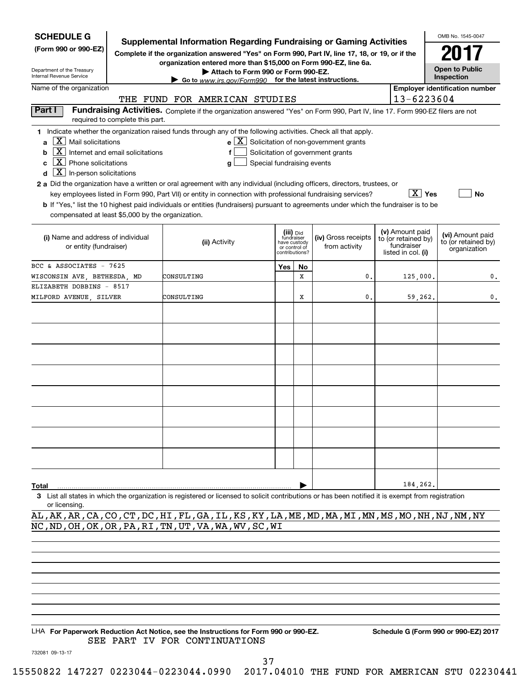| <b>SCHEDULE G</b>                                                                                                                                                   | <b>Supplemental Information Regarding Fundraising or Gaming Activities</b>                                                                                       |                            |                                 |                                                              |                                   |           | OMB No. 1545-0047                           |  |  |
|---------------------------------------------------------------------------------------------------------------------------------------------------------------------|------------------------------------------------------------------------------------------------------------------------------------------------------------------|----------------------------|---------------------------------|--------------------------------------------------------------|-----------------------------------|-----------|---------------------------------------------|--|--|
| (Form 990 or 990-EZ)                                                                                                                                                | Complete if the organization answered "Yes" on Form 990, Part IV, line 17, 18, or 19, or if the                                                                  |                            |                                 |                                                              |                                   |           | 2017<br><b>Open to Public</b><br>Inspection |  |  |
| Department of the Treasury<br>Internal Revenue Service                                                                                                              | organization entered more than \$15,000 on Form 990-EZ, line 6a.<br>Attach to Form 990 or Form 990-EZ.<br>Go to www.irs.gov/Form990 for the latest instructions. |                            |                                 |                                                              |                                   |           |                                             |  |  |
| Name of the organization                                                                                                                                            |                                                                                                                                                                  |                            |                                 |                                                              |                                   |           | <b>Employer identification number</b>       |  |  |
|                                                                                                                                                                     | THE FUND FOR AMERICAN STUDIES                                                                                                                                    |                            |                                 |                                                              | 13-6223604                        |           |                                             |  |  |
| Part I                                                                                                                                                              | Fundraising Activities. Complete if the organization answered "Yes" on Form 990, Part IV, line 17. Form 990-EZ filers are not                                    |                            |                                 |                                                              |                                   |           |                                             |  |  |
| required to complete this part.                                                                                                                                     |                                                                                                                                                                  |                            |                                 |                                                              |                                   |           |                                             |  |  |
| 1 Indicate whether the organization raised funds through any of the following activities. Check all that apply.<br>$\overline{X}$ Mail solicitations<br>a           |                                                                                                                                                                  |                            |                                 | $e$ $\boxed{\text{X}}$ Solicitation of non-government grants |                                   |           |                                             |  |  |
| $\boxed{\text{X}}$ Internet and email solicitations<br>b                                                                                                            | f                                                                                                                                                                |                            |                                 | Solicitation of government grants                            |                                   |           |                                             |  |  |
| $\boxed{\textbf{X}}$ Phone solicitations<br>C                                                                                                                       | g                                                                                                                                                                | Special fundraising events |                                 |                                                              |                                   |           |                                             |  |  |
| $\boxed{\mathbf{X}}$ In-person solicitations<br>d                                                                                                                   |                                                                                                                                                                  |                            |                                 |                                                              |                                   |           |                                             |  |  |
| 2 a Did the organization have a written or oral agreement with any individual (including officers, directors, trustees, or                                          |                                                                                                                                                                  |                            |                                 |                                                              |                                   |           |                                             |  |  |
|                                                                                                                                                                     | key employees listed in Form 990, Part VII) or entity in connection with professional fundraising services?                                                      |                            |                                 |                                                              |                                   | $ X $ Yes | No                                          |  |  |
|                                                                                                                                                                     | <b>b</b> If "Yes," list the 10 highest paid individuals or entities (fundraisers) pursuant to agreements under which the fundraiser is to be                     |                            |                                 |                                                              |                                   |           |                                             |  |  |
| compensated at least \$5,000 by the organization.                                                                                                                   |                                                                                                                                                                  |                            |                                 |                                                              |                                   |           |                                             |  |  |
|                                                                                                                                                                     |                                                                                                                                                                  |                            | (iii) Did                       |                                                              | (v) Amount paid                   |           | (vi) Amount paid                            |  |  |
| (i) Name and address of individual                                                                                                                                  | (ii) Activity                                                                                                                                                    |                            | fundraiser<br>have custody      | (iv) Gross receipts                                          | to (or retained by)<br>fundraiser |           | to (or retained by)                         |  |  |
| or entity (fundraiser)                                                                                                                                              |                                                                                                                                                                  |                            | or control of<br>contributions? | from activity                                                | listed in col. (i)                |           | organization                                |  |  |
| BCC & ASSOCIATES - 7625                                                                                                                                             |                                                                                                                                                                  | Yes                        | <b>No</b>                       |                                                              |                                   |           |                                             |  |  |
| WISCONSIN AVE, BETHESDA, MD                                                                                                                                         | CONSULTING                                                                                                                                                       |                            | X                               | 0.                                                           |                                   | 125,000.  | 0.                                          |  |  |
| ELIZABETH DOBBINS - 8517                                                                                                                                            |                                                                                                                                                                  |                            |                                 |                                                              |                                   |           |                                             |  |  |
| MILFORD AVENUE, SILVER                                                                                                                                              | CONSULTING                                                                                                                                                       |                            | x                               | 0.                                                           |                                   | 59,262.   | 0.                                          |  |  |
|                                                                                                                                                                     |                                                                                                                                                                  |                            |                                 |                                                              |                                   |           |                                             |  |  |
|                                                                                                                                                                     |                                                                                                                                                                  |                            |                                 |                                                              |                                   |           |                                             |  |  |
|                                                                                                                                                                     |                                                                                                                                                                  |                            |                                 |                                                              |                                   |           |                                             |  |  |
|                                                                                                                                                                     |                                                                                                                                                                  |                            |                                 |                                                              |                                   |           |                                             |  |  |
|                                                                                                                                                                     |                                                                                                                                                                  |                            |                                 |                                                              |                                   |           |                                             |  |  |
|                                                                                                                                                                     |                                                                                                                                                                  |                            |                                 |                                                              |                                   |           |                                             |  |  |
|                                                                                                                                                                     |                                                                                                                                                                  |                            |                                 |                                                              |                                   |           |                                             |  |  |
|                                                                                                                                                                     |                                                                                                                                                                  |                            |                                 |                                                              |                                   |           |                                             |  |  |
|                                                                                                                                                                     |                                                                                                                                                                  |                            |                                 |                                                              |                                   |           |                                             |  |  |
|                                                                                                                                                                     |                                                                                                                                                                  |                            |                                 |                                                              |                                   |           |                                             |  |  |
|                                                                                                                                                                     |                                                                                                                                                                  |                            |                                 |                                                              |                                   |           |                                             |  |  |
|                                                                                                                                                                     |                                                                                                                                                                  |                            |                                 |                                                              |                                   |           |                                             |  |  |
|                                                                                                                                                                     |                                                                                                                                                                  |                            |                                 |                                                              |                                   |           |                                             |  |  |
|                                                                                                                                                                     |                                                                                                                                                                  |                            |                                 |                                                              |                                   |           |                                             |  |  |
|                                                                                                                                                                     |                                                                                                                                                                  |                            |                                 |                                                              |                                   |           |                                             |  |  |
|                                                                                                                                                                     |                                                                                                                                                                  |                            |                                 |                                                              |                                   |           |                                             |  |  |
| Total                                                                                                                                                               |                                                                                                                                                                  |                            |                                 |                                                              |                                   | 184,262.  |                                             |  |  |
| 3 List all states in which the organization is registered or licensed to solicit contributions or has been notified it is exempt from registration<br>or licensing. |                                                                                                                                                                  |                            |                                 |                                                              |                                   |           |                                             |  |  |
| AL, AK, AR, CA, CO, CT, DC, HI, FL, GA, IL, KS, KY, LA, ME, MD, MA, MI, MN, MS, MO, NH, NJ, NM, NY                                                                  |                                                                                                                                                                  |                            |                                 |                                                              |                                   |           |                                             |  |  |
| NC, ND, OH, OK, OR, PA, RI, TN, UT, VA, WA, WV, SC, WI                                                                                                              |                                                                                                                                                                  |                            |                                 |                                                              |                                   |           |                                             |  |  |
|                                                                                                                                                                     |                                                                                                                                                                  |                            |                                 |                                                              |                                   |           |                                             |  |  |
|                                                                                                                                                                     |                                                                                                                                                                  |                            |                                 |                                                              |                                   |           |                                             |  |  |
|                                                                                                                                                                     |                                                                                                                                                                  |                            |                                 |                                                              |                                   |           |                                             |  |  |

LHA For Paperwork Reduction Act Notice, see the Instructions for Form 990 or 990-EZ. Schedule G (Form 990 or 990-EZ) 2017 SEE PART IV FOR CONTINUATIONS SEE PART IV FOR CONTINUATIONS

732081 09-13-17 732081 09-13-17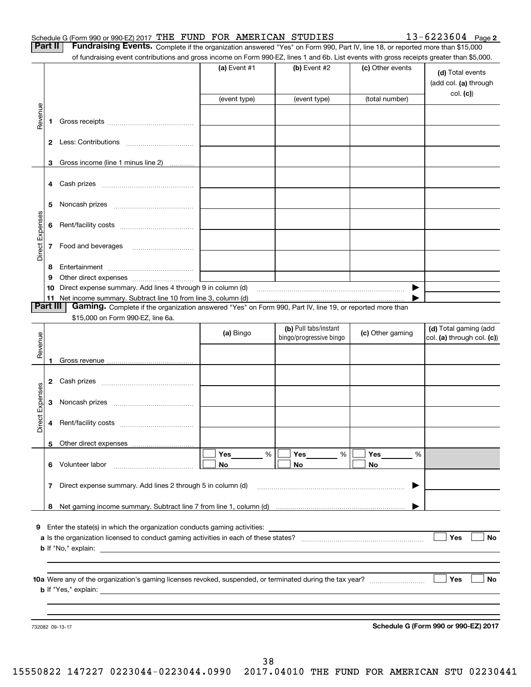| Schedule G (Form 990 or 990-EZ) 2017 THE FUND FOR AMERICAN STUDIES |  | 13-6223604 | Page 2 |
|--------------------------------------------------------------------|--|------------|--------|
| -- -                                                               |  |            |        |

Part II Fundraising Events. Complete if the organization answered "Yes" on Form 990, Part IV, line 18, or reported more than \$15,000 of fundraising event contributions and gross income on Form 990-EZ, lines 1 and 6b. List events with gross receipts greater than \$5,000.

|                 |    | Under continuations and gross informer on From over EE, informately and obt. Else events when gross recorped groater enam voltoo                                            |                |                         |                  |                                                        |
|-----------------|----|-----------------------------------------------------------------------------------------------------------------------------------------------------------------------------|----------------|-------------------------|------------------|--------------------------------------------------------|
|                 |    |                                                                                                                                                                             | (a) Event $#1$ | $(b)$ Event #2          | (c) Other events | (d) Total events<br>(add col. (a) through<br>col. (c)) |
|                 |    |                                                                                                                                                                             | (event type)   | (event type)            | (total number)   |                                                        |
| Revenue         |    |                                                                                                                                                                             |                |                         |                  |                                                        |
|                 |    |                                                                                                                                                                             |                |                         |                  |                                                        |
|                 |    |                                                                                                                                                                             |                |                         |                  |                                                        |
|                 |    | 3 Gross income (line 1 minus line 2)                                                                                                                                        |                |                         |                  |                                                        |
|                 |    |                                                                                                                                                                             |                |                         |                  |                                                        |
|                 | 5  |                                                                                                                                                                             |                |                         |                  |                                                        |
|                 | 6  |                                                                                                                                                                             |                |                         |                  |                                                        |
| Direct Expenses |    | 7 Food and beverages                                                                                                                                                        |                |                         |                  |                                                        |
|                 | 8  |                                                                                                                                                                             |                |                         |                  |                                                        |
|                 | 9  |                                                                                                                                                                             |                |                         |                  |                                                        |
|                 | 10 | Direct expense summary. Add lines 4 through 9 in column (d)                                                                                                                 |                |                         | ▶                |                                                        |
| Part III        |    | 11 Net income summary. Subtract line 10 from line 3, column (d)<br>Gaming. Complete if the organization answered "Yes" on Form 990, Part IV, line 19, or reported more than |                |                         |                  |                                                        |
|                 |    | \$15,000 on Form 990-EZ, line 6a.                                                                                                                                           |                |                         |                  |                                                        |
|                 |    |                                                                                                                                                                             |                | (b) Pull tabs/instant   |                  | (d) Total gaming (add                                  |
| Revenue         |    |                                                                                                                                                                             | (a) Bingo      | bingo/progressive bingo | (c) Other gaming | col. (a) through col. (c))                             |
|                 |    |                                                                                                                                                                             |                |                         |                  |                                                        |
|                 |    |                                                                                                                                                                             |                |                         |                  |                                                        |
| Direct Expenses |    |                                                                                                                                                                             |                |                         |                  |                                                        |
|                 |    |                                                                                                                                                                             |                |                         |                  |                                                        |
|                 |    |                                                                                                                                                                             |                |                         |                  |                                                        |
|                 | 6  | Volunteer labor                                                                                                                                                             | Yes<br>%<br>No | Yes<br>%<br>No          | Yes<br>%<br>No   |                                                        |
|                 | 7  | Direct expense summary. Add lines 2 through 5 in column (d)                                                                                                                 |                |                         |                  |                                                        |
|                 | 8  |                                                                                                                                                                             |                |                         |                  |                                                        |
|                 |    | 9 Enter the state(s) in which the organization conducts gaming activities:<br><b>b</b> If "No," explain:                                                                    |                |                         |                  | Yes<br>No                                              |
|                 |    |                                                                                                                                                                             |                |                         |                  |                                                        |
|                 |    | <b>b</b> If "Yes," explain:                                                                                                                                                 |                |                         |                  | Yes<br>No                                              |
|                 |    |                                                                                                                                                                             |                |                         |                  |                                                        |
|                 |    |                                                                                                                                                                             |                |                         |                  |                                                        |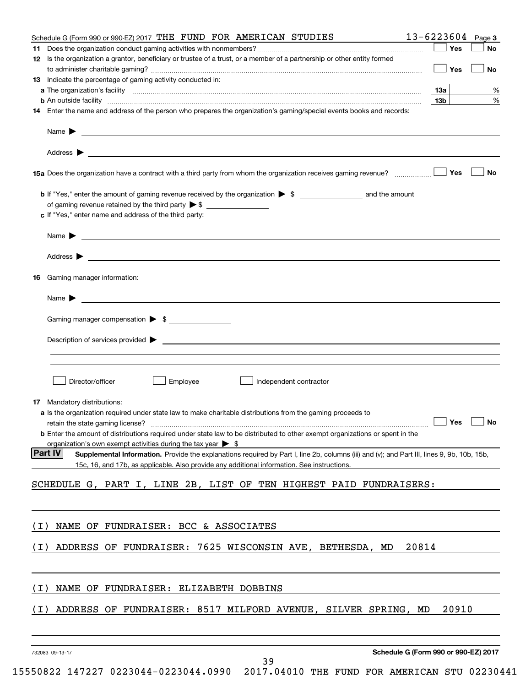| Schedule G (Form 990 or 990-EZ) 2017 THE FUND FOR AMERICAN STUDIES                                                                                                                                                                         | 13-6223604<br>Page 3                 |
|--------------------------------------------------------------------------------------------------------------------------------------------------------------------------------------------------------------------------------------------|--------------------------------------|
| 11<br>12 Is the organization a grantor, beneficiary or trustee of a trust, or a member of a partnership or other entity formed                                                                                                             | Yes<br>No                            |
| 13 Indicate the percentage of gaming activity conducted in:                                                                                                                                                                                | Yes<br>No                            |
|                                                                                                                                                                                                                                            | 13а<br>%                             |
| <b>b</b> An outside facility <i>www.communicality www.communicality.communicality www.communicality www.communicality.com</i>                                                                                                              | %<br>  13b                           |
| 14 Enter the name and address of the person who prepares the organization's gaming/special events books and records:                                                                                                                       |                                      |
|                                                                                                                                                                                                                                            |                                      |
|                                                                                                                                                                                                                                            |                                      |
|                                                                                                                                                                                                                                            | Yes<br>No                            |
|                                                                                                                                                                                                                                            |                                      |
| c If "Yes," enter name and address of the third party:                                                                                                                                                                                     |                                      |
|                                                                                                                                                                                                                                            |                                      |
|                                                                                                                                                                                                                                            |                                      |
| 16 Gaming manager information:                                                                                                                                                                                                             |                                      |
|                                                                                                                                                                                                                                            |                                      |
| Gaming manager compensation > \$                                                                                                                                                                                                           |                                      |
|                                                                                                                                                                                                                                            |                                      |
|                                                                                                                                                                                                                                            |                                      |
| Employee<br>Director/officer<br>Independent contractor                                                                                                                                                                                     |                                      |
| 17 Mandatory distributions:                                                                                                                                                                                                                |                                      |
| a Is the organization required under state law to make charitable distributions from the gaming proceeds to                                                                                                                                | $\Box$ Yes $\Box$ No                 |
| <b>b</b> Enter the amount of distributions required under state law to be distributed to other exempt organizations or spent in the                                                                                                        |                                      |
| organization's own exempt activities during the tax year $\triangleright$ \$<br><b>Part IV</b>                                                                                                                                             |                                      |
| Supplemental Information. Provide the explanations required by Part I, line 2b, columns (iii) and (v); and Part III, lines 9, 9b, 10b, 15b,<br>15c, 16, and 17b, as applicable. Also provide any additional information. See instructions. |                                      |
| SCHEDULE G, PART I, LINE 2B, LIST OF TEN HIGHEST PAID FUNDRAISERS:                                                                                                                                                                         |                                      |
|                                                                                                                                                                                                                                            |                                      |
| NAME OF FUNDRAISER: BCC & ASSOCIATES<br>( I )                                                                                                                                                                                              |                                      |
| ADDRESS OF FUNDRAISER: 7625 WISCONSIN AVE, BETHESDA, MD<br>( I )                                                                                                                                                                           | 20814                                |
| NAME OF FUNDRAISER: ELIZABETH DOBBINS<br>( I )                                                                                                                                                                                             |                                      |
| ADDRESS OF FUNDRAISER: 8517 MILFORD AVENUE, SILVER SPRING, MD<br>( I )                                                                                                                                                                     | 20910                                |
|                                                                                                                                                                                                                                            |                                      |
| 732083 09-13-17                                                                                                                                                                                                                            | Schedule G (Form 990 or 990-EZ) 2017 |
| 39                                                                                                                                                                                                                                         |                                      |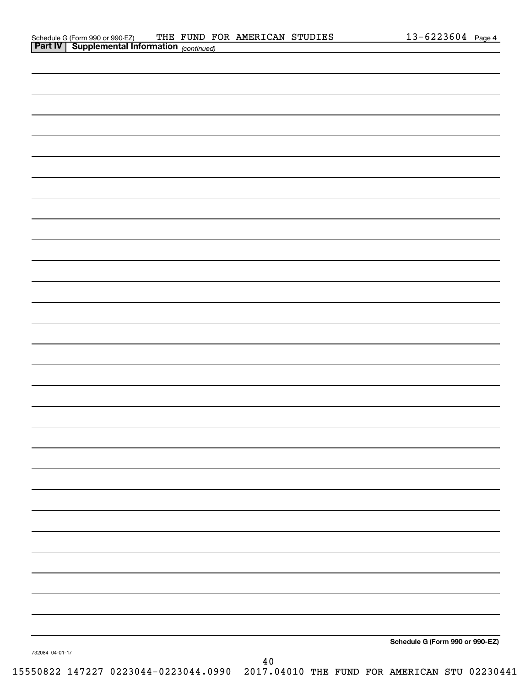|                 |        | Schedule G (Form 990 or 990-EZ) |
|-----------------|--------|---------------------------------|
| 732084 04-01-17 |        |                                 |
|                 | $4\,0$ |                                 |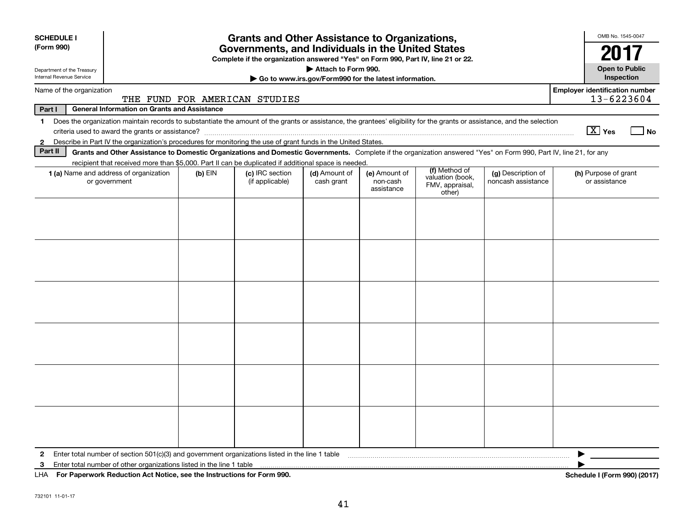| <b>SCHEDULE I</b><br>(Form 990)                        |                                                                                                                                                                                                                                                                                     | OMB No. 1545-0047<br>2017 |                                                                                  |                             |                                         |                                                                |                                          |                                                     |  |  |
|--------------------------------------------------------|-------------------------------------------------------------------------------------------------------------------------------------------------------------------------------------------------------------------------------------------------------------------------------------|---------------------------|----------------------------------------------------------------------------------|-----------------------------|-----------------------------------------|----------------------------------------------------------------|------------------------------------------|-----------------------------------------------------|--|--|
|                                                        |                                                                                                                                                                                                                                                                                     |                           | Complete if the organization answered "Yes" on Form 990, Part IV, line 21 or 22. | Attach to Form 990.         |                                         |                                                                |                                          | <b>Open to Public</b>                               |  |  |
| Department of the Treasury<br>Internal Revenue Service | Go to www.irs.gov/Form990 for the latest information.                                                                                                                                                                                                                               |                           |                                                                                  |                             |                                         |                                                                |                                          |                                                     |  |  |
| Name of the organization                               |                                                                                                                                                                                                                                                                                     |                           | THE FUND FOR AMERICAN STUDIES                                                    |                             |                                         |                                                                |                                          | <b>Employer identification number</b><br>13-6223604 |  |  |
| Part I                                                 | <b>General Information on Grants and Assistance</b>                                                                                                                                                                                                                                 |                           |                                                                                  |                             |                                         |                                                                |                                          |                                                     |  |  |
| $\mathbf{1}$                                           | Does the organization maintain records to substantiate the amount of the grants or assistance, the grantees' eligibility for the grants or assistance, and the selection                                                                                                            |                           |                                                                                  |                             |                                         |                                                                |                                          | $\boxed{\text{X}}$ Yes                              |  |  |
|                                                        | criteria used to award the grants or assistance?                                                                                                                                                                                                                                    |                           |                                                                                  |                             |                                         |                                                                |                                          | No                                                  |  |  |
| $\mathbf{2}$<br>Part II                                | Describe in Part IV the organization's procedures for monitoring the use of grant funds in the United States.<br>Grants and Other Assistance to Domestic Organizations and Domestic Governments. Complete if the organization answered "Yes" on Form 990, Part IV, line 21, for any |                           |                                                                                  |                             |                                         |                                                                |                                          |                                                     |  |  |
|                                                        | recipient that received more than \$5,000. Part II can be duplicated if additional space is needed.                                                                                                                                                                                 |                           |                                                                                  |                             |                                         |                                                                |                                          |                                                     |  |  |
|                                                        | 1 (a) Name and address of organization<br>or government                                                                                                                                                                                                                             | $(b)$ EIN                 | (c) IRC section<br>(if applicable)                                               | (d) Amount of<br>cash grant | (e) Amount of<br>non-cash<br>assistance | (f) Method of<br>valuation (book,<br>FMV, appraisal,<br>other) | (g) Description of<br>noncash assistance | (h) Purpose of grant<br>or assistance               |  |  |
|                                                        |                                                                                                                                                                                                                                                                                     |                           |                                                                                  |                             |                                         |                                                                |                                          |                                                     |  |  |
|                                                        |                                                                                                                                                                                                                                                                                     |                           |                                                                                  |                             |                                         |                                                                |                                          |                                                     |  |  |
|                                                        |                                                                                                                                                                                                                                                                                     |                           |                                                                                  |                             |                                         |                                                                |                                          |                                                     |  |  |
|                                                        |                                                                                                                                                                                                                                                                                     |                           |                                                                                  |                             |                                         |                                                                |                                          |                                                     |  |  |
|                                                        |                                                                                                                                                                                                                                                                                     |                           |                                                                                  |                             |                                         |                                                                |                                          |                                                     |  |  |
|                                                        |                                                                                                                                                                                                                                                                                     |                           |                                                                                  |                             |                                         |                                                                |                                          |                                                     |  |  |
|                                                        |                                                                                                                                                                                                                                                                                     |                           |                                                                                  |                             |                                         |                                                                |                                          |                                                     |  |  |
|                                                        |                                                                                                                                                                                                                                                                                     |                           |                                                                                  |                             |                                         |                                                                |                                          |                                                     |  |  |
|                                                        |                                                                                                                                                                                                                                                                                     |                           |                                                                                  |                             |                                         |                                                                |                                          |                                                     |  |  |
|                                                        |                                                                                                                                                                                                                                                                                     |                           |                                                                                  |                             |                                         |                                                                |                                          |                                                     |  |  |
|                                                        |                                                                                                                                                                                                                                                                                     |                           |                                                                                  |                             |                                         |                                                                |                                          |                                                     |  |  |
| 2                                                      | Enter total number of section 501(c)(3) and government organizations listed in the line 1 table                                                                                                                                                                                     |                           |                                                                                  |                             |                                         |                                                                |                                          |                                                     |  |  |
| 3                                                      | Enter total number of other organizations listed in the line 1 table                                                                                                                                                                                                                |                           |                                                                                  |                             |                                         |                                                                |                                          |                                                     |  |  |
| LHA                                                    | For Paperwork Reduction Act Notice, see the Instructions for Form 990.                                                                                                                                                                                                              |                           |                                                                                  |                             |                                         |                                                                |                                          | Schedule I (Form 990) (2017)                        |  |  |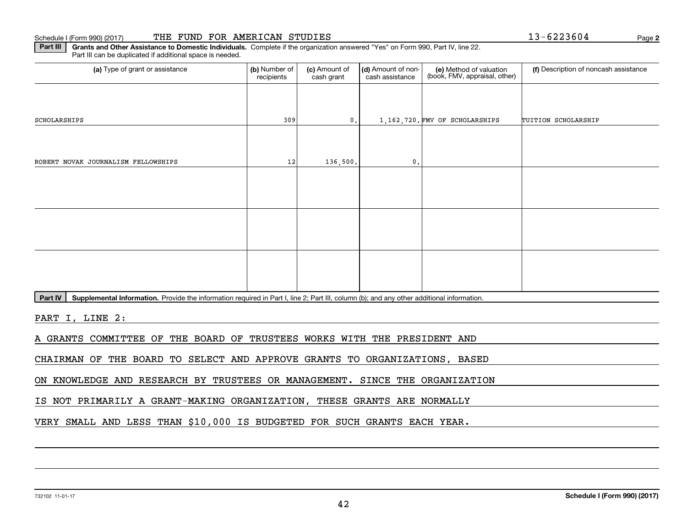| Schedule | THE<br>(2017)<br>(Form 990 | FUND | <b>AMERICAN</b><br>FOR | STUDIES | <b>JUU4</b> | Page 2 |
|----------|----------------------------|------|------------------------|---------|-------------|--------|
|          |                            |      |                        |         |             |        |

Part III Grants and Other Assistance to Domestic Individuals. Complete if the organization answered "Yes" on Form 990, Part IV, line 22. Part III can be duplicated if additional space is needed. Part III can be duplicated if additional space is needed.

| (a) Type of grant or assistance     | (b) Number of<br>recipients | (c) Amount of<br>cash grant | (d) Amount of non-<br>cash assistance | (e) Method of valuation<br>(book, FMV, appraisal, other) | (f) Description of noncash assistance |
|-------------------------------------|-----------------------------|-----------------------------|---------------------------------------|----------------------------------------------------------|---------------------------------------|
|                                     |                             |                             |                                       |                                                          |                                       |
| SCHOLARSHIPS                        | 309                         | 0.                          |                                       | 1,162,720. FMV OF SCHOLARSHIPS                           | TUITION SCHOLARSHIP                   |
|                                     |                             |                             |                                       |                                                          |                                       |
| ROBERT NOVAK JOURNALISM FELLOWSHIPS | 12                          | 136,500.                    | 0.                                    |                                                          |                                       |
|                                     |                             |                             |                                       |                                                          |                                       |
|                                     |                             |                             |                                       |                                                          |                                       |
|                                     |                             |                             |                                       |                                                          |                                       |
|                                     |                             |                             |                                       |                                                          |                                       |
|                                     |                             |                             |                                       |                                                          |                                       |
|                                     |                             |                             |                                       |                                                          |                                       |

Part IV | Supplemental Information. Provide the information required in Part I, line 2; Part III, column (b); and any other additional information.

PART I, LINE 2:

A GRANTS COMMITTEE OF THE BOARD OF TRUSTEES WORKS WITH THE PRESIDENT AND A GRANTS COMMITTEE OF THE BOARD OF TRUSTEES WORKS WITH THE PRESIDENT AND

CHAIRMAN OF THE BOARD TO SELECT AND APPROVE GRANTS TO ORGANIZATIONS, BASED CHAIRMAN OF THE BOARD TO SELECT AND APPROVE GRANTS TO ORGANIZATIONS, BASED

ON KNOWLEDGE AND RESEARCH BY TRUSTEES OR MANAGEMENT. SINCE THE ORGANIZATION ON KNOWLEDGE AND RESEARCH BY TRUSTEES OR MANAGEMENT. SINCE THE ORGANIZATION

IS NOT PRIMARILY A GRANT-MAKING ORGANIZATION, THESE GRANTS ARE NORMALLY IS NOT PRIMARILY A GRANT-MAKING ORGANIZATION, THESE GRANTS ARE NORMALLY

VERY SMALL AND LESS THAN \$10 ,000 IS BUDGETED FOR SUCH GRANTS EACH YEAR. VERY SMALL AND LESS THAN \$10,000 IS BUDGETED FOR SUCH GRANTS EACH YEAR.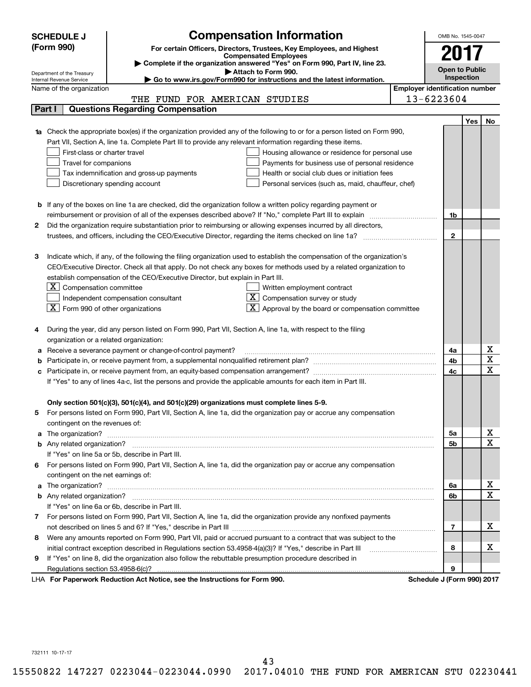|   | <b>SCHEDULE J</b>                              |                                                                                                                                                                                                                                                 | <b>Compensation Information</b>                                                                                                                                                     |                                       | OMB No. 1545-0047     |     |                  |
|---|------------------------------------------------|-------------------------------------------------------------------------------------------------------------------------------------------------------------------------------------------------------------------------------------------------|-------------------------------------------------------------------------------------------------------------------------------------------------------------------------------------|---------------------------------------|-----------------------|-----|------------------|
|   | (Form 990)                                     |                                                                                                                                                                                                                                                 |                                                                                                                                                                                     |                                       |                       |     |                  |
|   |                                                |                                                                                                                                                                                                                                                 | For certain Officers, Directors, Trustees, Key Employees, and Highest<br><b>Compensated Employees</b><br>Complete if the organization answered "Yes" on Form 990, Part IV, line 23. |                                       | 2017                  |     |                  |
|   | Department of the Treasury                     |                                                                                                                                                                                                                                                 | Attach to Form 990.                                                                                                                                                                 |                                       | <b>Open to Public</b> |     |                  |
|   | Internal Revenue Service                       |                                                                                                                                                                                                                                                 | ► Go to www.irs.gov/Form990 for instructions and the latest information.                                                                                                            |                                       | Inspection            |     |                  |
|   | Name of the organization                       |                                                                                                                                                                                                                                                 |                                                                                                                                                                                     | <b>Employer identification number</b> |                       |     |                  |
|   | Part I                                         | THE FUND FOR AMERICAN STUDIES<br><b>Questions Regarding Compensation</b>                                                                                                                                                                        |                                                                                                                                                                                     | 13-6223604                            |                       |     |                  |
|   |                                                |                                                                                                                                                                                                                                                 |                                                                                                                                                                                     |                                       |                       |     |                  |
|   |                                                | 1a Check the appropriate box(es) if the organization provided any of the following to or for a person listed on Form 990,                                                                                                                       |                                                                                                                                                                                     |                                       |                       | Yes | No               |
|   |                                                | Part VII, Section A, line 1a. Complete Part III to provide any relevant information regarding these items.                                                                                                                                      |                                                                                                                                                                                     |                                       |                       |     |                  |
|   | First-class or charter travel                  |                                                                                                                                                                                                                                                 | Housing allowance or residence for personal use                                                                                                                                     |                                       |                       |     |                  |
|   | Travel for companions                          |                                                                                                                                                                                                                                                 | Payments for business use of personal residence                                                                                                                                     |                                       |                       |     |                  |
|   |                                                | Tax indemnification and gross-up payments                                                                                                                                                                                                       | Health or social club dues or initiation fees                                                                                                                                       |                                       |                       |     |                  |
|   |                                                | Discretionary spending account                                                                                                                                                                                                                  | Personal services (such as, maid, chauffeur, chef)                                                                                                                                  |                                       |                       |     |                  |
|   |                                                |                                                                                                                                                                                                                                                 |                                                                                                                                                                                     |                                       |                       |     |                  |
|   |                                                | <b>b</b> If any of the boxes on line 1a are checked, did the organization follow a written policy regarding payment or                                                                                                                          |                                                                                                                                                                                     |                                       |                       |     |                  |
|   |                                                |                                                                                                                                                                                                                                                 |                                                                                                                                                                                     |                                       | 1b                    |     |                  |
| 2 |                                                | Did the organization require substantiation prior to reimbursing or allowing expenses incurred by all directors,                                                                                                                                |                                                                                                                                                                                     |                                       |                       |     |                  |
|   |                                                |                                                                                                                                                                                                                                                 |                                                                                                                                                                                     |                                       | $\mathbf{2}$          |     |                  |
|   |                                                |                                                                                                                                                                                                                                                 |                                                                                                                                                                                     |                                       |                       |     |                  |
| з |                                                | Indicate which, if any, of the following the filing organization used to establish the compensation of the organization's<br>CEO/Executive Director. Check all that apply. Do not check any boxes for methods used by a related organization to |                                                                                                                                                                                     |                                       |                       |     |                  |
|   |                                                | establish compensation of the CEO/Executive Director, but explain in Part III.                                                                                                                                                                  |                                                                                                                                                                                     |                                       |                       |     |                  |
|   | ΧI<br>Compensation committee                   |                                                                                                                                                                                                                                                 | Written employment contract                                                                                                                                                         |                                       |                       |     |                  |
|   |                                                | Independent compensation consultant                                                                                                                                                                                                             | Compensation survey or study                                                                                                                                                        |                                       |                       |     |                  |
|   | $ \mathbf{X} $ Form 990 of other organizations | X                                                                                                                                                                                                                                               | Approval by the board or compensation committee                                                                                                                                     |                                       |                       |     |                  |
|   |                                                |                                                                                                                                                                                                                                                 |                                                                                                                                                                                     |                                       |                       |     |                  |
| 4 |                                                | During the year, did any person listed on Form 990, Part VII, Section A, line 1a, with respect to the filing                                                                                                                                    |                                                                                                                                                                                     |                                       |                       |     |                  |
|   | organization or a related organization:        |                                                                                                                                                                                                                                                 |                                                                                                                                                                                     |                                       |                       |     |                  |
|   |                                                | Receive a severance payment or change-of-control payment?                                                                                                                                                                                       |                                                                                                                                                                                     |                                       | 4a                    |     | х<br>$\bf{X}$    |
|   |                                                | Participate in, or receive payment from, a supplemental nonqualified retirement plan?                                                                                                                                                           |                                                                                                                                                                                     |                                       | 4b                    |     | $\mathbf X$      |
|   |                                                | If "Yes" to any of lines 4a-c, list the persons and provide the applicable amounts for each item in Part III.                                                                                                                                   |                                                                                                                                                                                     |                                       | 4c                    |     |                  |
|   |                                                |                                                                                                                                                                                                                                                 |                                                                                                                                                                                     |                                       |                       |     |                  |
|   |                                                | Only section 501(c)(3), 501(c)(4), and 501(c)(29) organizations must complete lines 5-9.                                                                                                                                                        |                                                                                                                                                                                     |                                       |                       |     |                  |
| 5 |                                                | For persons listed on Form 990, Part VII, Section A, line 1a, did the organization pay or accrue any compensation                                                                                                                               |                                                                                                                                                                                     |                                       |                       |     |                  |
|   | contingent on the revenues of:                 |                                                                                                                                                                                                                                                 |                                                                                                                                                                                     |                                       |                       |     |                  |
| а |                                                |                                                                                                                                                                                                                                                 |                                                                                                                                                                                     |                                       | 5a                    |     | х                |
|   |                                                |                                                                                                                                                                                                                                                 |                                                                                                                                                                                     |                                       | 5b                    |     | $\mathbf X$      |
|   |                                                | If "Yes" on line 5a or 5b, describe in Part III.                                                                                                                                                                                                |                                                                                                                                                                                     |                                       |                       |     |                  |
| 6 |                                                | For persons listed on Form 990, Part VII, Section A, line 1a, did the organization pay or accrue any compensation                                                                                                                               |                                                                                                                                                                                     |                                       |                       |     |                  |
|   | contingent on the net earnings of:             |                                                                                                                                                                                                                                                 |                                                                                                                                                                                     |                                       |                       |     |                  |
| а |                                                |                                                                                                                                                                                                                                                 |                                                                                                                                                                                     |                                       | 6а                    |     | х<br>$\mathbf X$ |
|   |                                                |                                                                                                                                                                                                                                                 |                                                                                                                                                                                     |                                       | 6b                    |     |                  |
|   |                                                | If "Yes" on line 6a or 6b, describe in Part III.                                                                                                                                                                                                |                                                                                                                                                                                     |                                       |                       |     |                  |
|   |                                                | 7 For persons listed on Form 990, Part VII, Section A, line 1a, did the organization provide any nonfixed payments                                                                                                                              |                                                                                                                                                                                     |                                       | 7                     |     | х                |
| 8 |                                                | Were any amounts reported on Form 990, Part VII, paid or accrued pursuant to a contract that was subject to the                                                                                                                                 |                                                                                                                                                                                     |                                       |                       |     |                  |
|   |                                                | initial contract exception described in Regulations section 53.4958-4(a)(3)? If "Yes," describe in Part III                                                                                                                                     |                                                                                                                                                                                     |                                       | 8                     |     | х                |
| 9 |                                                | If "Yes" on line 8, did the organization also follow the rebuttable presumption procedure described in                                                                                                                                          |                                                                                                                                                                                     |                                       |                       |     |                  |
|   | Regulations section 53.4958-6(c)?              |                                                                                                                                                                                                                                                 |                                                                                                                                                                                     |                                       | 9                     |     |                  |
|   |                                                | LHA For Paperwork Reduction Act Notice, see the Instructions for Form 990.                                                                                                                                                                      |                                                                                                                                                                                     | Schedule J (Form 990) 2017            |                       |     |                  |

732111 10-17-17 732111 10-17-17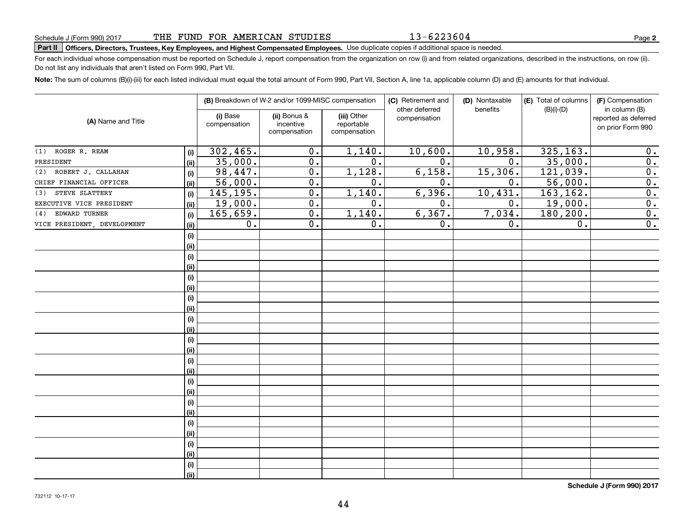13-6223604

# Schedule J (Form 990) 2017 THE FUND FOR AMERICAN STUDIES<br>Part II Officers, Directors, Trustees, Key Employees, and Highest Compensated Employees. Use duplicate copies if additional space is needed.

For each individual whose compensation must be reported on Schedule J, report compensation from the organization on row (i) and from related organizations, described in the instructions, on row (ii). Do not list any individuals that aren't listed on Form 990, Part VII. Do not list any individuals that aren't listed on Form 990, Part VII.

Note: The sum of columns (B)(i)-(iii) for each listed individual must equal the total amount of Form 990, Part VII, Section A, line 1a, applicable column (D) and (E) amounts for that individual.

| (A) Name and Title          |      |                          | (B) Breakdown of W-2 and/or 1099-MISC compensation |                                           | (C) Retirement and<br>other deferred | (D) Nontaxable<br>benefits | (E) Total of columns<br>$(B)(i)-(D)$ | (F) Compensation<br>in column (B)         |  |
|-----------------------------|------|--------------------------|----------------------------------------------------|-------------------------------------------|--------------------------------------|----------------------------|--------------------------------------|-------------------------------------------|--|
|                             |      | (i) Base<br>compensation | (ii) Bonus &<br>incentive<br>compensation          | (iii) Other<br>reportable<br>compensation | compensation                         |                            |                                      | reported as deferred<br>on prior Form 990 |  |
| ROGER R. REAM<br>(1)        | (i)  | 302, 465.                | 0.                                                 | 1,140.                                    | 10,600.                              | 10,958.                    | 325, 163.                            | 0.                                        |  |
| PRESIDENT                   | (ii) | 35,000.                  | 0.                                                 | $\overline{0}$ .                          | $\overline{0}$ .                     | 0.                         | 35,000.                              | $\overline{0}$ .                          |  |
| ROBERT J. CALLAHAN<br>(2)   | (i)  | 98,447.                  | $\overline{0}$ .                                   | 1,128.                                    | 6,158.                               | 15,306.                    | $1\overline{21,039}$ .               | $\overline{0}$ .                          |  |
| CHIEF FINANCIAL OFFICER     | (ii) | 56,000.                  | $\overline{0}$ .                                   | 0.                                        | 0.                                   | 0.                         | 56,000.                              | $\overline{0}$ .                          |  |
| STEVE SLATTERY<br>(3)       | (i)  | 145,195.                 | 0.                                                 | 1,140.                                    | 6,396.                               | 10,431.                    | 163,162.                             | $\overline{0}$ .                          |  |
| EXECUTIVE VICE PRESIDENT    | (ii) | 19,000.                  | 0.                                                 | 0.                                        | 0.                                   | 0.                         | 19,000.                              | 0.                                        |  |
| EDWARD TURNER<br>(4)        | (i)  | 165,659.                 | 0.                                                 | 1,140.                                    | 6, 367.                              | 7,034.                     | 180,200.                             | 0.                                        |  |
| VICE PRESIDENT, DEVELOPMENT | (ii) | 0.                       | 0.                                                 | 0.                                        | 0.                                   | 0.                         | 0.                                   | $\overline{0}$ .                          |  |
|                             | (i)  |                          |                                                    |                                           |                                      |                            |                                      |                                           |  |
|                             | (ii) |                          |                                                    |                                           |                                      |                            |                                      |                                           |  |
|                             | (i)  |                          |                                                    |                                           |                                      |                            |                                      |                                           |  |
|                             | (ii) |                          |                                                    |                                           |                                      |                            |                                      |                                           |  |
|                             | (i)  |                          |                                                    |                                           |                                      |                            |                                      |                                           |  |
|                             | (ii) |                          |                                                    |                                           |                                      |                            |                                      |                                           |  |
|                             | (i)  |                          |                                                    |                                           |                                      |                            |                                      |                                           |  |
|                             | (ii) |                          |                                                    |                                           |                                      |                            |                                      |                                           |  |
|                             | (i)  |                          |                                                    |                                           |                                      |                            |                                      |                                           |  |
|                             | (ii) |                          |                                                    |                                           |                                      |                            |                                      |                                           |  |
|                             | (i)  |                          |                                                    |                                           |                                      |                            |                                      |                                           |  |
|                             | (ii) |                          |                                                    |                                           |                                      |                            |                                      |                                           |  |
|                             | (i)  |                          |                                                    |                                           |                                      |                            |                                      |                                           |  |
|                             | (ii) |                          |                                                    |                                           |                                      |                            |                                      |                                           |  |
|                             | (i)  |                          |                                                    |                                           |                                      |                            |                                      |                                           |  |
|                             | (ii) |                          |                                                    |                                           |                                      |                            |                                      |                                           |  |
|                             | (i)  |                          |                                                    |                                           |                                      |                            |                                      |                                           |  |
|                             | (ii) |                          |                                                    |                                           |                                      |                            |                                      |                                           |  |
|                             | (i)  |                          |                                                    |                                           |                                      |                            |                                      |                                           |  |
|                             | (ii) |                          |                                                    |                                           |                                      |                            |                                      |                                           |  |
|                             | (i)  |                          |                                                    |                                           |                                      |                            |                                      |                                           |  |
|                             | (ii) |                          |                                                    |                                           |                                      |                            |                                      |                                           |  |
|                             | (i)  |                          |                                                    |                                           |                                      |                            |                                      |                                           |  |
|                             | (ii) |                          |                                                    |                                           |                                      |                            |                                      |                                           |  |

**Schedule J (Form 990) <sup>2017</sup> Schedule J (Form 990) 2017**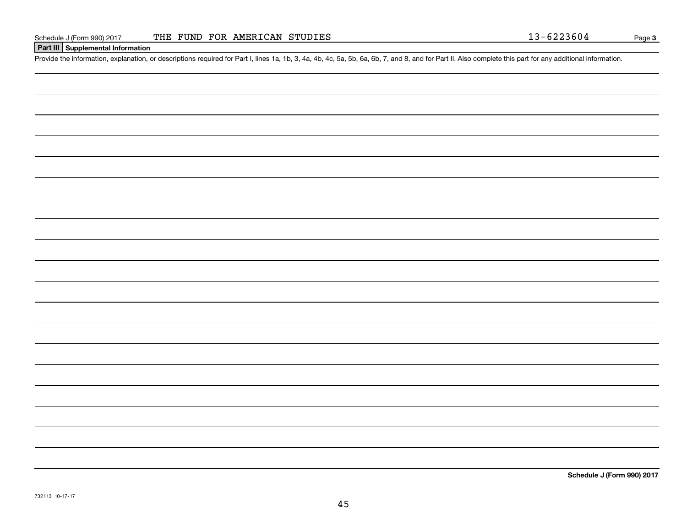**<sup>I</sup>Part III I Supplemental Information Part III Supplemental Information**

**Schedule J (Form 990) <sup>2017</sup> Schedule J (Form 990) 2017**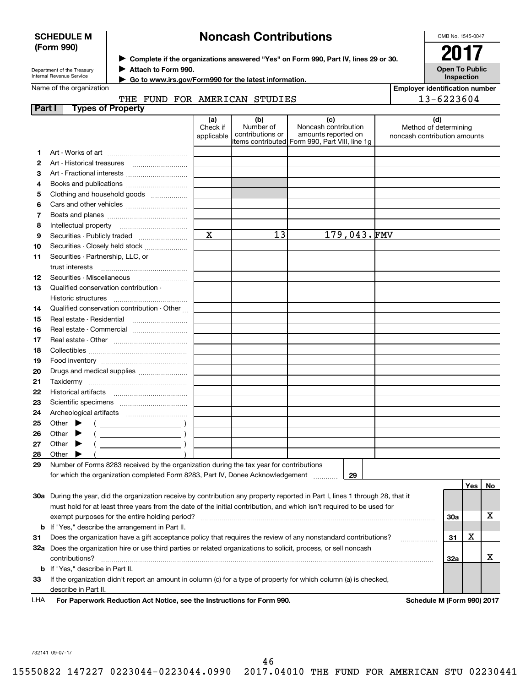| <b>SCHEDULE M</b> |  |
|-------------------|--|
| (Form 990)        |  |

# **Noncash Contributions Noncash Contributions**

OMB No. 1545-0047 OMB No. 1545-0047

| Department of the Treasury      |  |
|---------------------------------|--|
| <b>Internal Revenue Service</b> |  |

 $\blacktriangleright$  Complete if the organizations answered "Yes" on Form 990, Part IV, lines 29 or 30. 2017 ■ **Complete in the orgal**<br>■ Attach to Form 990.



**Employer identification number Employer identification number**

13-6223604

Name of the organization

J **Go to www.irs.gov/Form990 for the latest information. Go to www.irs.gov/Form990 for the latest information.** J

## THE FUND FOR AMERICAN STUDIES  $\vert$  13-6223604

| Part I |       | <b>Types of Property</b>                                                                                                       |                               |                                      |                                                                                                      |                                                              |     |     |    |
|--------|-------|--------------------------------------------------------------------------------------------------------------------------------|-------------------------------|--------------------------------------|------------------------------------------------------------------------------------------------------|--------------------------------------------------------------|-----|-----|----|
|        |       |                                                                                                                                | (a)<br>Check if<br>applicable | (b)<br>Number of<br>contributions or | (c)<br>Noncash contribution<br>amounts reported on<br>items contributed Form 990, Part VIII, line 1q | (d)<br>Method of determining<br>noncash contribution amounts |     |     |    |
| 1.     |       |                                                                                                                                |                               |                                      |                                                                                                      |                                                              |     |     |    |
| 2      |       |                                                                                                                                |                               |                                      |                                                                                                      |                                                              |     |     |    |
| з      |       | Art - Fractional interests                                                                                                     |                               |                                      |                                                                                                      |                                                              |     |     |    |
| 4      |       | Books and publications                                                                                                         |                               |                                      |                                                                                                      |                                                              |     |     |    |
| 5      |       |                                                                                                                                |                               |                                      |                                                                                                      |                                                              |     |     |    |
| 6      |       | Clothing and household goods                                                                                                   |                               |                                      |                                                                                                      |                                                              |     |     |    |
|        |       |                                                                                                                                |                               |                                      |                                                                                                      |                                                              |     |     |    |
| 7      |       |                                                                                                                                |                               |                                      |                                                                                                      |                                                              |     |     |    |
| 8      |       | Intellectual property                                                                                                          | $\mathbf X$                   | $\overline{1}3$                      | 179,043.FMV                                                                                          |                                                              |     |     |    |
| 9      |       | Securities - Publicly traded                                                                                                   |                               |                                      |                                                                                                      |                                                              |     |     |    |
| 10     |       | Securities - Closely held stock                                                                                                |                               |                                      |                                                                                                      |                                                              |     |     |    |
| 11     |       | Securities - Partnership, LLC, or                                                                                              |                               |                                      |                                                                                                      |                                                              |     |     |    |
|        |       | trust interests                                                                                                                |                               |                                      |                                                                                                      |                                                              |     |     |    |
| 12     |       | Securities - Miscellaneous                                                                                                     |                               |                                      |                                                                                                      |                                                              |     |     |    |
| 13     |       | Qualified conservation contribution -                                                                                          |                               |                                      |                                                                                                      |                                                              |     |     |    |
|        |       | Historic structures                                                                                                            |                               |                                      |                                                                                                      |                                                              |     |     |    |
| 14     |       | Qualified conservation contribution - Other                                                                                    |                               |                                      |                                                                                                      |                                                              |     |     |    |
| 15     |       | Real estate - Residential                                                                                                      |                               |                                      |                                                                                                      |                                                              |     |     |    |
| 16     |       | Real estate - Commercial                                                                                                       |                               |                                      |                                                                                                      |                                                              |     |     |    |
| 17     |       |                                                                                                                                |                               |                                      |                                                                                                      |                                                              |     |     |    |
| 18     |       |                                                                                                                                |                               |                                      |                                                                                                      |                                                              |     |     |    |
| 19     |       |                                                                                                                                |                               |                                      |                                                                                                      |                                                              |     |     |    |
| 20     |       |                                                                                                                                |                               |                                      |                                                                                                      |                                                              |     |     |    |
| 21     |       |                                                                                                                                |                               |                                      |                                                                                                      |                                                              |     |     |    |
| 22     |       |                                                                                                                                |                               |                                      |                                                                                                      |                                                              |     |     |    |
| 23     |       |                                                                                                                                |                               |                                      |                                                                                                      |                                                              |     |     |    |
| 24     |       |                                                                                                                                |                               |                                      |                                                                                                      |                                                              |     |     |    |
| 25     |       | Other $\blacktriangleright$<br>$\overline{\phantom{a}}$                                                                        |                               |                                      |                                                                                                      |                                                              |     |     |    |
| 26     | Other |                                                                                                                                |                               |                                      |                                                                                                      |                                                              |     |     |    |
| 27     | Other | ▸                                                                                                                              |                               |                                      |                                                                                                      |                                                              |     |     |    |
| 28     |       | Other $\blacktriangleright$                                                                                                    |                               |                                      |                                                                                                      |                                                              |     |     |    |
| 29     |       | Number of Forms 8283 received by the organization during the tax year for contributions                                        |                               |                                      |                                                                                                      |                                                              |     |     |    |
|        |       | for which the organization completed Form 8283, Part IV, Donee Acknowledgement                                                 |                               |                                      | 29                                                                                                   |                                                              |     |     |    |
|        |       |                                                                                                                                |                               |                                      |                                                                                                      |                                                              |     | Yes | No |
|        |       | 30a During the year, did the organization receive by contribution any property reported in Part I, lines 1 through 28, that it |                               |                                      |                                                                                                      |                                                              |     |     |    |
|        |       | must hold for at least three years from the date of the initial contribution, and which isn't required to be used for          |                               |                                      |                                                                                                      |                                                              |     |     |    |
|        |       | exempt purposes for the entire holding period?                                                                                 |                               |                                      |                                                                                                      |                                                              | 30a |     | х  |
|        |       | <b>b</b> If "Yes," describe the arrangement in Part II.                                                                        |                               |                                      |                                                                                                      |                                                              |     |     |    |
| 31     |       | Does the organization have a gift acceptance policy that requires the review of any nonstandard contributions?                 |                               |                                      |                                                                                                      |                                                              | 31  | x   |    |
|        |       | 32a Does the organization hire or use third parties or related organizations to solicit, process, or sell noncash              |                               |                                      |                                                                                                      |                                                              |     |     |    |

**b** If "Yes," describe in Part II. 33 If the organization didn't report an amount in column (c) for a type of property for which column (a) is checked, describe in Part II.

 $\textsf{contributions?}\quad \rule{2.2ex}{0.4ex}$   $\rule{2.2ex}{0.4ex}$   $\rule{2.2ex}{0.4ex}$   $\rule{2.2ex}{0.4ex}$   $\rule{2.2ex}{0.4ex}$   $\rule{2.2ex}{0.4ex}$   $\rule{2.2ex}{0.4ex}$   $\rule{2.2ex}{0.4ex}$   $\rule{2.2ex}{0.4ex}$   $\rule{2.2ex}{0.4ex}$   $\rule{2.2ex}{0.4ex}$   $\rule{2.2ex}{0.4ex}$   $\rule{2.2ex}{0.4ex}$   $\rule{$ 

LHA **For Paperwork Reduction Act Notice, see the Instructions for Form 990 For Paperwork Reduction Act Notice, see the Instructions for Form 990. Schedule M (Form 990) 2017** LHA

**. Schedule M (Form 990) 2017** 

**32a** X **32a**

X

732141 09-07-17 732141 09-07-17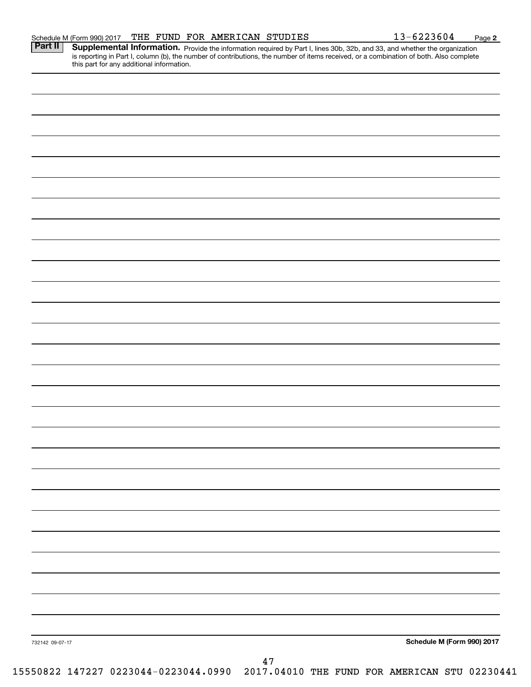| 732142 09-07-17 | Schedule M (Form 990) 2017 |
|-----------------|----------------------------|

**Part II** Supplemental Information. Provide the information required by Part I, lines 30b, 32b, and 33, and whether the organization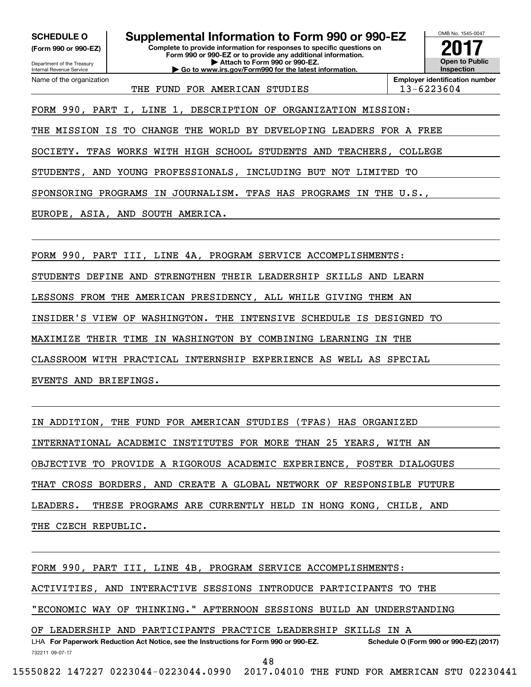**(Form 990 or 990-EZ)**

Department of the Treasi<br>Internal Revenue Service Department of the Treasury Name of the organization

**SCHEDULE O Supplemental Information to Form 990 or 990-EZ SCHEDULE O Supplemental Information to Form 990 or 990-EZ**

**(Form 990 or 990-EZ) Complete to provide information for responses to specific questions on Complete to provide information for responses to specific questions on Form 990 or 990-EZ or to provide any additional information. Form 990 or 990-EZ or to provide any additional information.** Department of the Treasury **and Personal Property of the Treasury <b>Attach to Form 990 or 990-EZ. CONSERVISION CONSERVER SUPPLEMENTAL INTERNATION COMPLETE CONSERVANCE CONSERVANCE CONSERVATION CONSERVER THE FILMD FOR AMPLETED FOR A** Attach to Form 990 or 990-EZ.<br>Go to www.irs.gov/Form990 for the latest information.

**2017 Open to Public Open to Public Inspection2017**

OMB No. 1545-0047 OMB No. 1545-0047

THE FUND FOR AMERICAN STUDIES | 13-6223604

Name of the organization **Employer identification number Employer identification number**

FORM 990, PART I, LINE 1, DESCRIPTION OF ORGANIZATION MISSION: FORM 990, PART I, LINE 1, DESCRIPTION OF ORGANIZATION MISSION:

THE MISSION IS TO CHANGE THE WORLD BY DEVELOPING LEADERS FOR A FREE THE MISSION IS TO CHANGE THE WORLD BY DEVELOPING LEADERS FOR A FREE

SOCIETY. TFAS WORKS WITH HIGH SCHOOL STUDENTS AND TEACHERS, COLLEGE SOCIETY. TFAS WORKS WITH HIGH SCHOOL STUDENTS AND TEACHERS, COLLEGE

STUDENTS, AND YOUNG PROFESSIONALS, INCLUDING BUT NOT LIMITED TO STUDENTS, AND YOUNG PROFESSIONALS, INCLUDING BUT NOT LIMITED TO

SPONSORING PROGRAMS IN JOURNALISM. TFAS HAS PROGRAMS IN THE U.S. , SPONSORING PROGRAMS IN JOURNALISM. TFAS HAS PROGRAMS IN THE U.S.,

EUROPE, ASIA, AND SOUTH AMERICA. EUROPE, ASIA, AND SOUTH AMERICA.

FORM 990, PART III, LINE 4A, PROGRAM SERVICE ACCOMPLISHMENTS: FORM 990, PART III, LINE 4A, PROGRAM SERVICE ACCOMPLISHMENTS:

STUDENTS DEFINE AND STRENGTHEN THEIR LEADERSHIP SKILLS AND LEARN STUDENTS DEFINE AND STRENGTHEN THEIR LEADERSHIP SKILLS AND LEARN

LESSONS FROM THE AMERICAN PRESIDENCY, ALL WHILE GIVING THEM AN LESSONS FROM THE AMERICAN PRESIDENCY, ALL WHILE GIVING THEM AN

INSIDER'S VIEW OF WASHINGTON. THE INTENSIVE SCHEDULE IS DESIGNED TO INSIDER'S VIEW OF WASHINGTON. THE INTENSIVE SCHEDULE IS DESIGNED TO

MAXIMIZE THEIR TIME IN WASHINGTON BY COMBINING LEARNING IN THE MAXIMIZE THEIR TIME IN WASHINGTON BY COMBINING LEARNING IN THE

CLASSROOM WITH PRACTICAL INTERNSHIP EXPERIENCE AS WELL AS SPECIAL CLASSROOM WITH PRACTICAL INTERNSHIP EXPERIENCE AS WELL AS SPECIAL

EVENTS AND BRIEFINGS. EVENTS AND BRIEFINGS.

IN ADDITION, THE FUND FOR AMERICAN STUDIES (TFAS) HAS ORGANIZED IN ADDITION, THE FUND FOR AMERICAN STUDIES (TFAS) HAS ORGANIZED

INTERNATIONAL ACADEMIC INSTITUTES FOR MORE THAN 25 YEARS, WITH AN INTERNATIONAL ACADEMIC INSTITUTES FOR MORE THAN 25 YEARS, WITH AN

OBJECTIVE TO PROVIDE A RIGOROUS ACADEMIC EXPERIENCE, FOSTER DIALOGUES OBJECTIVE TO PROVIDE A RIGOROUS ACADEMIC EXPERIENCE, FOSTER DIALOGUES

THAT CROSS BORDERS, AND CREATE A GLOBAL NETWORK OF RESPONSIBLE FUTURE THAT CROSS BORDERS, AND CREATE A GLOBAL NETWORK OF RESPONSIBLE FUTURE

LEADERS. THESE PROGRAMS ARE CURRENTLY HELD IN HONG KONG, CHILE, AND LEADERS. THESE PROGRAMS ARE CURRENTLY HELD IN HONG KONG, CHILE, AND

THE CZECH REPUBLIC.

FORM 990, PART III, LINE 4B, PROGRAM SERVICE ACCOMPLISHMENTS: FORM 990, PART III, LINE 4B, PROGRAM SERVICE ACCOMPLISHMENTS:

ACTIVITIES, AND INTERACTIVE SESSIONS INTRODUCE PARTICIPANTS TO THE ACTIVITIES, AND INTERACTIVE SESSIONS INTRODUCE PARTICIPANTS TO THE

"ECONOMIC WAY OF THINKING." AFTERNOON SESSIONS BUILD AN UNDERSTANDING "ECONOMIC WAY OF THINKING." AFTERNOON SESSIONS BUILD AN UNDERSTANDING

OF LEADERSHIP AND PARTICIPANTS PRACTICE LEADERSHIP SKILLS IN A OF LEADERSHIP AND PARTICIPANTS PRACTICE LEADERSHIP SKILLS IN A

LHA For Paperwork Reduction Act Notice, see the Instructions for Form 990 or 990-EZ. Schedule O (Form 990 or 990-EZ) (2017) 732211 09-07-17 732211 09-07-17

48 48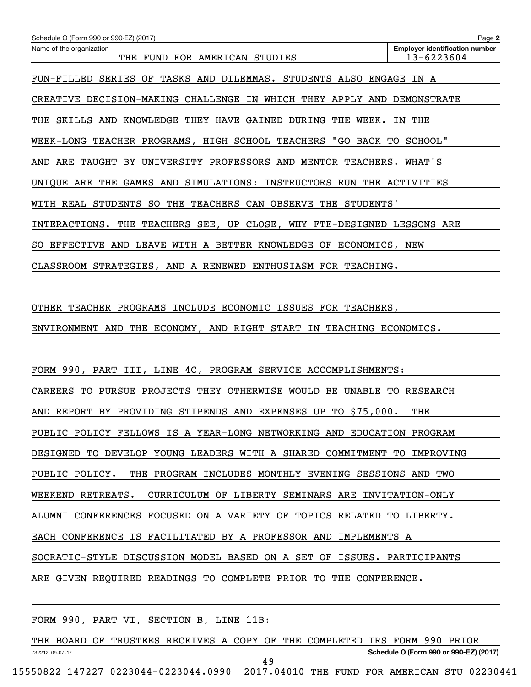| Schedule O (Form 990 or 990-EZ) (2017)                                  | Page 2                                              |
|-------------------------------------------------------------------------|-----------------------------------------------------|
| Name of the organization<br>THE FUND FOR AMERICAN STUDIES               | <b>Employer identification number</b><br>13-6223604 |
| FUN-FILLED SERIES OF TASKS AND DILEMMAS. STUDENTS ALSO ENGAGE IN A      |                                                     |
| CREATIVE DECISION-MAKING CHALLENGE IN WHICH THEY APPLY AND DEMONSTRATE  |                                                     |
| THE SKILLS AND KNOWLEDGE THEY HAVE GAINED DURING THE WEEK. IN THE       |                                                     |
| WEEK-LONG TEACHER PROGRAMS, HIGH SCHOOL TEACHERS "GO BACK TO SCHOOL"    |                                                     |
| AND ARE TAUGHT BY UNIVERSITY PROFESSORS AND MENTOR TEACHERS. WHAT'S     |                                                     |
| UNIQUE ARE THE GAMES AND SIMULATIONS: INSTRUCTORS RUN THE ACTIVITIES    |                                                     |
| WITH REAL STUDENTS SO THE TEACHERS CAN OBSERVE THE STUDENTS'            |                                                     |
| INTERACTIONS. THE TEACHERS SEE, UP CLOSE, WHY FTE-DESIGNED LESSONS ARE  |                                                     |
| SO EFFECTIVE AND LEAVE WITH A BETTER KNOWLEDGE OF ECONOMICS, NEW        |                                                     |
| CLASSROOM STRATEGIES, AND A RENEWED ENTHUSIASM FOR TEACHING.            |                                                     |
|                                                                         |                                                     |
| OTHER TEACHER PROGRAMS INCLUDE ECONOMIC ISSUES FOR TEACHERS,            |                                                     |
| ENVIRONMENT AND THE ECONOMY, AND RIGHT START IN TEACHING ECONOMICS.     |                                                     |
|                                                                         |                                                     |
| FORM 990, PART III, LINE 4C, PROGRAM SERVICE ACCOMPLISHMENTS:           |                                                     |
| CAREERS TO PURSUE PROJECTS THEY OTHERWISE WOULD BE UNABLE TO RESEARCH   |                                                     |
| AND REPORT BY PROVIDING STIPENDS AND EXPENSES UP TO \$75,000.           | THE                                                 |
| PUBLIC POLICY FELLOWS IS A YEAR-LONG NETWORKING AND EDUCATION PROGRAM   |                                                     |
| DESIGNED TO DEVELOP YOUNG LEADERS WITH A SHARED COMMITMENT TO IMPROVING |                                                     |
| PUBLIC POLICY. THE PROGRAM INCLUDES MONTHLY EVENING SESSIONS AND TWO    |                                                     |
| WEEKEND RETREATS. CURRICULUM OF LIBERTY SEMINARS ARE INVITATION-ONLY    |                                                     |
| ALUMNI CONFERENCES FOCUSED ON A VARIETY OF TOPICS RELATED TO LIBERTY.   |                                                     |
| EACH CONFERENCE IS FACILITATED BY A PROFESSOR AND IMPLEMENTS A          |                                                     |
| SOCRATIC-STYLE DISCUSSION MODEL BASED ON A SET OF ISSUES. PARTICIPANTS  |                                                     |

ARE GIVEN REQUIRED READINGS TO COMPLETE PRIOR TO THE CONFERENCE. ARE GIVEN REQUIRED READINGS TO COMPLETE PRIOR TO THE CONFERENCE.

FORM 990, PART VI , SECTION B, LINE 11B: FORM 990, PART VI, SECTION B, LINE 11B: THE BOARD OF TRUSTEES RECEIVES A COPY OF THE COMPLETED IRS FORM 990 PRIOR THE BOARD OF TRUSTEES RECEIVES A COPY OF THE COMPLETED IRS FORM 990 PRIOR 732212 09-07-17 **Schedule O (Form 990 or 990-EZ) (2017) Schedule O (Form 990 or 990-EZ) (2017)** 49 49 15550822 147227 0223044-0223044.0990 2017.04010 THE FUND FOR AMERICAN STU 02230441 15550822 147227 0223044-0223044.0990 2017.04010 THE FUND FOR AMERICAN STU 02230441 732212 09-07-17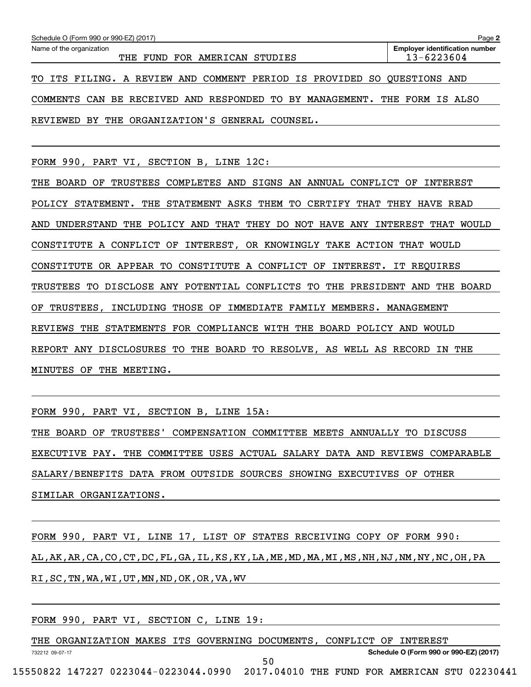| Schedule O (Form 990 or 990-EZ) (2017)                                    | Page 2                                              |
|---------------------------------------------------------------------------|-----------------------------------------------------|
| Name of the organization<br>THE FUND FOR AMERICAN STUDIES                 | <b>Employer identification number</b><br>13-6223604 |
| TO ITS FILING. A REVIEW AND COMMENT PERIOD IS PROVIDED SO QUESTIONS AND   |                                                     |
| COMMENTS CAN BE RECEIVED AND RESPONDED TO BY MANAGEMENT. THE FORM IS ALSO |                                                     |
| REVIEWED BY THE ORGANIZATION'S GENERAL COUNSEL.                           |                                                     |

FORM 990, PART VI , SECTION B, LINE 12C: FORM 990, PART VI, SECTION B, LINE 12C:

THE BOARD OF TRUSTEES COMPLETES AND SIGNS AN ANNUAL CONFLICT OF INTEREST THE BOARD OF TRUSTEES COMPLETES AND SIGNS AN ANNUAL CONFLICT OF INTEREST POLICY STATEMENT. THE STATEMENT ASKS THEM TO CERTIFY THAT THEY HAVE READ POLICY STATEMENT. THE STATEMENT ASKS THEM TO CERTIFY THAT THEY HAVE READ AND UNDERSTAND THE POLICY AND THAT THEY DO NOT HAVE ANY INTEREST THAT WOULD AND UNDERSTAND THE POLICY AND THAT THEY DO NOT HAVE ANY INTEREST THAT WOULD CONSTITUTE A CONFLICT OF INTEREST, OR KNOWINGLY TAKE ACTION THAT WOULD CONSTITUTE A CONFLICT OF INTEREST, OR KNOWINGLY TAKE ACTION THAT WOULD CONSTITUTE OR APPEAR TO CONSTITUTE A CONFLICT OF INTEREST. IT REQUIRES CONSTITUTE OR APPEAR TO CONSTITUTE A CONFLICT OF INTEREST. IT REQUIRES TRUSTEES TO DISCLOSE ANY POTENTIAL CONFLICTS TO THE PRESIDENT AND THE BOARD TRUSTEES TO DISCLOSE ANY POTENTIAL CONFLICTS TO THE PRESIDENT AND THE BOARD OF TRUSTEES, INCLUDING THOSE OF IMMEDIATE FAMILY MEMBERS. MANAGEMENT OF TRUSTEES, INCLUDING THOSE OF IMMEDIATE FAMILY MEMBERS. MANAGEMENT REVIEWS THE STATEMENTS FOR COMPLIANCE WITH THE BOARD POLICY AND WOULD REVIEWS THE STATEMENTS FOR COMPLIANCE WITH THE BOARD POLICY AND WOULD REPORT ANY DISCLOSURES TO THE BOARD TO RESOLVE, AS WELL AS RECORD IN THE REPORT ANY DISCLOSURES TO THE BOARD TO RESOLVE, AS WELL AS RECORD IN THE MINUTES OF THE MEETING. MINUTES OF THE MEETING.

FORM 990, PART VI , SECTION B, LINE 15A: FORM 990, PART VI, SECTION B, LINE 15A:

THE BOARD OF TRUSTEES' COMPENSATION COMMITTEE MEETS ANNUALLY TO DISCUSS THE BOARD OF TRUSTEES' COMPENSATION COMMITTEE MEETS ANNUALLY TO DISCUSS EXECUTIVE PAY. THE COMMITTEE USES ACTUAL SALARY DATA AND REVIEWS COMPARABLE EXECUTIVE PAY. THE COMMITTEE USES ACTUAL SALARY DATA AND REVIEWS COMPARABLE SALARY/BENEFITS DATA FROM OUTSIDE SOURCES SHOWING EXECUTIVES OF OTHER SALARY/BENEFITS DATA FROM OUTSIDE SOURCES SHOWING EXECUTIVES OF OTHER SIMILAR ORGANIZATIONS. SIMILAR ORGANIZATIONS.

FORM 990, PART VI, LINE 17, LIST OF STATES RECEIVING COPY OF FORM 990: AL,AK,AR,CA,CO,CT,DC,FL,GA,IL,KS,KY,LA,ME,MD,MA,MI,MS,NH,NJ,NM,NY,NC,OH,PA AL,AK,AR,CA,CO,CT,DC,FL,GA,IL,KS,KY,LA,ME,MD,MA,MI,MS,NH,NJ,NM,NY,NC,OH,PA RI ,SC,TN,WA,WI,UT,MN,ND,OK,OR,VA,WV RI,SC,TN,WA,WI,UT,MN,ND,OK,OR,VA,WV

FORM 990, PART VI , SECTION C, LINE 19 : FORM 990, PART VI, SECTION C, LINE 19:

THE ORGANIZATION MAKES ITS GOVERNING DOCUMENTS, CONFLICT OF INTEREST 732212 09-07-17 **Schedule O (Form 990 or 990-EZ) (2017) Schedule O (Form 990 or 990-EZ) (2017)** 50 50 732212 09-07-17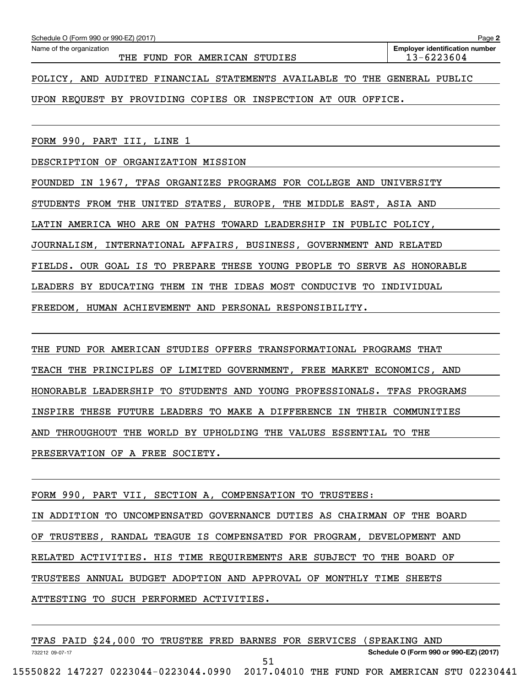732212 09-07-17

**2**

POLICY, AND AUDITED FINANCIAL STATEMENTS AVAILABLE TO THE GENERAL PUBLIC POLICY, AND AUDITED FINANCIAL STATEMENTS AVAILABLE TO THE GENERAL PUBLIC

UPON REQUEST BY PROVIDING COPIES OR INSPECTION AT OUR OFFICE. UPON REQUEST BY PROVIDING COPIES OR INSPECTION AT OUR OFFICE.

FORM 990, PART III, LINE 1 FORM 990, PART III, LINE 1

DESCRIPTION OF ORGANIZATION MISSION DESCRIPTION OF ORGANIZATION MISSION

FOUNDED IN 1967 , TFAS ORGANIZES PROGRAMS FOR COLLEGE AND UNIVERSITY FOUNDED IN 1967, TFAS ORGANIZES PROGRAMS FOR COLLEGE AND UNIVERSITY

STUDENTS FROM THE UNITED STATES, EUROPE, THE MIDDLE EAST, ASIA AND STUDENTS FROM THE UNITED STATES, EUROPE, THE MIDDLE EAST, ASIA AND

LATIN AMERICA WHO ARE ON PATHS TOWARD LEADERSHIP IN PUBLIC POLICY LATIN AMERICA WHO ARE ON PATHS TOWARD LEADERSHIP IN PUBLIC POLICY,

JOURNALISM, INTERNATIONAL AFFAIRS, BUSINESS, GOVERNMENT AND RELATED JOURNALISM, INTERNATIONAL AFFAIRS, BUSINESS, GOVERNMENT AND RELATED

FIELDS. OUR GOAL IS TO PREPARE THESE YOUNG PEOPLE TO SERVE AS HONORABLE FIELDS. OUR GOAL IS TO PREPARE THESE YOUNG PEOPLE TO SERVE AS HONORABLE

LEADERS BY EDUCATING THEM IN THE IDEAS MOST CONDUCIVE TO INDIVIDUAL LEADERS BY EDUCATING THEM IN THE IDEAS MOST CONDUCIVE TO INDIVIDUAL

FREEDOM, HUMAN ACHIEVEMENT AND PERSONAL RESPONSIBILITY. FREEDOM, HUMAN ACHIEVEMENT AND PERSONAL RESPONSIBILITY.

THE FUND FOR AMERICAN STUDIES OFFERS TRANSFORMATIONAL PROGRAMS THAT TEACH THE PRINCIPLES OF LIMITED GOVERNMENT, FREE MARKET ECONOMICS, AND TEACH THE PRINCIPLES OF LIMITED GOVERNMENT, FREE MARKET ECONOMICS, AND HONORABLE LEADERSHIP TO STUDENTS AND YOUNG PROFESSIONALS. TFAS PROGRAMS HONORABLE LEADERSHIP TO STUDENTS AND YOUNG PROFESSIONALS. TFAS PROGRAMS INSPIRE THESE FUTURE LEADERS TO MAKE A DIFFERENCE IN THEIR COMMUNITIES INSPIRE THESE FUTURE LEADERS TO MAKE A DIFFERENCE IN THEIR COMMUNITIES AND THROUGHOUT THE WORLD BY UPHOLDING THE VALUES ESSENTIAL TO THE AND THROUGHOUT THE WORLD BY UPHOLDING THE VALUES ESSENTIAL TO THE PRESERVATION OF A FREE SOCIETY. PRESERVATION OF A FREE SOCIETY.

FORM 990, PART VII, SECTION A, COMPENSATION TO TRUSTEES: FORM 990, PART VII, SECTION A, COMPENSATION TO TRUSTEES: IN ADDITION TO UNCOMPENSATED GOVERNANCE DUTIES AS CHAIRMAN OF THE BOARD IN ADDITION TO UNCOMPENSATED GOVERNANCE DUTIES AS CHAIRMAN OF THE BOARD OF TRUSTEES, RANDAL TEAGUE IS COMPENSATED FOR PROGRAM, DEVELOPMENT AND OF TRUSTEES, RANDAL TEAGUE IS COMPENSATED FOR PROGRAM, DEVELOPMENT AND RELATED ACTIVITIES. HIS TIME REQUIREMENTS ARE SUBJECT TO THE BOARD OF RELATED ACTIVITIES. HIS TIME REQUIREMENTS ARE SUBJECT TO THE BOARD OF TRUSTEES ANNUAL BUDGET ADOPTION AND APPROVAL OF MONTHLY TIME SHEETS TRUSTEES ANNUAL BUDGET ADOPTION AND APPROVAL OF MONTHLY TIME SHEETS ATTESTING TO SUCH PERFORMED ACTIVITIES. ATTESTING TO SUCH PERFORMED ACTIVITIES.

TFAS PAID \$24 ,000 TO TRUSTEE FRED BARNES FOR SERVICES (SPEAKING AND TFAS PAID \$24,000 TO TRUSTEE FRED BARNES FOR SERVICES (SPEAKING AND

51 51

732212 09-07-17 **Schedule O (Form 990 or 990-EZ) (2017) Schedule O (Form 990 or 990-EZ) (2017)**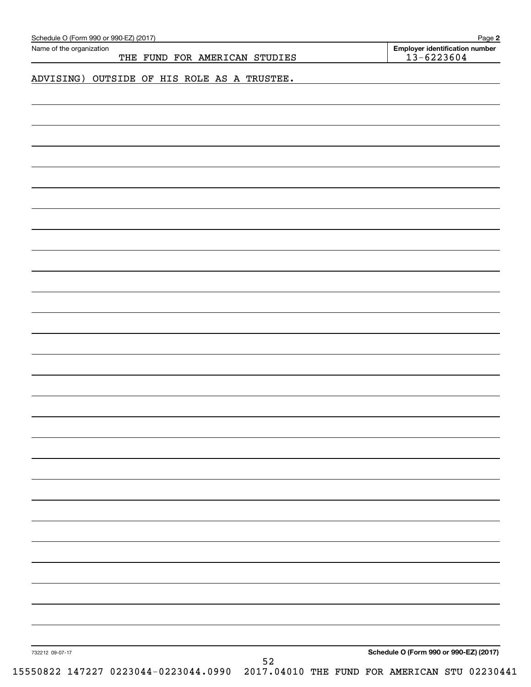| Name of the organization<br>THE FUND FOR AMERICAN STUDIES | <b>Employer identification number</b><br>$13 - 6223604$ |
|-----------------------------------------------------------|---------------------------------------------------------|
|                                                           |                                                         |
| ADVISING) OUTSIDE OF HIS ROLE AS A TRUSTEE.               |                                                         |
|                                                           |                                                         |
|                                                           |                                                         |
|                                                           |                                                         |
|                                                           |                                                         |
|                                                           |                                                         |
|                                                           |                                                         |
|                                                           |                                                         |
|                                                           |                                                         |
|                                                           |                                                         |
|                                                           |                                                         |
|                                                           |                                                         |
|                                                           |                                                         |
|                                                           |                                                         |
|                                                           |                                                         |
|                                                           |                                                         |
|                                                           |                                                         |
|                                                           |                                                         |
|                                                           |                                                         |
|                                                           |                                                         |
|                                                           |                                                         |
|                                                           |                                                         |
|                                                           |                                                         |
|                                                           |                                                         |
|                                                           |                                                         |
|                                                           |                                                         |
|                                                           |                                                         |
|                                                           |                                                         |
|                                                           |                                                         |
|                                                           |                                                         |
|                                                           |                                                         |
|                                                           |                                                         |
|                                                           |                                                         |
|                                                           |                                                         |
|                                                           |                                                         |
|                                                           |                                                         |
|                                                           |                                                         |
|                                                           |                                                         |
|                                                           |                                                         |
|                                                           |                                                         |
|                                                           |                                                         |
| 732212 09-07-17                                           | Schedule O (Form 990 or 990-EZ) (2017)                  |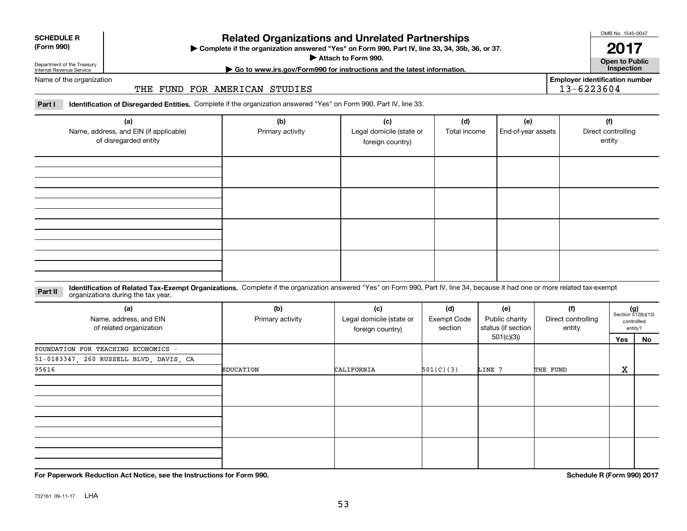| <b>SCHEDULE R</b> |
|-------------------|
| (Form 990)        |

# **Related Organizations and Unrelated Partnerships Related Organizations and Unrelated Partnerships Examplement Follow Related Organizations and Unrelated Partner<br>
► Complete if the organization answered "Yes" on Form 990, Part IV, line 33<br>
► Go to www.irs.gov/Form990 for instructions and the latest informed the latest Frame School School**<br>| **Attach to Form 990**<br>■ Attach to Form 990<br>| m990 for instructions

**, 34 , 35b, 36, or <sup>37</sup> . Complete if the organization answered "Yes" on Form 990, Part IV, line 33, 34, 35b, 36, or 37.** |

**. Attach to Form 990.**  |

OMB No. 1545-0047 OMB No. 1545-0047

**2017 2017p en to Public Open to Public**

**Employer identification number Employer identification number** 13- 62 23 604 13-6223604

Department of the Treasury Internal Revenue Service Department of the Treasury Internal Revenue Service

**| Go to www.irs.gov/Form990 for instructions and the latest information. Inspection**

Name of the organization Name of the organization

#### THE FUND FOR AMERICAN STUDIES THE FUND FOR AMERICAN STUDIES

Part I Identification of Disregarded Entities. Complete if the organization answered "Yes" on Form 990, Part IV, line 33.

| (a)<br>Name, address, and EIN (if applicable)<br>of disregarded entity | (b)<br>Primary activity | (c)<br>Legal domicile (state or<br>foreign country) | (d)<br>Total income | (e)<br>End-of-year assets | (f)<br>Direct controlling<br>entity |
|------------------------------------------------------------------------|-------------------------|-----------------------------------------------------|---------------------|---------------------------|-------------------------------------|
|                                                                        |                         |                                                     |                     |                           |                                     |
|                                                                        |                         |                                                     |                     |                           |                                     |
|                                                                        |                         |                                                     |                     |                           |                                     |
|                                                                        |                         |                                                     |                     |                           |                                     |

#### **Part II** Identification of Related Tax-Exempt Organizations. Complete if the organization answered "Yes" on Form 990, Part IV, line 34, because it had one or more related tax-exempt<br>organizations during the tax year. **Part II** organizations during the tax year.

| (a)<br>Name, address, and EIN<br>of related organization | (b)<br>Primary activity | (c)<br>Legal domicile (state or<br>foreign country) | (d)<br><b>Exempt Code</b><br>section | (e)<br>Public charity<br>status (if section | (f)<br>Direct controlling<br>entity |     | $(g)$<br>Section 512(b)(13)<br>controlled<br>entity? |
|----------------------------------------------------------|-------------------------|-----------------------------------------------------|--------------------------------------|---------------------------------------------|-------------------------------------|-----|------------------------------------------------------|
|                                                          |                         |                                                     |                                      | 501(c)(3))                                  |                                     | Yes | No                                                   |
| FOUNDATION FOR TEACHING ECONOMICS -                      |                         |                                                     |                                      |                                             |                                     |     |                                                      |
| 51-0183347, 260 RUSSELL BLVD, DAVIS, CA                  |                         |                                                     |                                      |                                             |                                     |     |                                                      |
| 95616                                                    | <b>EDUCATION</b>        | CALIFORNIA                                          | 501(C)(3)                            | LINE 7                                      | THE FUND                            | X   |                                                      |
|                                                          |                         |                                                     |                                      |                                             |                                     |     |                                                      |
|                                                          |                         |                                                     |                                      |                                             |                                     |     |                                                      |
|                                                          |                         |                                                     |                                      |                                             |                                     |     |                                                      |

**For Paperwork Reduction Act Notice, see the Instructions for Form 990 For Paperwork Reduction Act Notice, see the Instructions for Form 990. Schedule R (Form 990) 2017**

**. Schedule R (Form 990) <sup>2017</sup>**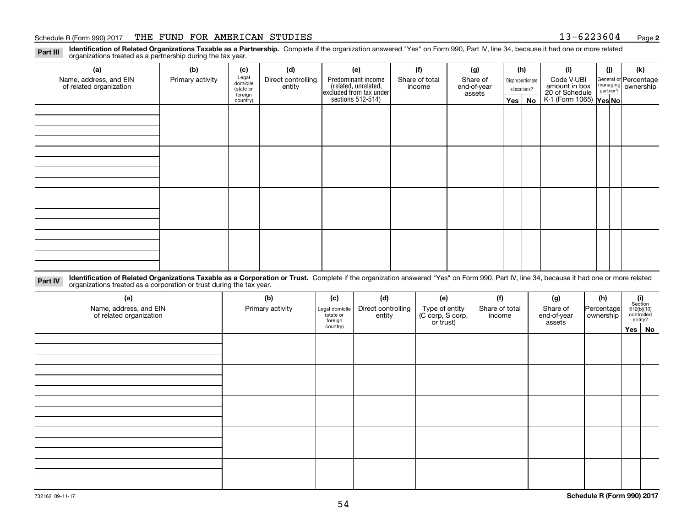## Schedule R (Form 990) 2017 THE FUND FOR AMERICAN STUDIES 13-6223604 Page 2

**2**

| Identification of Related Organizations Taxable as a Partnership. Complete if the organization answered "Yes" on Form 990, Part IV, line 34, because it had one or more related<br>Part III<br>organizations treated as a partnership during the tax year. |                  |                                           |                              |                                                                       |                          |                                   |                                  |    |                                               |     |                                             |
|------------------------------------------------------------------------------------------------------------------------------------------------------------------------------------------------------------------------------------------------------------|------------------|-------------------------------------------|------------------------------|-----------------------------------------------------------------------|--------------------------|-----------------------------------|----------------------------------|----|-----------------------------------------------|-----|---------------------------------------------|
| (a)                                                                                                                                                                                                                                                        | (b)              | (c)                                       | (d)                          | (e)                                                                   | (f)                      | (g)                               | (h)                              |    | (i)                                           | (j) | (k)                                         |
| Name, address, and EIN<br>of related organization                                                                                                                                                                                                          | Primary activity | Legal<br>domicile<br>(state or<br>foreign | Direct controlling<br>entity | Predominant income<br>related, unrelated,<br> excluded from tax under | Share of total<br>income | Share of<br>end-of-year<br>assets | Disproportionate<br>allocations? |    | Code V-UBI<br>amount in box<br>20 of Schedule |     | General or Percentage<br>managing ownership |
|                                                                                                                                                                                                                                                            |                  | country)                                  |                              | sections 512-514)                                                     |                          |                                   | Yes $ $                          | No | K-1 (Form 1065) Yes No                        |     |                                             |
|                                                                                                                                                                                                                                                            |                  |                                           |                              |                                                                       |                          |                                   |                                  |    |                                               |     |                                             |
|                                                                                                                                                                                                                                                            |                  |                                           |                              |                                                                       |                          |                                   |                                  |    |                                               |     |                                             |
|                                                                                                                                                                                                                                                            |                  |                                           |                              |                                                                       |                          |                                   |                                  |    |                                               |     |                                             |
|                                                                                                                                                                                                                                                            |                  |                                           |                              |                                                                       |                          |                                   |                                  |    |                                               |     |                                             |

Part IV Identification of Related Organizations Taxable as a Corporation or Trust. Complete if the organization answered "Yes" on Form 990, Part IV, line 34, because it had one or more related<br>organizations treated as a co **Identification of Related Organizations Taxable as a Corporation or Trust.** Complete if the organization answered "Yes" on Form 990, Part IV, line 34, because it had one or more related **Part IV** organizations treated as a corporation or trust during the tax year.

| (a)<br>Name, address, and EIN<br>of related organization | (b)<br>Primary activity | (d)<br>(c)<br>Direct controlling<br>Legal domicile<br>(state or<br>entity<br>foreign |  | (e)<br>Type of entity<br>(C corp, S corp,<br>or trust) | (f)<br>Share of total<br>income | (g)<br>Share of<br>end-of-year<br>assets | (h)<br> Percentage <br>ownership | $\begin{array}{c} \textbf{(i)}\\ \text{Section}\\ 512 \text{(b)} \text{(13)}\\ \text{controlled}\\ \text{entity?} \end{array}$ |        |
|----------------------------------------------------------|-------------------------|--------------------------------------------------------------------------------------|--|--------------------------------------------------------|---------------------------------|------------------------------------------|----------------------------------|--------------------------------------------------------------------------------------------------------------------------------|--------|
|                                                          |                         | country)                                                                             |  |                                                        |                                 |                                          |                                  |                                                                                                                                | Yes No |
|                                                          |                         |                                                                                      |  |                                                        |                                 |                                          |                                  |                                                                                                                                |        |
|                                                          |                         |                                                                                      |  |                                                        |                                 |                                          |                                  |                                                                                                                                |        |
|                                                          |                         |                                                                                      |  |                                                        |                                 |                                          |                                  |                                                                                                                                |        |
|                                                          |                         |                                                                                      |  |                                                        |                                 |                                          |                                  |                                                                                                                                |        |
|                                                          |                         |                                                                                      |  |                                                        |                                 |                                          |                                  |                                                                                                                                |        |
|                                                          |                         |                                                                                      |  |                                                        |                                 |                                          |                                  |                                                                                                                                |        |
|                                                          |                         |                                                                                      |  |                                                        |                                 |                                          |                                  |                                                                                                                                |        |
|                                                          |                         |                                                                                      |  |                                                        |                                 |                                          |                                  |                                                                                                                                |        |
|                                                          |                         |                                                                                      |  |                                                        |                                 |                                          |                                  |                                                                                                                                |        |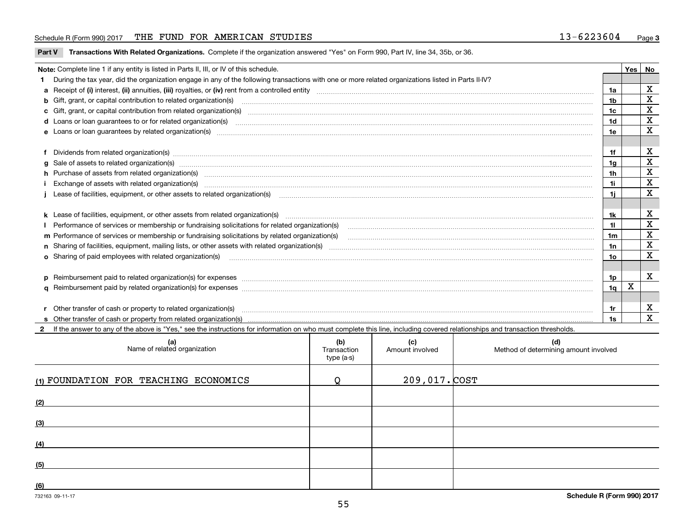## Schedule R (Form 990) 2017 THE FUND FOR AMERICAN STUDIES 13-6223604 Page 3

|  |  |  | Part V Transactions With Related Organizations. Complete if the organization answered "Yes" on Form 990, Part IV, line 34, 35b, or 36. |
|--|--|--|----------------------------------------------------------------------------------------------------------------------------------------|
|--|--|--|----------------------------------------------------------------------------------------------------------------------------------------|

| Note: Complete line 1 if any entity is listed in Parts II, III, or IV of this schedule.                                                             |                                                                                                                                                                                                                                       | Yes | No.                     |
|-----------------------------------------------------------------------------------------------------------------------------------------------------|---------------------------------------------------------------------------------------------------------------------------------------------------------------------------------------------------------------------------------------|-----|-------------------------|
| During the tax year, did the organization engage in any of the following transactions with one or more related organizations listed in Parts II-IV? |                                                                                                                                                                                                                                       |     |                         |
|                                                                                                                                                     | 1a                                                                                                                                                                                                                                    |     | $\mathbf X$             |
| <b>b</b> Gift, grant, or capital contribution to related organization(s)                                                                            | 1b                                                                                                                                                                                                                                    |     | X                       |
|                                                                                                                                                     | c Gift, grant, or capital contribution from related organization(s) material contents and contribution from related organization(s) material contents and content of the content of the content of content of content of the c<br>1c  |     | $\overline{\mathbf{X}}$ |
|                                                                                                                                                     | d Loans or loan guarantees to or for related organization(s) mature material content to consume the content of the content of the content of the content of the content of the content of the content of the content of the co<br>1d  |     | $\mathbf X$             |
|                                                                                                                                                     | 1e                                                                                                                                                                                                                                    |     | $\mathbf x$             |
|                                                                                                                                                     | f Dividends from related organization(s) www.assession.com/www.assession.com/www.assession.com/www.assession.com/www.assession.com/www.assession.com/www.assession.com/www.assession.com/www.assession.com/www.assession.com/w<br>1f  |     | Х                       |
|                                                                                                                                                     | 1g                                                                                                                                                                                                                                    |     | $\overline{\textbf{x}}$ |
|                                                                                                                                                     | h Purchase of assets from related organization(s) manufactured contains and contains and contains a set of assets from related organization(s)<br>1h                                                                                  |     | $\overline{\mathbf{x}}$ |
|                                                                                                                                                     | Exchange of assets with related organization(s) www.andron.com/www.andron.com/www.andron.com/www.andron.com/www.andron.com/www.andron.com/www.andron.com/www.andron.com/www.andron.com/www.andron.com/www.andron.com/www.andro<br>1i. |     | $\overline{\mathbf{x}}$ |
|                                                                                                                                                     | Lease of facilities, equipment, or other assets to related organization(s) [11] manufactured manufactured manufactured manufactured manufactured manufactured manufactured manufactured manufactured manufactured manufactured<br>1i. |     | X                       |
|                                                                                                                                                     | 1k                                                                                                                                                                                                                                    |     | х                       |
|                                                                                                                                                     | 11                                                                                                                                                                                                                                    |     | $\mathbf X$             |
| m Performance of services or membership or fundraising solicitations by related organization(s)                                                     | 1m                                                                                                                                                                                                                                    |     | $\overline{\text{x}}$   |
|                                                                                                                                                     | 1n                                                                                                                                                                                                                                    |     | $\overline{\mathbf{x}}$ |
| <b>o</b> Sharing of paid employees with related organization(s)                                                                                     | 10                                                                                                                                                                                                                                    |     | $\mathbf{x}$            |
|                                                                                                                                                     | 1p                                                                                                                                                                                                                                    |     | x                       |
|                                                                                                                                                     | 1q                                                                                                                                                                                                                                    | X   |                         |
|                                                                                                                                                     | r Other transfer of cash or property to related organization(s) manufactured content to the content of the content of the content of the content of the content of the content of the content of the content of the content of<br>1r  |     | X                       |
|                                                                                                                                                     | 1s                                                                                                                                                                                                                                    |     | X                       |

| (a)<br>Name of related organization   | (b)<br>Transaction<br>type (a-s) | (c)<br>Amount involved | (d)<br>Method of determining amount involved |
|---------------------------------------|----------------------------------|------------------------|----------------------------------------------|
| (1) FOUNDATION FOR TEACHING ECONOMICS |                                  | 209,017. COST          |                                              |
| (2)                                   |                                  |                        |                                              |
| (3)                                   |                                  |                        |                                              |
| (4)                                   |                                  |                        |                                              |
| (5)                                   |                                  |                        |                                              |
| (6)                                   |                                  |                        |                                              |
| 732163 09-11-17                       |                                  |                        | Schedule R (Form 990) 2017                   |

 $\overline{\phantom{a}}$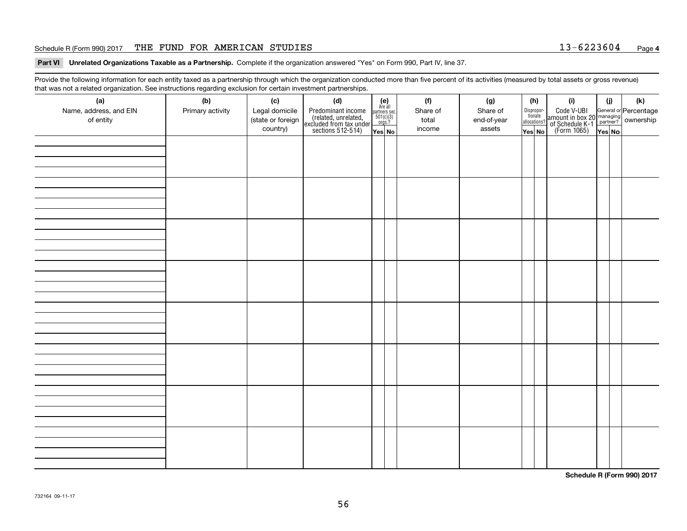## Schedule R (Form 990) 2017 THE FUND FOR AMERICAN STUDIES 13-6223604 Page 4

Part VI Unrelated Organizations Taxable as a Partnership. Complete if the organization answered "Yes" on Form 990, Part IV, line 37.

Provide the following information for each entity taxed as a partnership through which the organization conducted more than five percent of its activities (measured by total assets or gross revenue) that was not a related organization. See instructions regarding exclusion for certain investment partnerships. that was not a related organization. See instructions regarding exclusion for certain investment partnerships.

| that was not a related organization. See instructions regarding exclusion for certain investment partnerships. |                  |                   |                                                                                            |        |  |                                                                                                                  |             |                                  |          |     |     |                                                                                                  |  |  |
|----------------------------------------------------------------------------------------------------------------|------------------|-------------------|--------------------------------------------------------------------------------------------|--------|--|------------------------------------------------------------------------------------------------------------------|-------------|----------------------------------|----------|-----|-----|--------------------------------------------------------------------------------------------------|--|--|
| (a)                                                                                                            | (b)              | (c)               | (d)                                                                                        |        |  | (f)                                                                                                              | (g)         | (h)                              |          | (i) | (i) | (k)                                                                                              |  |  |
| Name, address, and EIN                                                                                         | Primary activity | Legal domicile    | Predominant income<br>(related, unrelated,<br>excluded from tax under<br>sections 512-514) |        |  | $\begin{array}{c} \textbf{(e)}\\ \text{Are all} \\ \text{partners sec.}\\ 501(c)(3)\\ \text{orgs.?} \end{array}$ |             | Share of                         | Share of |     |     | Code V-UBI<br>amount in box 20 managing<br>of Schedule K-1<br>(Form 1065)<br>$\overline{Yes}$ No |  |  |
| of entity                                                                                                      |                  | (state or foreign |                                                                                            |        |  | total                                                                                                            | end-of-year | Disproportionate<br>allocations? |          |     |     |                                                                                                  |  |  |
|                                                                                                                |                  | country)          |                                                                                            | Yes No |  | income                                                                                                           | assets      | Yes No                           |          |     |     |                                                                                                  |  |  |
|                                                                                                                |                  |                   |                                                                                            |        |  |                                                                                                                  |             |                                  |          |     |     |                                                                                                  |  |  |
|                                                                                                                |                  |                   |                                                                                            |        |  |                                                                                                                  |             |                                  |          |     |     |                                                                                                  |  |  |
|                                                                                                                |                  |                   |                                                                                            |        |  |                                                                                                                  |             |                                  |          |     |     |                                                                                                  |  |  |
|                                                                                                                |                  |                   |                                                                                            |        |  |                                                                                                                  |             |                                  |          |     |     |                                                                                                  |  |  |
|                                                                                                                |                  |                   |                                                                                            |        |  |                                                                                                                  |             |                                  |          |     |     |                                                                                                  |  |  |
|                                                                                                                |                  |                   |                                                                                            |        |  |                                                                                                                  |             |                                  |          |     |     |                                                                                                  |  |  |
|                                                                                                                |                  |                   |                                                                                            |        |  |                                                                                                                  |             |                                  |          |     |     |                                                                                                  |  |  |
|                                                                                                                |                  |                   |                                                                                            |        |  |                                                                                                                  |             |                                  |          |     |     |                                                                                                  |  |  |
|                                                                                                                |                  |                   |                                                                                            |        |  |                                                                                                                  |             |                                  |          |     |     |                                                                                                  |  |  |
|                                                                                                                |                  |                   |                                                                                            |        |  |                                                                                                                  |             |                                  |          |     |     |                                                                                                  |  |  |
|                                                                                                                |                  |                   |                                                                                            |        |  |                                                                                                                  |             |                                  |          |     |     |                                                                                                  |  |  |
|                                                                                                                |                  |                   |                                                                                            |        |  |                                                                                                                  |             |                                  |          |     |     |                                                                                                  |  |  |
|                                                                                                                |                  |                   |                                                                                            |        |  |                                                                                                                  |             |                                  |          |     |     |                                                                                                  |  |  |
|                                                                                                                |                  |                   |                                                                                            |        |  |                                                                                                                  |             |                                  |          |     |     |                                                                                                  |  |  |
|                                                                                                                |                  |                   |                                                                                            |        |  |                                                                                                                  |             |                                  |          |     |     |                                                                                                  |  |  |
|                                                                                                                |                  |                   |                                                                                            |        |  |                                                                                                                  |             |                                  |          |     |     |                                                                                                  |  |  |
|                                                                                                                |                  |                   |                                                                                            |        |  |                                                                                                                  |             |                                  |          |     |     |                                                                                                  |  |  |
|                                                                                                                |                  |                   |                                                                                            |        |  |                                                                                                                  |             |                                  |          |     |     |                                                                                                  |  |  |
|                                                                                                                |                  |                   |                                                                                            |        |  |                                                                                                                  |             |                                  |          |     |     |                                                                                                  |  |  |
|                                                                                                                |                  |                   |                                                                                            |        |  |                                                                                                                  |             |                                  |          |     |     |                                                                                                  |  |  |
|                                                                                                                |                  |                   |                                                                                            |        |  |                                                                                                                  |             |                                  |          |     |     |                                                                                                  |  |  |
|                                                                                                                |                  |                   |                                                                                            |        |  |                                                                                                                  |             |                                  |          |     |     |                                                                                                  |  |  |
|                                                                                                                |                  |                   |                                                                                            |        |  |                                                                                                                  |             |                                  |          |     |     |                                                                                                  |  |  |
|                                                                                                                |                  |                   |                                                                                            |        |  |                                                                                                                  |             |                                  |          |     |     |                                                                                                  |  |  |
|                                                                                                                |                  |                   |                                                                                            |        |  |                                                                                                                  |             |                                  |          |     |     |                                                                                                  |  |  |
|                                                                                                                |                  |                   |                                                                                            |        |  |                                                                                                                  |             |                                  |          |     |     |                                                                                                  |  |  |
|                                                                                                                |                  |                   |                                                                                            |        |  |                                                                                                                  |             |                                  |          |     |     |                                                                                                  |  |  |
|                                                                                                                |                  |                   |                                                                                            |        |  |                                                                                                                  |             |                                  |          |     |     |                                                                                                  |  |  |
|                                                                                                                |                  |                   |                                                                                            |        |  |                                                                                                                  |             |                                  |          |     |     |                                                                                                  |  |  |
|                                                                                                                |                  |                   |                                                                                            |        |  |                                                                                                                  |             |                                  |          |     |     |                                                                                                  |  |  |
|                                                                                                                |                  |                   |                                                                                            |        |  |                                                                                                                  |             |                                  |          |     |     |                                                                                                  |  |  |
|                                                                                                                |                  |                   |                                                                                            |        |  |                                                                                                                  |             |                                  |          |     |     |                                                                                                  |  |  |
|                                                                                                                |                  |                   |                                                                                            |        |  |                                                                                                                  |             |                                  |          |     |     |                                                                                                  |  |  |
|                                                                                                                |                  |                   |                                                                                            |        |  |                                                                                                                  |             |                                  |          |     |     |                                                                                                  |  |  |
|                                                                                                                |                  |                   |                                                                                            |        |  |                                                                                                                  |             |                                  |          |     |     |                                                                                                  |  |  |
|                                                                                                                |                  |                   |                                                                                            |        |  |                                                                                                                  |             |                                  |          |     |     |                                                                                                  |  |  |
|                                                                                                                |                  |                   |                                                                                            |        |  |                                                                                                                  |             |                                  |          |     |     |                                                                                                  |  |  |
|                                                                                                                |                  |                   |                                                                                            |        |  |                                                                                                                  |             |                                  |          |     |     |                                                                                                  |  |  |

**Schedule R (Form 990) <sup>2017</sup> Schedule R (Form 990) 2017**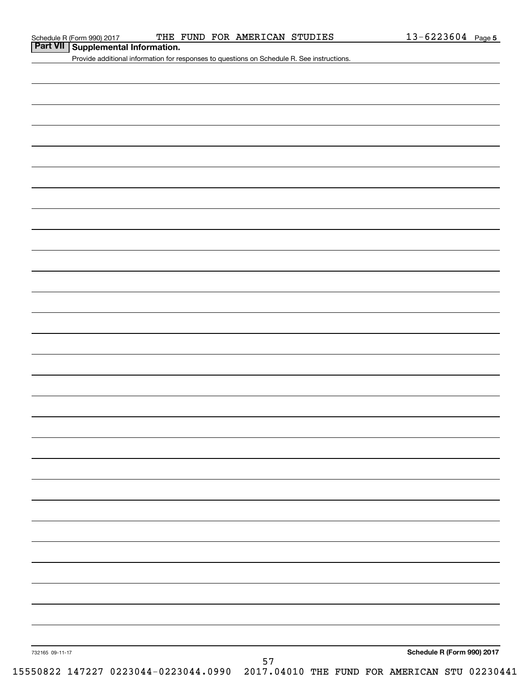| Part VII   Supplemental Information. |  |
|--------------------------------------|--|
|--------------------------------------|--|

Provide additional information for responses to questions on Schedule R. See instructions. Provide additional information for responses to questions on Schedule R. See instructions.

732165 09-11-17